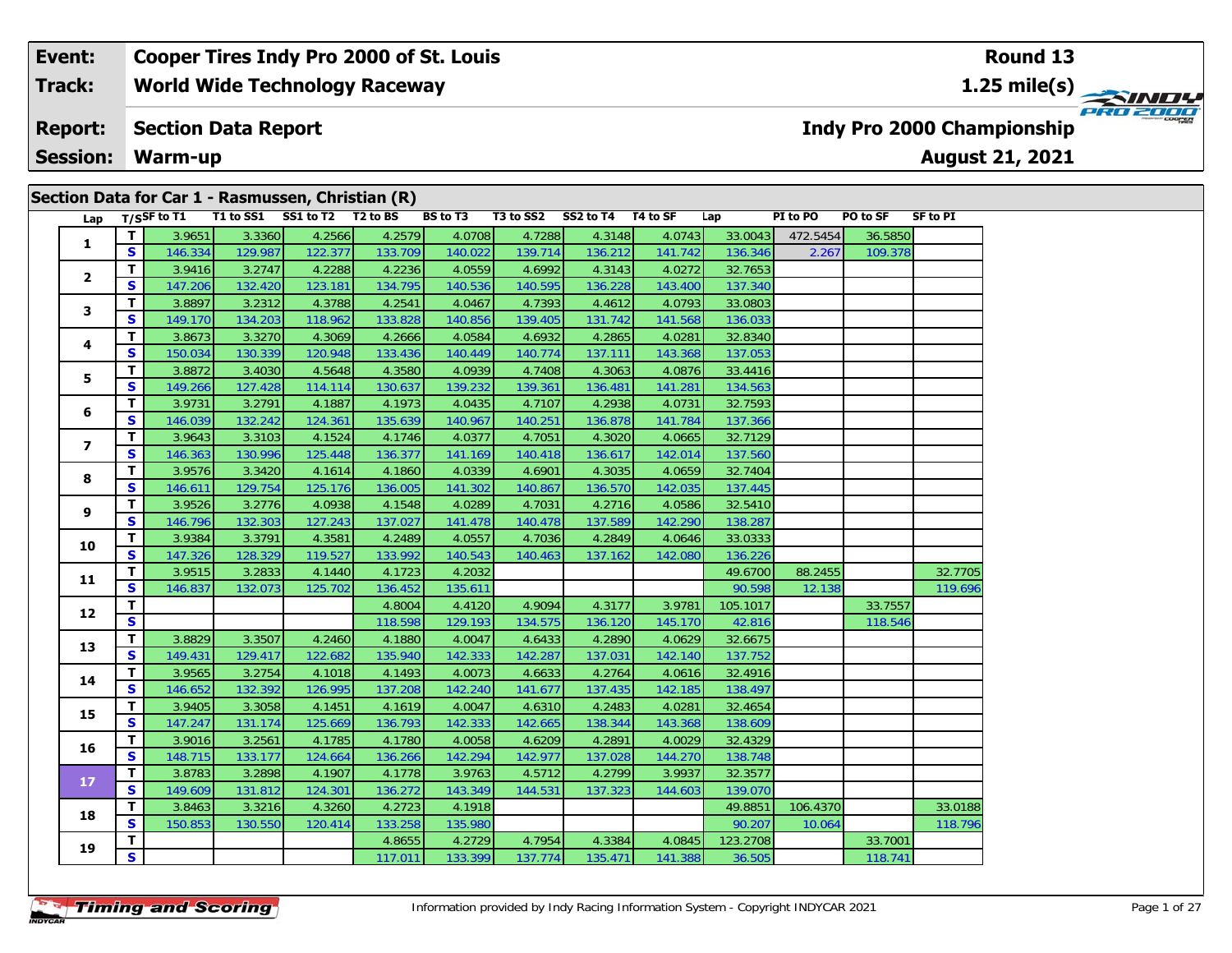## **Event: Cooper Tires Indy Pro 2000 of St. Louis Round 131.25 mile(s) World Wide Technology Raceway Track: PRO 2000 Indy Pro 2000 Championship Report: Section Data Report Session: Warm-up August 21, 2021 Section Data for Car 1 - Rasmussen, Christian (R)**

| Lap             |                         | $T/S$ SF to T1 |         | T1 to SS1 SS1 to T2 T2 to BS |         | <b>BS to T3</b> |         | T3 to SS2 SS2 to T4 T4 to SF |         | Lap      | PI to PO | <b>PO to SF</b> | SF to PI |
|-----------------|-------------------------|----------------|---------|------------------------------|---------|-----------------|---------|------------------------------|---------|----------|----------|-----------------|----------|
|                 | T                       | 3.9651         | 3.3360  | 4.2566                       | 4.2579  | 4.0708          | 4.7288  | 4.3148                       | 4.0743  | 33.0043  | 472.5454 | 36.5850         |          |
| 1               | S                       | 146.334        | 129.987 | 122.377                      | 133.709 | 140.022         | 139.714 | 136.212                      | 141.742 | 136.346  | 2.267    | 109.378         |          |
|                 | т                       | 3.9416         | 3.2747  | 4.2288                       | 4.2236  | 4.0559          | 4.6992  | 4.3143                       | 4.0272  | 32.7653  |          |                 |          |
| $\mathbf{2}$    | S                       | 147.206        | 132.420 | 123.181                      | 134.795 | 140.536         | 140.595 | 136.228                      | 143.400 | 137.340  |          |                 |          |
|                 | T                       | 3.8897         | 3.2312  | 4.3788                       | 4.2541  | 4.0467          | 4.7393  | 4.4612                       | 4.0793  | 33.0803  |          |                 |          |
| 3               | S                       | 149.170        | 134.203 | 118.962                      | 133.828 | 140.856         | 139.405 | 131.742                      | 141.568 | 136.033  |          |                 |          |
|                 | т                       | 3.8673         | 3.3270  | 4.3069                       | 4.2666  | 4.0584          | 4.6932  | 4.2865                       | 4.0281  | 32.8340  |          |                 |          |
| 4               | $\mathbf{s}$            | 150.034        | 130.339 | 120.948                      | 133.436 | 140.449         | 140.774 | 137.111                      | 143.368 | 137.053  |          |                 |          |
|                 | T.                      | 3.8872         | 3.4030  | 4.5648                       | 4.3580  | 4.0939          | 4.7408  | 4.3063                       | 4.0876  | 33.4416  |          |                 |          |
| 5               | S                       | 149.266        | 127.428 | 114.114                      | 130.637 | 139.232         | 139.361 | 136.481                      | 141.281 | 134.563  |          |                 |          |
|                 | т                       | 3.9731         | 3.2791  | 4.1887                       | 4.1973  | 4.0435          | 4.7107  | 4.2938                       | 4.0731  | 32.7593  |          |                 |          |
| 6               | $\mathbf{s}$            | 146.039        | 132.242 | 124.361                      | 135.639 | 140.967         | 140.251 | 136.878                      | 141.784 | 137.366  |          |                 |          |
|                 | T                       | 3.9643         | 3.3103  | 4.1524                       | 4.1746  | 4.0377          | 4.7051  | 4.3020                       | 4.0665  | 32.7129  |          |                 |          |
| $\overline{ }$  | S                       | 146.363        | 130.996 | 125.448                      | 136.377 | 141.169         | 140.418 | 136.617                      | 142.014 | 137.560  |          |                 |          |
|                 | T                       | 3.9576         | 3.3420  | 4.1614                       | 4.1860  | 4.0339          | 4.6901  | 4.3035                       | 4.0659  | 32.7404  |          |                 |          |
| 8               | S                       | 146.611        | 129.754 | 125.176                      | 136.005 | 141.302         | 140.867 | 136.570                      | 142.035 | 137.445  |          |                 |          |
|                 | T.                      | 3.9526         | 3.2776  | 4.0938                       | 4.1548  | 4.0289          | 4.7031  | 4.2716                       | 4.0586  | 32.5410  |          |                 |          |
| 9               | S                       | 146.796        | 132.303 | 127.243                      | 137.027 | 141.478         | 140.478 | 137.589                      | 142.290 | 138.287  |          |                 |          |
|                 | T                       | 3.9384         | 3.3791  | 4.3581                       | 4.2489  | 4.0557          | 4.7036  | 4.2849                       | 4.0646  | 33.0333  |          |                 |          |
| 10              | S                       | 147.326        | 128.329 | 119.527                      | 133.992 | 140.543         | 140.463 | 137.162                      | 142.080 | 136.226  |          |                 |          |
| 11              | T                       | 3.9515         | 3.2833  | 4.1440                       | 4.1723  | 4.2032          |         |                              |         | 49.6700  | 88.2455  |                 | 32.7705  |
|                 | S                       | 146.837        | 132.073 | 125.702                      | 136.452 | 135.611         |         |                              |         | 90.598   | 12.138   |                 | 119.696  |
| 12              | T                       |                |         |                              | 4.8004  | 4.4120          | 4.9094  | 4.3177                       | 3.9781  | 105.1017 |          | 33.7557         |          |
|                 | $\overline{\mathbf{s}}$ |                |         |                              | 118.598 | 129.193         | 134.575 | 136.120                      | 145.170 | 42.816   |          | 118.546         |          |
| 13              | T                       | 3.8829         | 3.3507  | 4.2460                       | 4.1880  | 4.0047          | 4.6433  | 4.2890                       | 4.0629  | 32.6675  |          |                 |          |
|                 | S                       | 149.431        | 129.417 | 122.682                      | 135.940 | 142.333         | 142.287 | 137.031                      | 142.140 | 137.752  |          |                 |          |
| 14              | T                       | 3.9565         | 3.2754  | 4.1018                       | 4.1493  | 4.0073          | 4.6633  | 4.2764                       | 4.0616  | 32.4916  |          |                 |          |
|                 | S                       | 146.652        | 132.392 | 126.995                      | 137.208 | 142.240         | 141.677 | 137.435                      | 142.185 | 138.497  |          |                 |          |
| 15              | T.                      | 3.9405         | 3.3058  | 4.1451                       | 4.1619  | 4.0047          | 4.6310  | 4.2483                       | 4.0281  | 32.4654  |          |                 |          |
|                 | $\mathbf{s}$            | 147.247        | 131.174 | 125.669                      | 136.793 | 142.333         | 142.665 | 138.344                      | 143.368 | 138.609  |          |                 |          |
| 16              | T                       | 3.9016         | 3.2561  | 4.1785                       | 4.1780  | 4.0058          | 4.6209  | 4.2891                       | 4.0029  | 32.4329  |          |                 |          |
|                 | S                       | 148.715        | 133.177 | 124.664                      | 136.266 | 142.294         | 142.977 | 137.028                      | 144.270 | 138.748  |          |                 |          |
| 17 <sup>2</sup> | T                       | 3.8783         | 3.2898  | 4.1907                       | 4.1778  | 3.9763          | 4.5712  | 4.2799                       | 3.9937  | 32.3577  |          |                 |          |
|                 | $\mathbf{s}$            | 149.609        | 131.812 | 124.301                      | 136.272 | 143.349         | 144.531 | 137.323                      | 144.603 | 139.070  |          |                 |          |
| 18              | T                       | 3.8463         | 3.3216  | 4.3260                       | 4.2723  | 4.1918          |         |                              |         | 49.8851  | 106.4370 |                 | 33.0188  |
|                 | S                       | 150.853        | 130.550 | 120.414                      | 133.258 | 135.980         |         |                              |         | 90.207   | 10.064   |                 | 118.796  |
| 19              | T                       |                |         |                              | 4.8655  | 4.2729          | 4.7954  | 4.3384                       | 4.0845  | 123.2708 |          | 33.7001         |          |
|                 | $\overline{\mathbf{s}}$ |                |         |                              | 117.011 | 133.399         | 137.774 | 135.471                      | 141.388 | 36.505   |          | 118.741         |          |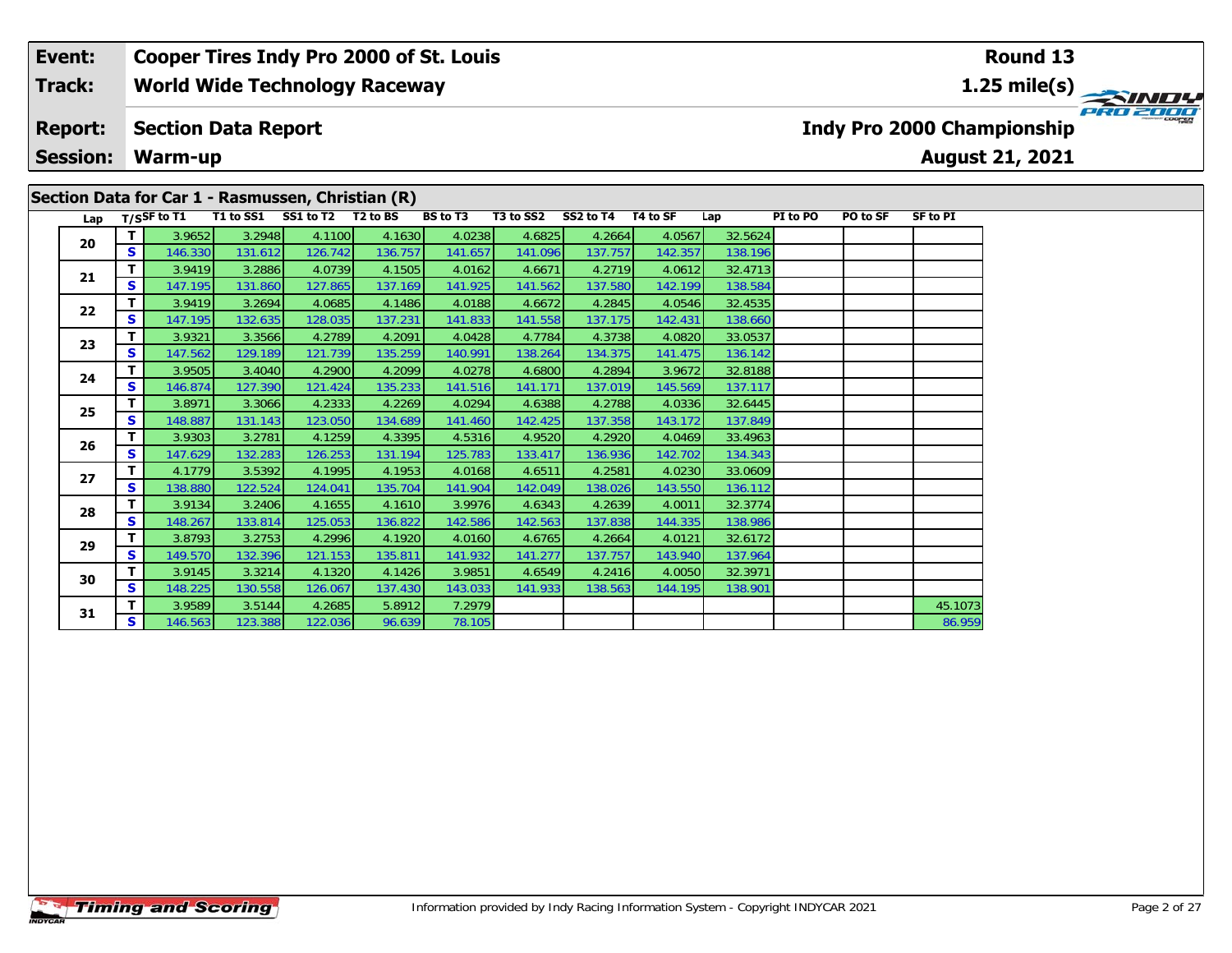## **Event:Round 13 Cooper Tires Indy Pro 2000 of St. Louis Track:World Wide Technology Raceway 1.25 mile(s)** PRO 2001 **Report: Section Data Report Indy Pro 2000 Championship Session:August 21, 2021 Warm-up Section Data for Car 1 - Rasmussen, Christian (R)** Lap T/S<sup>SF</sup> to T1 T1 to SS1 SS1 to T2 T2 to BS BS to T3 T3 to SS2 SS2 to T4 T4 to SF Lap PI to PO PO to SF SF to PI

136.142

138.986

**<sup>T</sup>** 3.9652 3.2948 4.1100 4.1630 4.0238 4.6825 4.2664 4.0567 32.5624 **<sup>S</sup>** 146.330 131.612 126.742 136.757 141.657 141.096 137.757 142.357 138.196

**<sup>T</sup>** 3.9419 3.2886 4.0739 4.1505 4.0162 4.6671 4.2719 4.0612 32.4713 **<sup>S</sup>** 147.195 131.860 127.865 137.169 141.925 141.562 137.580 142.199 138.584

**<sup>T</sup>** 3.9419 3.2694 4.0685 4.1486 4.0188 4.6672 4.2845 4.0546 32.4535 **<sup>S</sup>** 147.195 132.635 128.035 137.231 141.833 141.558 137.175 142.431 138.660

**<sup>T</sup>** 3.9321 3.3566 4.2789 4.2091 4.0428 4.7784 4.3738 4.0820 33.0537 **<sup>S</sup>** 147.562 129.189 121.739 135.259 140.991 138.264 134.375 141.475 136.142

**<sup>T</sup>** 3.9505 3.4040 4.2900 4.2099 4.0278 4.6800 4.2894 3.9672 32.8188 **<sup>S</sup>** 146.874 127.390 121.424 135.233 141.516 141.171 137.019 145.569 137.117

**<sup>T</sup>** 3.8971 3.3066 4.2333 4.2269 4.0294 4.6388 4.2788 4.0336 32.6445 **<sup>S</sup>** 148.887 131.143 123.050 134.689 141.460 142.425 137.358 143.172 137.849

**<sup>T</sup>** 3.9303 3.2781 4.1259 4.3395 4.5316 4.9520 4.2920 4.0469 33.4963 **<sup>S</sup>** 147.629 132.283 126.253 131.194 125.783 133.417 136.936 142.702 134.343

**<sup>T</sup>** 4.1779 3.5392 4.1995 4.1953 4.0168 4.6511 4.2581 4.0230 33.0609 **<sup>S</sup>** 138.880 122.524 124.041 135.704 141.904 142.049 138.026 143.550 136.112

**<sup>T</sup>** 3.9134 3.2406 4.1655 4.1610 3.9976 4.6343 4.2639 4.0011 32.3774 **<sup>S</sup>** 148.267 133.814 125.053 136.822 142.586 142.563 137.838 144.335 138.986

**<sup>T</sup>** 3.8793 3.2753 4.2996 4.1920 4.0160 4.6765 4.2664 4.0121 32.6172 **<sup>S</sup>** 149.570 132.396 121.153 135.811 141.932 141.277 137.757 143.940 137.964

**<sup>T</sup>** 3.9145 3.3214 4.1320 4.1426 3.9851 4.6549 4.2416 4.0050 32.3971 **<sup>S</sup>** 148.225 130.558 126.067 137.430 143.033 141.933 138.563 144.195 138.901

**<sup>T</sup>** 3.9589 3.5144 4.2685 5.8912 7.2979 45.1073 **<sup>S</sup>** 146.563 123.388 122.036 96.639 78.105 86.959

**20**

**21**

**22**

**23**

**24**

**25**

**26**

**27**

**28**

**29**

**30**

**31**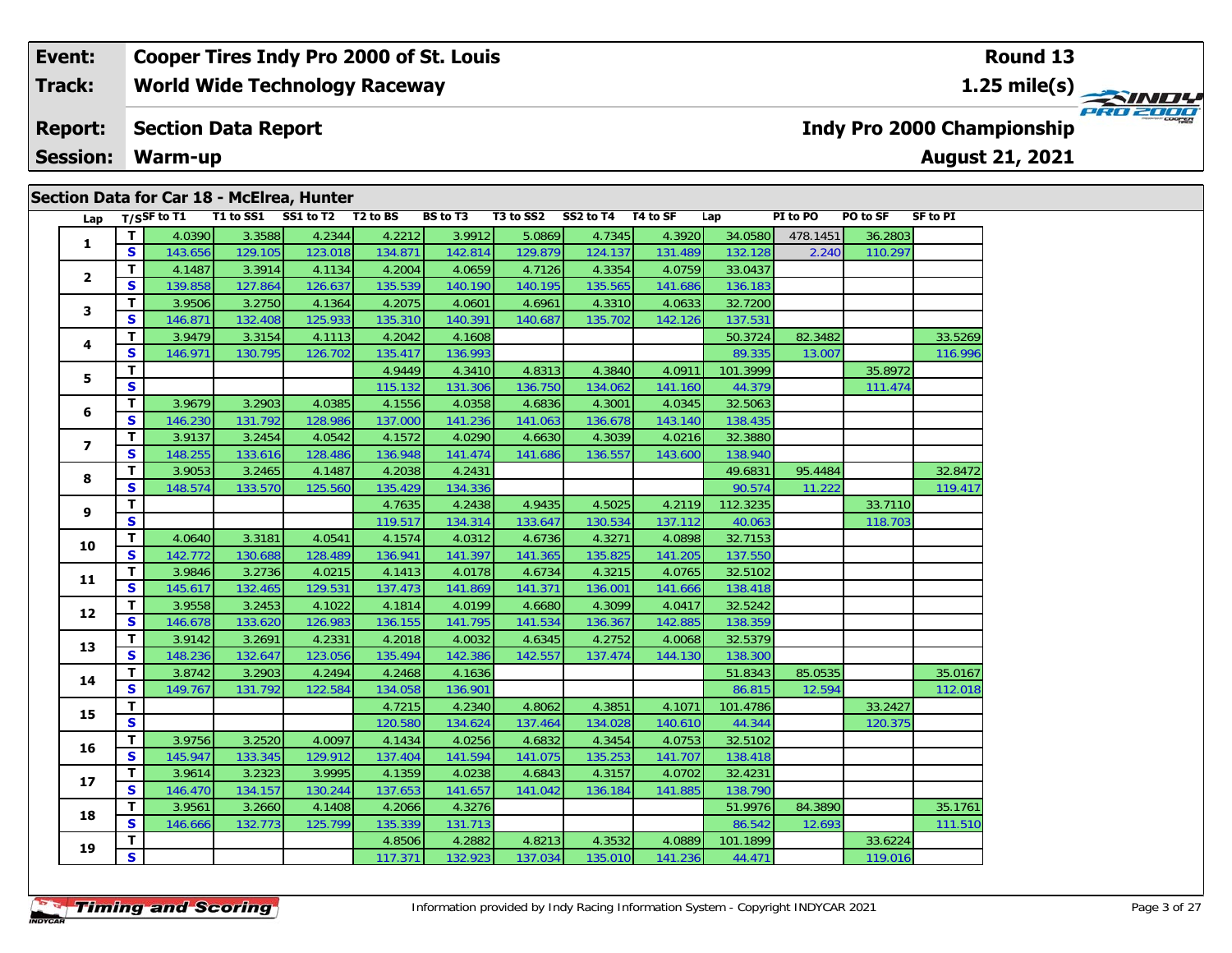#### **Event: Cooper Tires Indy Pro 2000 of St. Louis Round 13Track:World Wide Technology Raceway 1.25 mile(s)** PRO 2000 **Report: Section Data Report Indy Pro 2000 Championship August 21, 2021 Session:Warm-up**

## Lap T/S<sup>SF</sup> to T1 T1 to SS1 SS1 to T2 T2 to BS BS to T3 T3 to SS2 SS2 to T4 T4 to SF Lap PI to PO PO to SF SF to PI **1 <sup>T</sup>** 4.0390 3.3588 4.2344 4.2212 3.9912 5.0869 4.7345 4.3920 34.0580 478.1451 36.2803 **<sup>S</sup>** 143.656 129.105 123.018 134.871 142.814 129.879 124.137 131.489 132.128 2.240 110.297**2 <sup>T</sup>** 4.1487 3.3914 4.1134 4.2004 4.0659 4.7126 4.3354 4.0759 33.0437 **<sup>S</sup>** 139.858 127.864 126.637 135.539 140.190 140.195 135.565 141.686 136.183**3 <sup>T</sup>** 3.9506 3.2750 4.1364 4.2075 4.0601 4.6961 4.3310 4.0633 32.7200 **<sup>S</sup>** 146.871 132.408 125.933 135.310 140.391 140.687 135.702 142.126 137.531**4 <sup>T</sup>** 3.9479 3.3154 4.1113 4.2042 4.1608 50.3724 82.3482 33.5269 **<sup>S</sup>** 146.971 130.795 126.702 135.417 136.993 89.335 13.007 116.996**5T T** 4.9449 4.3410 4.8313 4.3840 4.0911 101.3999 35.8972<br> **S** S 111.474 115.132 131.306 136.750 134.062 141.160 44.379 111.474 **6 <sup>T</sup>** 3.9679 3.2903 4.0385 4.1556 4.0358 4.6836 4.3001 4.0345 32.5063 **<sup>S</sup>** 146.230 131.792 128.986 137.000 141.236 141.063 136.678 143.140 138.435**7 <sup>T</sup>** 3.9137 3.2454 4.0542 4.1572 4.0290 4.6630 4.3039 4.0216 32.3880 **<sup>S</sup>** 148.255 133.616 128.486 136.948 141.474 141.686 136.557 143.600 138.940**88 T** 3.9053 3.2465 4.1487 4.2038 4.2431 4.2431 32.8472 49.6831 95.4484 32.8472<br>**S** 148.574 133.570 125.560 135.429 134.336 **9 <sup>T</sup>** 4.7635 4.2438 4.9435 4.5025 4.2119 112.3235 33.7110 **<sup>S</sup>** 119.517 134.314 133.647 130.534 137.112 40.063 118.703**10 <sup>T</sup>** 4.0640 3.3181 4.0541 4.1574 4.0312 4.6736 4.3271 4.0898 32.7153 **<sup>S</sup>** 142.772 130.688 128.489 136.941 141.397 141.365 135.825 141.205 137.550**11 <sup>T</sup>** 3.9846 3.2736 4.0215 4.1413 4.0178 4.6734 4.3215 4.0765 32.5102 **<sup>S</sup>** 145.617 132.465 129.531 137.473 141.869 141.371 136.001 141.666 138.418**12 <sup>T</sup>** 3.9558 3.2453 4.1022 4.1814 4.0199 4.6680 4.3099 4.0417 32.5242 **<sup>S</sup>** 146.678 133.620 126.983 136.155 141.795 141.534 136.367 142.885 138.359**13 <sup>T</sup>** 3.9142 3.2691 4.2331 4.2018 4.0032 4.6345 4.2752 4.0068 32.5379 **<sup>S</sup>** 148.236 132.647 123.056 135.494 142.386 142.557 137.474 144.130 138.300**14 <sup>T</sup>** 3.8742 3.2903 4.2494 4.2468 4.1636 51.8343 85.0535 35.0167 **<sup>S</sup>** 149.767 131.792 122.584 134.058 136.901 86.815 12.594 112.018**15T | 120.580 131.4.2340 131.4624 131.624 134.028 14.3851 14.1071 101.4786 120.32427<br>
<b>S** S 120.375 **16 <sup>T</sup>** 3.9756 3.2520 4.0097 4.1434 4.0256 4.6832 4.3454 4.0753 32.5102 **<sup>S</sup>** 145.947 133.345 129.912 137.404 141.594 141.075 135.253 141.707 138.418**17 <sup>T</sup>** 3.9614 3.2323 3.9995 4.1359 4.0238 4.6843 4.3157 4.0702 32.4231 **<sup>S</sup>** 146.470 134.157 130.244 137.653 141.657 141.042 136.184 141.885 138.790**18 <sup>T</sup>** 3.9561 3.2660 4.1408 4.2066 4.3276 51.9976 84.3890 35.1761 **<sup>S</sup>** 146.666 132.773 125.799 135.339 131.713 86.542 12.693 111.510**19 <sup>T</sup>** 4.8506 4.2882 4.8213 4.3532 4.0889 101.1899 33.6224 **<sup>S</sup>** 117.371 132.923 137.034 135.010 141.236 44.471 119.016**Section Data for Car 18 - McElrea, Hunter**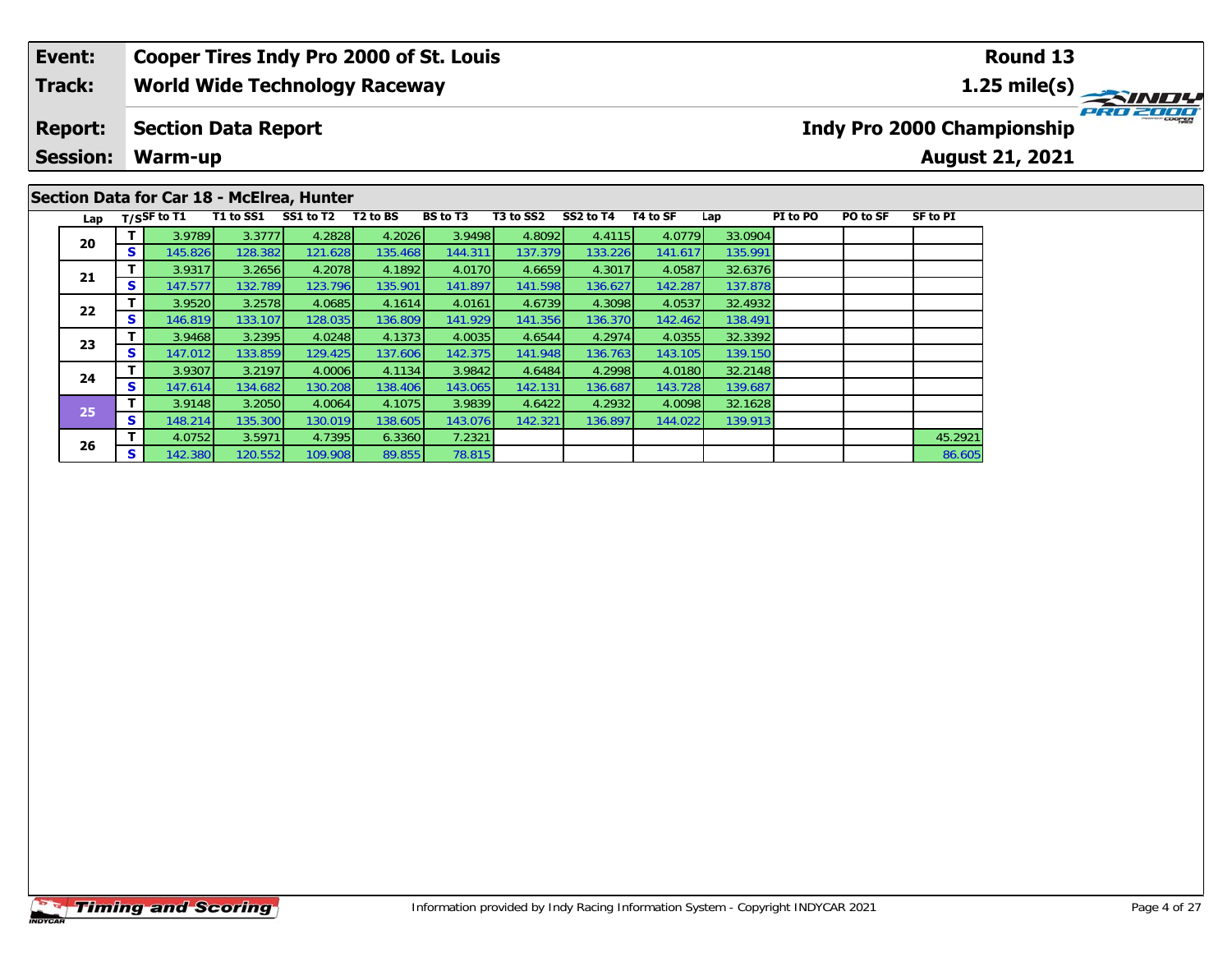### **Event: Cooper Tires Indy Pro 2000 of St. Louis Round 131.25 mile(s) World Wide Technology Raceway Track: PRO 200 Report: Section Data Report Indy Pro 2000 Championship Session: Warm-up August 21, 2021 Section Data for Car 18 - McElrea, Hunter**

| Lap |          | $T/S$ SF to T1 | T1 to SS1 | SS1 to T2 | T <sub>2</sub> to BS | <b>BS</b> to T3 | T3 to SS2 | SS2 to T4 | T4 to SF | Lap     | PI to PO | PO to SF | SF to PI |
|-----|----------|----------------|-----------|-----------|----------------------|-----------------|-----------|-----------|----------|---------|----------|----------|----------|
| 20  | т        | 3.9789         | 3.3777    | 4.2828    | 4.2026               | 3.9498          | 4.8092    | 4.4115    | 4.0779   | 33.0904 |          |          |          |
|     | S        | 145.826        | 128.382   | 121.628   | 135.468              | 144.311         | 137.379   | 133.226   | 141.617  | 135.991 |          |          |          |
| 21  | т        | 3.9317         | 3.2656    | 4.2078    | 4.1892               | 4.0170          | 4.6659    | 4.3017    | 4.0587   | 32.6376 |          |          |          |
|     | S        | 147.577        | 132.789   | 123.796   | 135.901              | 141.897         | 141.598   | 136.627   | 142.287  | 137.878 |          |          |          |
| 22  | т        | 3.9520         | 3.2578    | 4.0685    | 4.1614               | 4.0161          | 4.6739    | 4.3098    | 4.0537   | 32.4932 |          |          |          |
|     | <b>S</b> | 146.819        | 133.107   | 128.035   | 136.809              | 141.929         | 141.356   | 136.370   | 142.462  | 138.491 |          |          |          |
| 23  | т        | 3.9468         | 3.2395    | 4.0248    | 4.1373               | 4.0035          | 4.6544    | 4.2974    | 4.0355   | 32.3392 |          |          |          |
|     | <b>S</b> | 147.012        | 133.859   | 129.425   | 137.606              | 142.375         | 141.948   | 136.763   | 143.105  | 139.150 |          |          |          |
| 24  | т        | 3.9307         | 3.2197    | 4.0006    | 4.1134               | 3.9842          | 4.6484    | 4.2998    | 4.0180   | 32.2148 |          |          |          |
|     | s        | 147.614        | 134.682   | 130.208   | 138.406              | 143.065         | 142.131   | 136.687   | 143.728  | 139.687 |          |          |          |
| 25  | т        | 3.9148         | 3.2050    | 4.0064    | 4.1075               | 3.9839          | 4.6422    | 4.2932    | 4.0098   | 32.1628 |          |          |          |
|     | S        | 148.214        | 135.300   | 130.019   | 138.605              | 143.076         | 142.321   | 136.897   | 144.022  | 139.913 |          |          |          |
| 26  | т        | 4.0752         | 3.5971    | 4.7395    | 6.3360               | 7.2321          |           |           |          |         |          |          | 45.2921  |
|     | S        | 142.380        | 120.552   | 109.908   | 89.855               | 78.815          |           |           |          |         |          |          | 86.605   |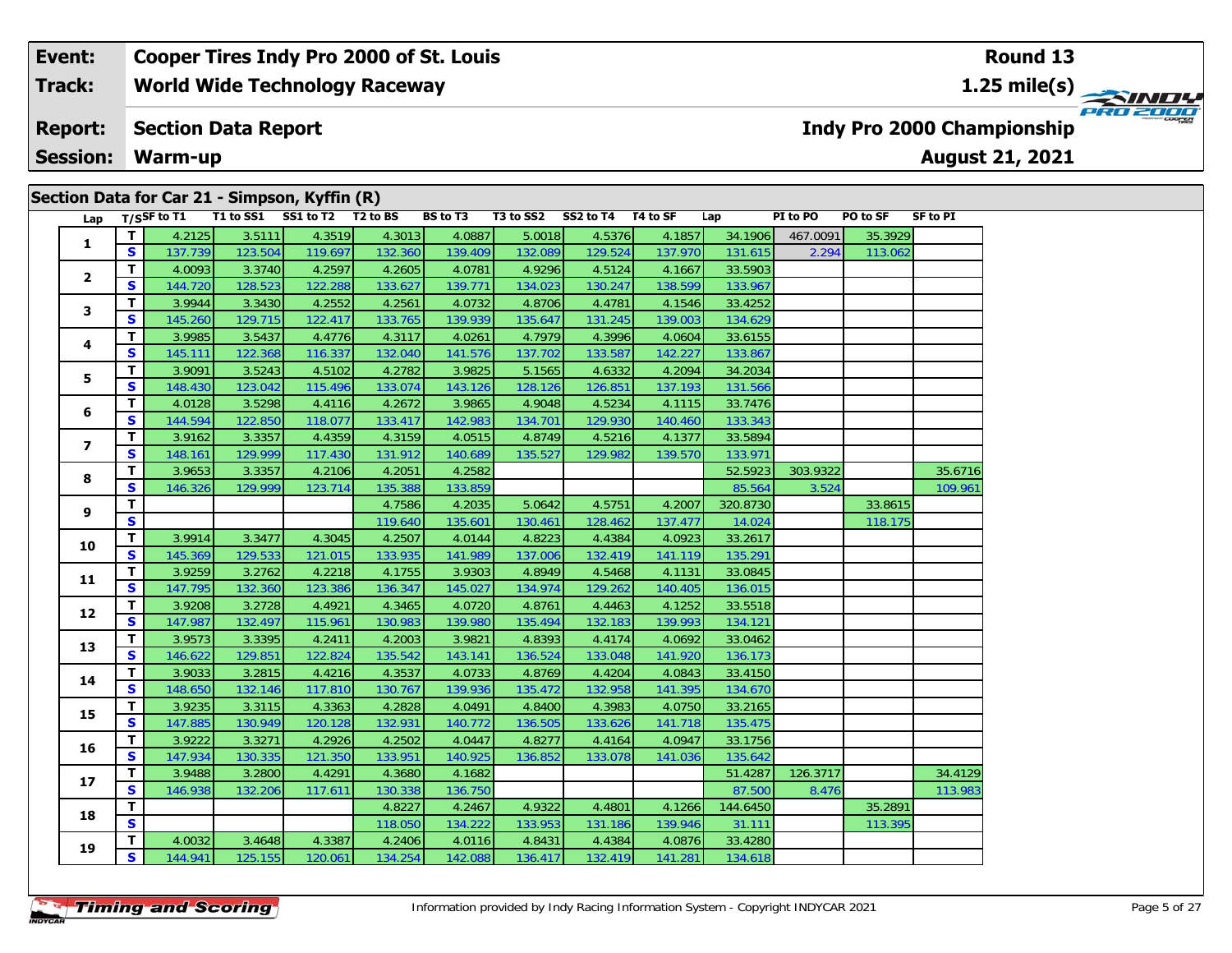| Lap                     |              | T/SSF to T1 | T1 to SS1 SS1 to T2 T2 to BS |         |         | <b>BS</b> to T3 | T3 to SS2 | SS2 to T4 | T4 to SF | Lap      | PI to PO | PO to SF | <b>SF to PI</b> |
|-------------------------|--------------|-------------|------------------------------|---------|---------|-----------------|-----------|-----------|----------|----------|----------|----------|-----------------|
| 1                       | т            | 4.2125      | 3.5111                       | 4.3519  | 4.3013  | 4.0887          | 5.0018    | 4.5376    | 4.1857   | 34.1906  | 467.0091 | 35.3929  |                 |
|                         | S            | 137.739     | 123.504                      | 119.697 | 132.360 | 139.409         | 132.089   | 129.524   | 137.970  | 131.615  | 2.294    | 113.062  |                 |
| $\overline{2}$          | т            | 4.0093      | 3.3740                       | 4.2597  | 4.2605  | 4.0781          | 4.9296    | 4.5124    | 4.1667   | 33.5903  |          |          |                 |
|                         | S            | 144.720     | 128.523                      | 122.288 | 133.627 | 139.771         | 134.023   | 130.247   | 138.599  | 133.967  |          |          |                 |
| 3                       | T            | 3.9944      | 3.3430                       | 4.2552  | 4.2561  | 4.0732          | 4.8706    | 4.4781    | 4.1546   | 33.4252  |          |          |                 |
|                         | S            | 145.260     | 129.715                      | 122.417 | 133.765 | 139.939         | 135.647   | 131.245   | 139.003  | 134.629  |          |          |                 |
| 4                       | T            | 3.9985      | 3.5437                       | 4.4776  | 4.3117  | 4.0261          | 4.7979    | 4.3996    | 4.0604   | 33.6155  |          |          |                 |
|                         | S            | 145.111     | 122.368                      | 116.337 | 132.040 | 141.576         | 137.702   | 133.587   | 142.227  | 133.867  |          |          |                 |
| 5                       | т            | 3.9091      | 3.5243                       | 4.5102  | 4.2782  | 3.9825          | 5.1565    | 4.6332    | 4.2094   | 34.2034  |          |          |                 |
|                         | S            | 148.430     | 123.042                      | 115.496 | 133.074 | 143.126         | 128.126   | 126.851   | 137.193  | 131.566  |          |          |                 |
| 6                       | т            | 4.0128      | 3.5298                       | 4.4116  | 4.2672  | 3.9865          | 4.9048    | 4.5234    | 4.1115   | 33.7476  |          |          |                 |
|                         | S            | 144.594     | 122.850                      | 118.077 | 133.417 | 142.983         | 134.701   | 129.930   | 140.460  | 133.343  |          |          |                 |
| $\overline{\mathbf{z}}$ | т            | 3.9162      | 3.3357                       | 4.4359  | 4.3159  | 4.0515          | 4.8749    | 4.5216    | 4.1377   | 33.5894  |          |          |                 |
|                         | S            | 148.161     | 129.999                      | 117.430 | 131.912 | 140.689         | 135.527   | 129.982   | 139.570  | 133.971  |          |          |                 |
| 8                       | T            | 3.9653      | 3.3357                       | 4.2106  | 4.2051  | 4.2582          |           |           |          | 52.5923  | 303.9322 |          | 35.6716         |
|                         | S            | 146.326     | 129.999                      | 123.714 | 135.388 | 133.859         |           |           |          | 85.564   | 3.524    |          | 109.961         |
|                         | т            |             |                              |         | 4.7586  | 4.2035          | 5.0642    | 4.5751    | 4.2007   | 320.8730 |          | 33.8615  |                 |
| 9                       | S            |             |                              |         | 119.640 | 135.601         | 130.461   | 128.462   | 137.477  | 14.024   |          | 118.175  |                 |
| 10                      | T            | 3.9914      | 3.3477                       | 4.3045  | 4.2507  | 4.0144          | 4.8223    | 4.4384    | 4.0923   | 33.2617  |          |          |                 |
|                         | $\mathbf{s}$ | 145.369     | 129.533                      | 121.015 | 133.935 | 141.989         | 137.006   | 132.419   | 141.119  | 135.291  |          |          |                 |
|                         | T            | 3.9259      | 3.2762                       | 4.2218  | 4.1755  | 3.9303          | 4.8949    | 4.5468    | 4.1131   | 33.0845  |          |          |                 |
| 11                      | $\mathbf{s}$ | 147.795     | 132.360                      | 123.386 | 136.347 | 145.027         | 134.974   | 129.262   | 140.405  | 136.015  |          |          |                 |
|                         | T            | 3.9208      | 3.2728                       | 4.4921  | 4.3465  | 4.0720          | 4.8761    | 4.4463    | 4.1252   | 33.5518  |          |          |                 |
| 12                      | $\mathbf{s}$ | 147.987     | 132.497                      | 115.961 | 130.983 | 139.980         | 135.494   | 132.183   | 139.993  | 134.121  |          |          |                 |
|                         | т            | 3.9573      | 3.3395                       | 4.2411  | 4.2003  | 3.9821          | 4.8393    | 4.4174    | 4.0692   | 33.0462  |          |          |                 |
| 13                      | S            | 146.622     | 129.851                      | 122.824 | 135.542 | 143.141         | 136.524   | 133.048   | 141.920  | 136.173  |          |          |                 |
|                         | т            | 3.9033      | 3.2815                       | 4.4216  | 4.3537  | 4.0733          | 4.8769    | 4.4204    | 4.0843   | 33.4150  |          |          |                 |
| 14                      | S            | 148.650     | 132.146                      | 117.810 | 130.767 | 139.936         | 135.472   | 132.958   | 141.395  | 134.670  |          |          |                 |
|                         | т            | 3.9235      | 3.3115                       | 4.3363  | 4.2828  | 4.0491          | 4.8400    | 4.3983    | 4.0750   | 33.2165  |          |          |                 |
| 15                      | S            | 147.885     | 130.949                      | 120.128 | 132.931 | 140.772         | 136.505   | 133.626   | 141.718  | 135.475  |          |          |                 |

**<sup>T</sup>** 3.9222 3.3271 4.2926 4.2502 4.0447 4.8277 4.4164 4.0947 33.1756 **<sup>S</sup>** 147.934 130.335 121.350 133.951 140.925 136.852 133.078 141.036 135.642

**<sup>T</sup>** 4.0032 3.4648 4.3387 4.2406 4.0116 4.8431 4.4384 4.0876 33.4280 **<sup>S</sup>** 144.941 125.155 120.061 134.254 142.088 136.417 132.419 141.281 134.618

**<sup>T</sup>** 3.9488 3.2800 4.4291 4.3680 4.1682 51.4287 126.3717 34.4129 **<sup>S</sup>** 146.938 132.206 117.611 130.338 136.750 87.500 8.476 113.983

**T** 4.8227 4.2467 4.9322 4.4801 4.1266 144.6450 35.2891 **S** 2891 35.2891 134.222 133.953 131.186 139.946 31.111 113.395

**16**

**17**

**18**

**19**

33.1756

134.618

113.395

113.983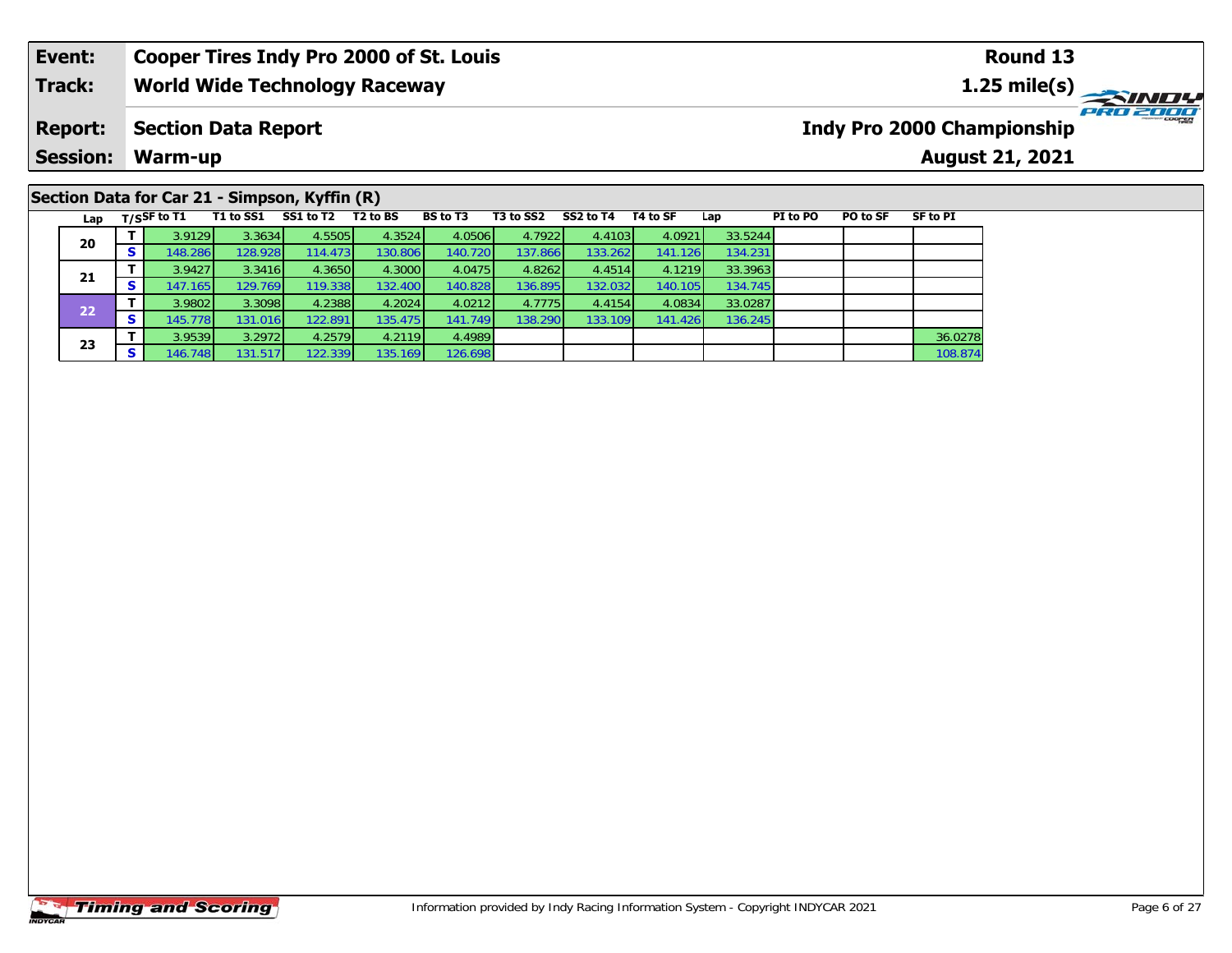# **Section Data for Car 21 - Simpson, Kyffin (R)**

| Lap |   | $T/S$ SF to T1 | T1 to SS1 | SS1 to T2 | T2 to BS | <b>BS</b> to T3 | T3 to SS2 | SS2 to T4 | T4 to SF | Lap     | PI to PO | PO to SF | SF to PI |
|-----|---|----------------|-----------|-----------|----------|-----------------|-----------|-----------|----------|---------|----------|----------|----------|
| 20  |   | 3.9129         | 3.3634    | 4.5505    | 4.3524   | 4.0506          | 4.7922    | 4.4103    | 4.0921   | 33.5244 |          |          |          |
|     |   | 148.286        | 128.928   | 114.4731  | 130.806  | 140.720         | 137.866   | 133.262   | 141.126  | 134.231 |          |          |          |
| 21  |   | 3.9427         | 3.3416    | 4.3650    | 4.3000   | 4.0475          | 4.8262    | 4.4514    | 4.1219   | 33.3963 |          |          |          |
|     |   | 147.165        | 129.769   | 119.338   | 132.400  | 140.828         | 136.895   | 132.032   | 140.105  | 134.745 |          |          |          |
| 22  |   | 3.9802         | 3.3098    | 4.2388    | 4.2024   | 4.0212          | 4.7775    | 4.4154    | 4.0834   | 33.0287 |          |          |          |
|     | Ð | 145.778        | 131.016   | 122.891   | 135.475  | 141.749         | 138.290   | 133.109   | 141.426  | 136.245 |          |          |          |
|     |   | 3.9539         | 3.2972    | 4.2579    | 4.2119   | 4.4989          |           |           |          |         |          |          | 36.0278  |
| 23  | э | 146.748        | 131.517   | 122.339   | 135.169  | 126.698         |           |           |          |         |          |          | 108.874  |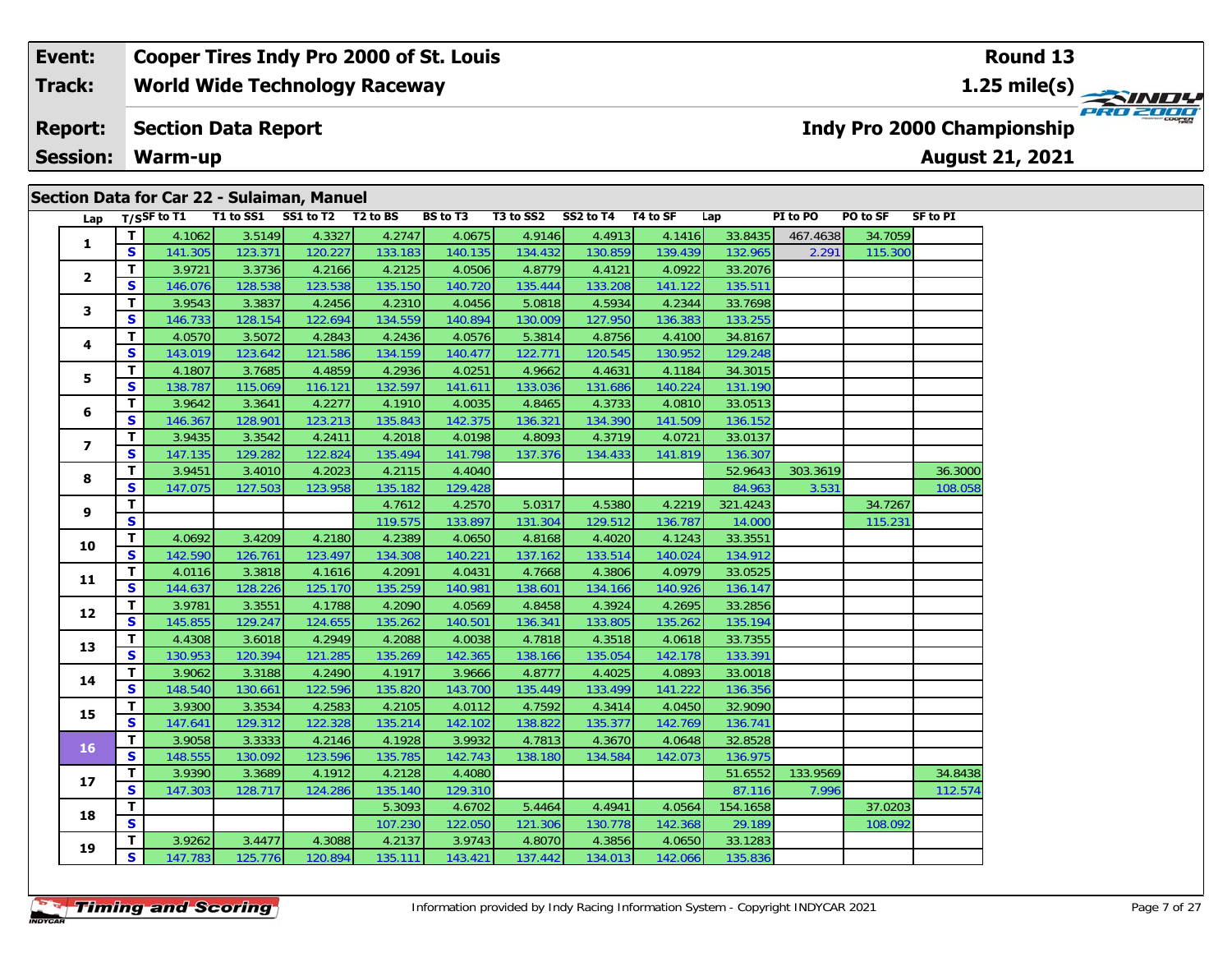|                         |              |             |           | Section Data for Car 22 - Sulaiman, Manuel |                      |                 |           |           |          |          |          |          |                 |
|-------------------------|--------------|-------------|-----------|--------------------------------------------|----------------------|-----------------|-----------|-----------|----------|----------|----------|----------|-----------------|
| Lap                     |              | T/SSF to T1 | T1 to SS1 | SS1 to T2                                  | T <sub>2</sub> to BS | <b>BS</b> to T3 | T3 to SS2 | SS2 to T4 | T4 to SF | Lap      | PI to PO | PO to SF | <b>SF to PI</b> |
| $\mathbf{1}$            | T            | 4.1062      | 3.5149    | 4.3327                                     | 4.2747               | 4.0675          | 4.9146    | 4.4913    | 4.1416   | 33.8435  | 467.4638 | 34.7059  |                 |
|                         | $\mathbf{s}$ | 141.305     | 123.371   | 120.227                                    | 133.183              | 140.135         | 134.432   | 130.859   | 139.439  | 132.965  | 2.291    | 115.300  |                 |
| $\overline{2}$          | T            | 3.9721      | 3.3736    | 4.2166                                     | 4.2125               | 4.0506          | 4.8779    | 4.4121    | 4.0922   | 33.2076  |          |          |                 |
|                         | $\mathbf{s}$ | 146.076     | 128.538   | 123.538                                    | 135.150              | 140.720         | 135.444   | 133.208   | 141.122  | 135.511  |          |          |                 |
| 3                       | т            | 3.9543      | 3.3837    | 4.2456                                     | 4.2310               | 4.0456          | 5.0818    | 4.5934    | 4.2344   | 33.7698  |          |          |                 |
|                         | $\mathbf{s}$ | 146.733     | 128.154   | 122.694                                    | 134.559              | 140.894         | 130.009   | 127.950   | 136.383  | 133.255  |          |          |                 |
| 4                       | T            | 4.0570      | 3.5072    | 4.2843                                     | 4.2436               | 4.0576          | 5.3814    | 4.8756    | 4.4100   | 34.8167  |          |          |                 |
|                         | S            | 143.019     | 123.642   | 121.586                                    | 134.159              | 140.477         | 122.771   | 120.545   | 130.952  | 129.248  |          |          |                 |
| 5                       | т            | 4.1807      | 3.7685    | 4.4859                                     | 4.2936               | 4.0251          | 4.9662    | 4.4631    | 4.1184   | 34.3015  |          |          |                 |
|                         | $\mathbf{s}$ | 138.787     | 115.069   | 116.121                                    | 132.597              | 141.611         | 133.036   | 131.686   | 140.224  | 131.190  |          |          |                 |
| 6                       | T            | 3.9642      | 3.3641    | 4.2277                                     | 4.1910               | 4.0035          | 4.8465    | 4.3733    | 4.0810   | 33.0513  |          |          |                 |
|                         | $\mathbf{s}$ | 146.367     | 128.901   | 123.213                                    | 135.843              | 142.375         | 136.321   | 134.390   | 141.509  | 136.152  |          |          |                 |
| $\overline{\mathbf{z}}$ | T            | 3.9435      | 3.3542    | 4.2411                                     | 4.2018               | 4.0198          | 4.8093    | 4.3719    | 4.0721   | 33.0137  |          |          |                 |
|                         | S            | 147.135     | 129.282   | 122.824                                    | 135.494              | 141.798         | 137.376   | 134.433   | 141.819  | 136.307  |          |          |                 |
| 8                       | т            | 3.9451      | 3.4010    | 4.2023                                     | 4.2115               | 4.4040          |           |           |          | 52.9643  | 303.3619 |          | 36.3000         |
|                         | $\mathbf{s}$ | 147.075     | 127.503   | 123.958                                    | 135.182              | 129.428         |           |           |          | 84.963   | 3.531    |          | 108.058         |
| 9                       | т            |             |           |                                            | 4.7612               | 4.2570          | 5.0317    | 4.5380    | 4.2219   | 321.4243 |          | 34.7267  |                 |
|                         | $\mathbf{s}$ |             |           |                                            | 119.575              | 133.897         | 131.304   | 129.512   | 136.787  | 14.000   |          | 115.231  |                 |
| 10                      | т            | 4.0692      | 3.4209    | 4.2180                                     | 4.2389               | 4.0650          | 4.8168    | 4.4020    | 4.1243   | 33.3551  |          |          |                 |
|                         | $\mathbf{s}$ | 142.590     | 126.761   | 123.497                                    | 134.308              | 140.221         | 137.162   | 133.514   | 140.024  | 134.912  |          |          |                 |
| 11                      | T            | 4.0116      | 3.3818    | 4.1616                                     | 4.2091               | 4.0431          | 4.7668    | 4.3806    | 4.0979   | 33.0525  |          |          |                 |
|                         | $\mathbf{s}$ | 144.637     | 128.226   | 125.170                                    | 135.259              | 140.981         | 138.601   | 134.166   | 140.926  | 136.147  |          |          |                 |
| 12                      | т            | 3.9781      | 3.3551    | 4.1788                                     | 4.2090               | 4.0569          | 4.8458    | 4.3924    | 4.2695   | 33.2856  |          |          |                 |
|                         | $\mathbf{s}$ | 145.855     | 129.247   | 124.655                                    | 135.262              | 140.501         | 136.341   | 133.805   | 135.262  | 135.194  |          |          |                 |
| 13                      | T            | 4.4308      | 3.6018    | 4.2949                                     | 4.2088               | 4.0038          | 4.7818    | 4.3518    | 4.0618   | 33.7355  |          |          |                 |
|                         | $\mathbf{s}$ | 130.953     | 120.394   | 121.285                                    | 135.269              | 142.365         | 138.166   | 135.054   | 142.178  | 133.391  |          |          |                 |
| 14                      | T            | 3.9062      | 3.3188    | 4.2490                                     | 4.1917               | 3.9666          | 4.8777    | 4.4025    | 4.0893   | 33.0018  |          |          |                 |
|                         | S            | 148.540     | 130.661   | 122.596                                    | 135.820              | 143.700         | 135.449   | 133.499   | 141.222  | 136.356  |          |          |                 |
| 15                      | T            | 3.9300      | 3.3534    | 4.2583                                     | 4.2105               | 4.0112          | 4.7592    | 4.3414    | 4.0450   | 32.9090  |          |          |                 |
|                         | $\mathbf{s}$ | 147.641     | 129.312   | 122.328                                    | 135.214              | 142.102         | 138.822   | 135.377   | 142.769  | 136.741  |          |          |                 |
| 16                      | $\mathbf{T}$ | 3.9058      | 3.3333    | 4.2146                                     | 4.1928               | 3.9932          | 4.7813    | 4.3670    | 4.0648   | 32.8528  |          |          |                 |
|                         | S            | 148.555     | 130.092   | 123.596                                    | 135.785              | 142.743         | 138.180   | 134.584   | 142.073  | 136.975  |          |          |                 |
| 17                      | т            | 3.9390      | 3.3689    | 4.1912                                     | 4.2128               | 4.4080          |           |           |          | 51.6552  | 133.9569 |          | 34.8438         |
|                         | $\mathbf{s}$ | 147.303     | 128.717   | 124.286                                    | 135.140              | 129.310         |           |           |          | 87.116   | 7.996    |          | 112.574         |
| 18                      | $\mathbf{T}$ |             |           |                                            | 5.3093               | 4.6702          | 5.4464    | 4.4941    | 4.0564   | 154.1658 |          | 37.0203  |                 |
|                         | $\mathbf{s}$ |             |           |                                            | 107.230              | 122.050         | 121.306   | 130.778   | 142.368  | 29.189   |          | 108.092  |                 |
| 19                      | T            | 3.9262      | 3.4477    | 4.3088                                     | 4.2137               | 3.9743          | 4.8070    | 4.3856    | 4.0650   | 33.1283  |          |          |                 |
|                         | S            | 147.783     | 125.776   | 120.894                                    | 135.111              | 143.421         | 137.442   | 134.013   | 142.066  | 135.836  |          |          |                 |

135.836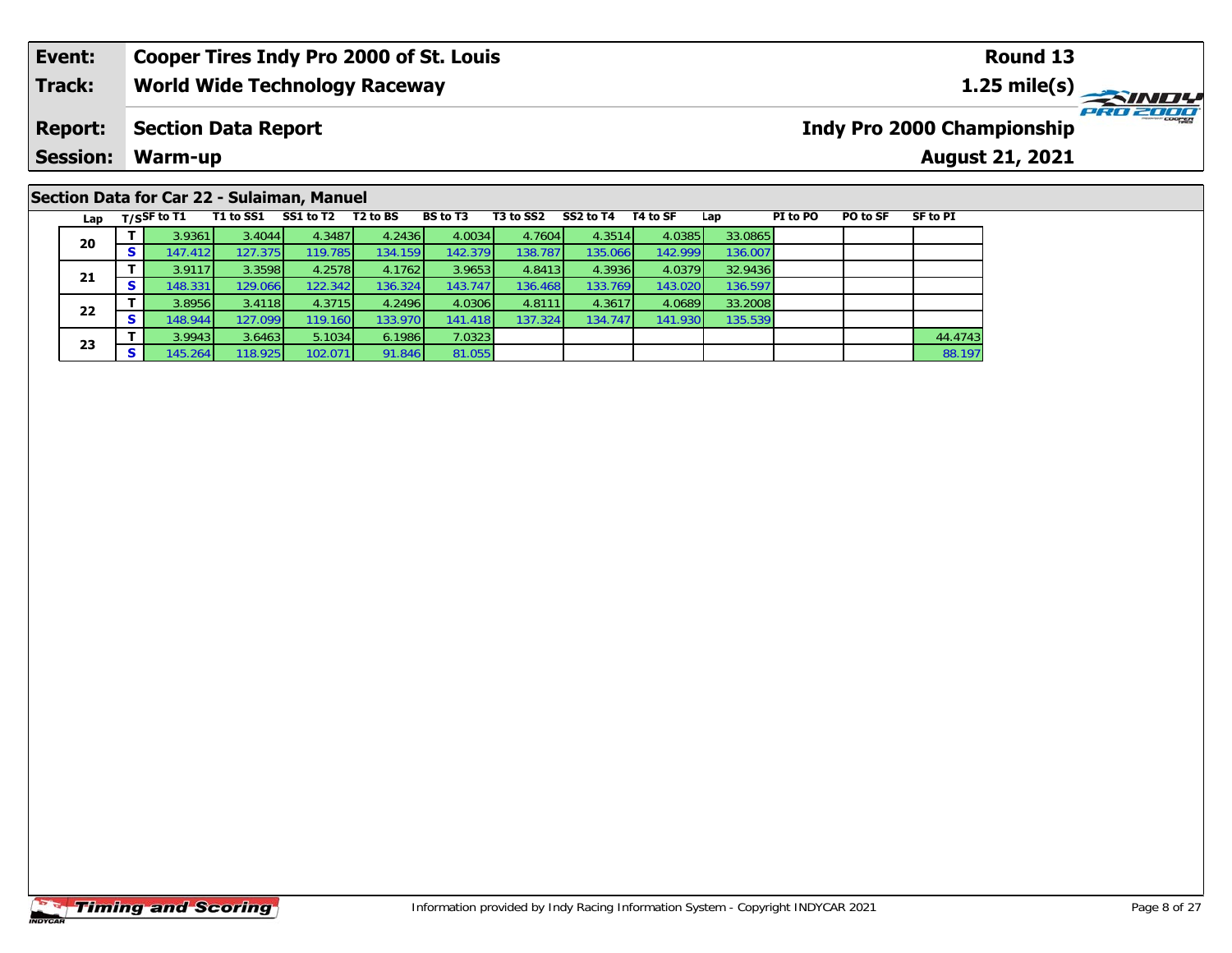#### **Event: Cooper Tires Indy Pro 2000 of St. Louis Round 131.25 mile(s) World Wide Technology Raceway Track: PRO 2000 Report: Indy Pro 2000 Championship Section Data Report Session: Warm-up August 21, 2021**

## **Section Data for Car 22 - Sulaiman, Manuel**

| Lap |    | T/SSF to T1 | T1 to SS1 | SS1 to T2 | T2 to BS | <b>BS</b> to T3 | T3 to SS2 | SS2 to T4 | T4 to SF | Lap     | PI to PO | PO to SF | SF to PI |
|-----|----|-------------|-----------|-----------|----------|-----------------|-----------|-----------|----------|---------|----------|----------|----------|
| 20  |    | 3.9361      | 3.4044    | 4.3487    | 4.2436   | 4.0034          | 4.7604    | 4.3514    | 4.0385   | 33.0865 |          |          |          |
|     | o. | 147.4121    | 127.375   | 119.785   | 134.159  | 142.379         | 138.787   | 135.066   | 142.999  | 136.007 |          |          |          |
| 21  |    | 3.9117      | 3.3598    | 4.2578    | 4.1762   | 3.9653          | 4.8413    | 4.3936    | 4.0379   | 32.9436 |          |          |          |
|     |    | 48.331      | 129.066   | 122.342   | 136.324  | 143.747         | 136.468   | 133.769   | 143.020  | 136.597 |          |          |          |
| 22  |    | 3.8956      | 3.4118    | 4.3715    | 4.2496   | 4.0306          | 4.8111    | 4.3617    | 4.0689   | 33.2008 |          |          |          |
|     | э. | 148.944     | 127.099   | 119.160   | 133.970  | 141.418         | 137.324   | 134.747   | 141.930  | 135.539 |          |          |          |
|     |    | 3.9943      | 3.6463    | 5.1034    | 6.1986   | 7.0323          |           |           |          |         |          |          | 44.4743  |
| 23  | э  | 145.264     | 118.925   | 102.071   | 91.846   | 81.055          |           |           |          |         |          |          | 88.197   |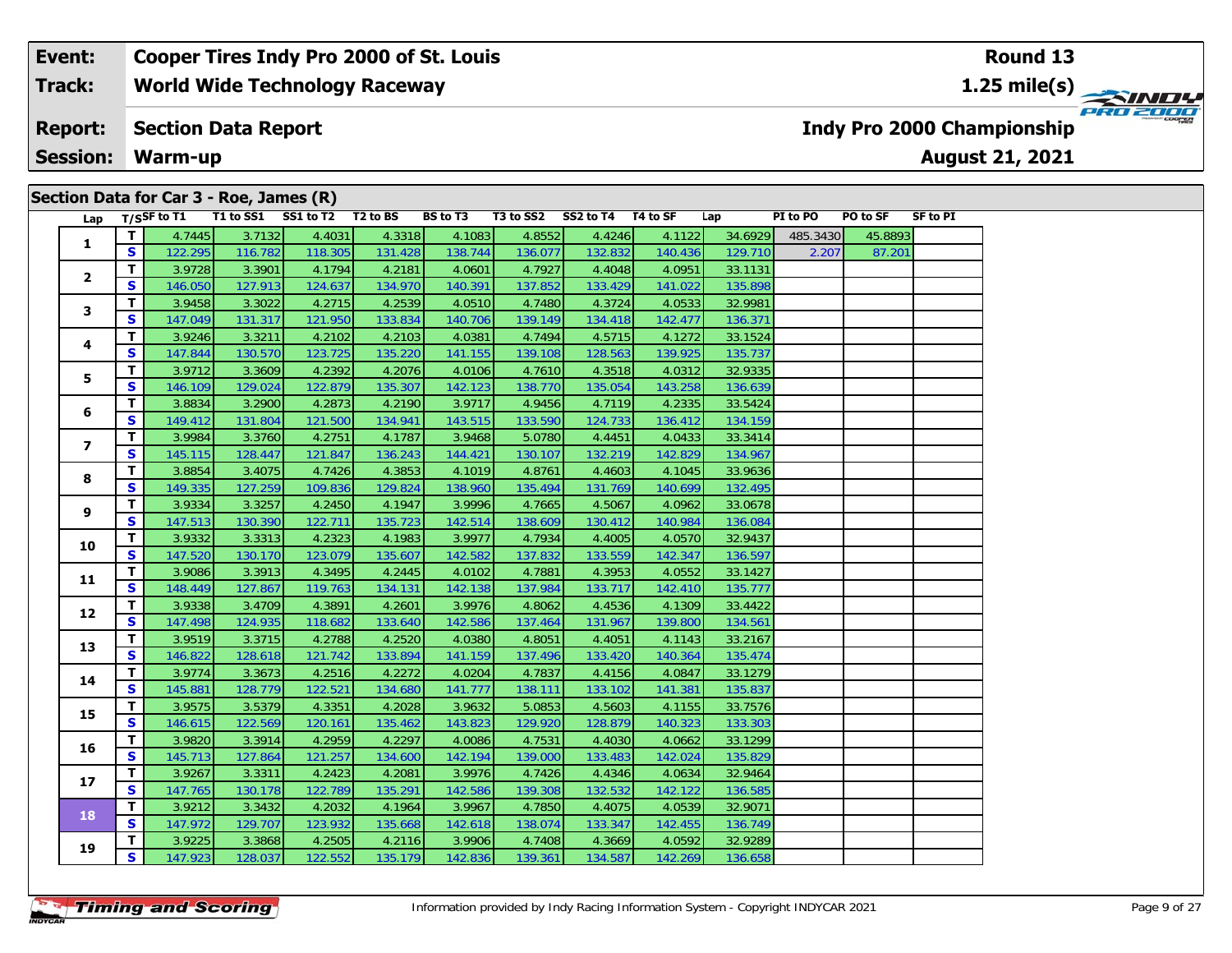| Section Data for Car 3 - Roe, James (R) |  |  |  |  |  |
|-----------------------------------------|--|--|--|--|--|
|-----------------------------------------|--|--|--|--|--|

| Lap            |              | T/SSF to T1 |         | T1 to SS1 SS1 to T2 T2 to BS |         | BS to T3 |         | T3 to SS2 SS2 to T4 T4 to SF |         | Lap     | PI to PO | PO to SF | SF to PI |
|----------------|--------------|-------------|---------|------------------------------|---------|----------|---------|------------------------------|---------|---------|----------|----------|----------|
|                | T.           | 4.7445      | 3.7132  | 4.4031                       | 4.3318  | 4.1083   | 4.8552  | 4.4246                       | 4.1122  | 34.6929 | 485.3430 | 45.8893  |          |
| 1              | S            | 122.295     | 116.782 | 118.305                      | 131.428 | 138.744  | 136.077 | 132.832                      | 140.436 | 129.710 | 2.207    | 87.201   |          |
|                | T            | 3.9728      | 3.3901  | 4.1794                       | 4.2181  | 4.0601   | 4.7927  | 4.4048                       | 4.0951  | 33.1131 |          |          |          |
| 2              | <b>S</b>     | 146.050     | 127.913 | 124.637                      | 134.970 | 140.391  | 137.852 | 133.429                      | 141.022 | 135.898 |          |          |          |
|                | T.           | 3.9458      | 3.3022  | 4.2715                       | 4.2539  | 4.0510   | 4.7480  | 4.3724                       | 4.0533  | 32.9981 |          |          |          |
| 3.             | S            | 147.049     | 131.317 | 121.950                      | 133.834 | 140.706  | 139.149 | 134.418                      | 142.477 | 136.371 |          |          |          |
|                | T.           | 3.9246      | 3.3211  | 4.2102                       | 4.2103  | 4.0381   | 4.7494  | 4.5715                       | 4.1272  | 33.1524 |          |          |          |
| 4              | S            | 147.844     | 130.570 | 123.725                      | 135.220 | 141.155  | 139.108 | 128.563                      | 139.925 | 135.737 |          |          |          |
|                | T.           | 3.9712      | 3.3609  | 4.2392                       | 4.2076  | 4.0106   | 4.7610  | 4.3518                       | 4.0312  | 32.9335 |          |          |          |
| 5.             | S            | 146.109     | 129.024 | 122.879                      | 135.307 | 142.123  | 138.770 | 135.054                      | 143.258 | 136.639 |          |          |          |
|                | T.           | 3.8834      | 3.2900  | 4.2873                       | 4.2190  | 3.9717   | 4.9456  | 4.7119                       | 4.2335  | 33.5424 |          |          |          |
| 6              | S            | 149.412     | 131.804 | 121.500                      | 134.941 | 143.515  | 133.590 | 124.733                      | 136.412 | 134.159 |          |          |          |
|                | T.           | 3.9984      | 3.3760  | 4.2751                       | 4.1787  | 3.9468   | 5.0780  | 4.4451                       | 4.0433  | 33.3414 |          |          |          |
| $\overline{ }$ | S            | 145.115     | 128.447 | 121.847                      | 136.243 | 144.421  | 130.107 | 132.219                      | 142.829 | 134.967 |          |          |          |
|                | T.           | 3.8854      | 3.4075  | 4.7426                       | 4.3853  | 4.1019   | 4.8761  | 4.4603                       | 4.1045  | 33.9636 |          |          |          |
| 8              | S            | 149.335     | 127.259 | 109.836                      | 129.824 | 138.960  | 135.494 | 131.769                      | 140.699 | 132.495 |          |          |          |
|                | T.           | 3.9334      | 3.3257  | 4.2450                       | 4.1947  | 3.9996   | 4.7665  | 4.5067                       | 4.0962  | 33.0678 |          |          |          |
| 9              | S            | 147.513     | 130.390 | 122.711                      | 135.723 | 142.514  | 138.609 | 130.412                      | 140.984 | 136.084 |          |          |          |
|                | T.           | 3.9332      | 3.3313  | 4.2323                       | 4.1983  | 3.9977   | 4.7934  | 4.4005                       | 4.0570  | 32.9437 |          |          |          |
| 10             | S            | 147.520     | 130.170 | 123.079                      | 135.607 | 142.582  | 137.832 | 133.559                      | 142.347 | 136.597 |          |          |          |
|                | T.           | 3.9086      | 3.3913  | 4.3495                       | 4.2445  | 4.0102   | 4.7881  | 4.3953                       | 4.0552  | 33.1427 |          |          |          |
| 11             | S            | 148.449     | 127.867 | 119.763                      | 134.131 | 142.138  | 137.984 | 133.717                      | 142.410 | 135.777 |          |          |          |
|                | T.           | 3.9338      | 3.4709  | 4.3891                       | 4.2601  | 3.9976   | 4.8062  | 4.4536                       | 4.1309  | 33.4422 |          |          |          |
| 12             | S            | 147.498     | 124.935 | 118.682                      | 133.640 | 142.586  | 137.464 | 131.967                      | 139.800 | 134.561 |          |          |          |
|                | T            | 3.9519      | 3.3715  | 4.2788                       | 4.2520  | 4.0380   | 4.8051  | 4.4051                       | 4.1143  | 33.2167 |          |          |          |
| 13             | S            | 146.822     | 128.618 | 121.742                      | 133.894 | 141.159  | 137.496 | 133.420                      | 140.364 | 135.474 |          |          |          |
|                | T.           | 3.9774      | 3.3673  | 4.2516                       | 4.2272  | 4.0204   | 4.7837  | 4.4156                       | 4.0847  | 33.1279 |          |          |          |
| 14             | S.           | 145.881     | 128.779 | 122.521                      | 134.680 | 141.777  | 138.111 | 133.102                      | 141.381 | 135.837 |          |          |          |
|                | T.           | 3.9575      | 3.5379  | 4.3351                       | 4.2028  | 3.9632   | 5.0853  | 4.5603                       | 4.1155  | 33.7576 |          |          |          |
| 15             | S.           | 146.615     | 122.569 | 120.161                      | 135.462 | 143.823  | 129.920 | 128.879                      | 140.323 | 133.303 |          |          |          |
|                | T.           | 3.9820      | 3.3914  | 4.2959                       | 4.2297  | 4.0086   | 4.7531  | 4.4030                       | 4.0662  | 33.1299 |          |          |          |
| 16             | S            | 145.713     | 127.864 | 121.257                      | 134.600 | 142.194  | 139.000 | 133.483                      | 142.024 | 135.829 |          |          |          |
|                | T.           | 3.9267      | 3.3311  | 4.2423                       | 4.2081  | 3.9976   | 4.7426  | 4.4346                       | 4.0634  | 32.9464 |          |          |          |
| 17             | S            | 147.765     | 130.178 | 122.789                      | 135.291 | 142.586  | 139.308 | 132.532                      | 142.122 | 136.585 |          |          |          |
|                | $\mathbf{T}$ | 3.9212      | 3.3432  | 4.2032                       | 4.1964  | 3.9967   | 4.7850  | 4.4075                       | 4.0539  | 32.9071 |          |          |          |
| 18             | <b>S</b>     | 147.972     | 129.707 | 123.932                      | 135.668 | 142.618  | 138.074 | 133.347                      | 142.455 | 136.749 |          |          |          |
|                | T.           | 3.9225      | 3.3868  | 4.2505                       | 4.2116  | 3.9906   | 4.7408  | 4.3669                       | 4.0592  | 32.9289 |          |          |          |
| 19             | S            | 147.923     | 128.037 | 122.552                      | 135.179 | 142.836  | 139.361 | 134.587                      | 142.269 | 136.658 |          |          |          |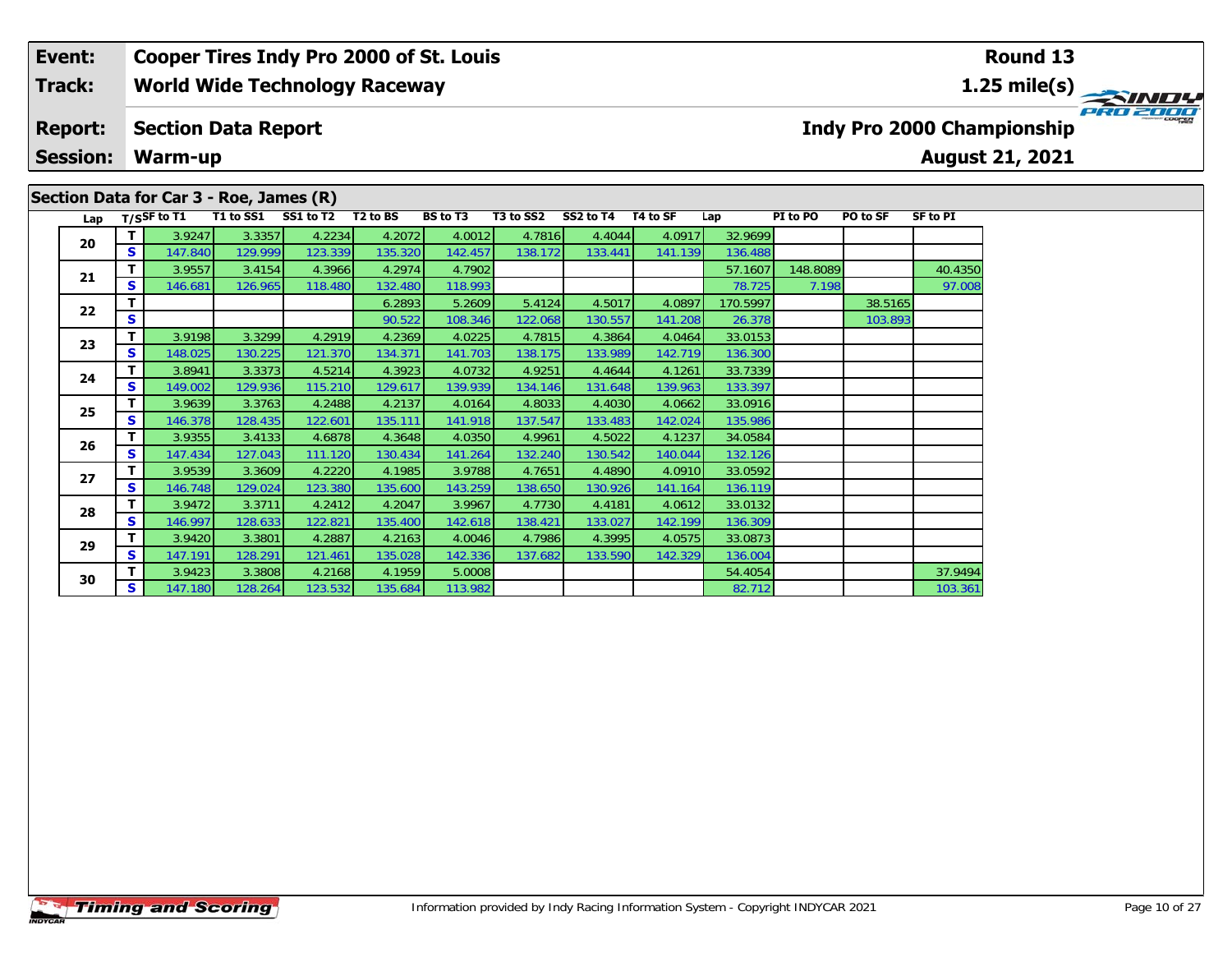## **World Wide Technology Raceway Event: Cooper Tires Indy Pro 2000 of St. Louis Track:**

#### **Section Data Report Report:**

**Session:Warm-up**

# **Section Data for Car 3 - Roe, James (R)**

**August 21, 2021 Indy Pro 2000 Championship**

| Lap |    | T/SSF to T1 | T1 to SS1 | SS1 to T2 | T <sub>2</sub> to BS | <b>BS</b> to T3 | T3 to SS2 | SS2 to T4 | T4 to SF | Lap      | PI to PO | PO to SF | <b>SF to PI</b> |
|-----|----|-------------|-----------|-----------|----------------------|-----------------|-----------|-----------|----------|----------|----------|----------|-----------------|
| 20  | T  | 3.9247      | 3.3357    | 4.2234    | 4.2072               | 4.0012          | 4.7816    | 4.4044    | 4.0917   | 32.9699  |          |          |                 |
|     | S. | 147.840     | 129.999   | 123.339   | 135.320              | 142.457         | 138.172   | 133.441   | 141.139  | 136.488  |          |          |                 |
| 21  | т  | 3.9557      | 3.4154    | 4.3966    | 4.2974               | 4.7902          |           |           |          | 57.1607  | 148.8089 |          | 40.4350         |
|     | S. | 146.681     | 126.965   | 118.480   | 132.480              | 118.993         |           |           |          | 78.725   | 7.198    |          | 97.008          |
| 22  | т. |             |           |           | 6.2893               | 5.2609          | 5.4124    | 4.5017    | 4.0897   | 170.5997 |          | 38.5165  |                 |
|     | S. |             |           |           | 90.522               | 108.346         | 122.068   | 130.557   | 141.208  | 26.378   |          | 103.893  |                 |
| 23  | T. | 3.9198      | 3.3299    | 4.2919    | 4.2369               | 4.0225          | 4.7815    | 4.3864    | 4.0464   | 33.0153  |          |          |                 |
|     | S. | 148.025     | 130.225   | 121.370   | 134.371              | 141.703         | 138.175   | 133.989   | 142.719  | 136.300  |          |          |                 |
| 24  | T. | 3.8941      | 3.3373    | 4.5214    | 4.3923               | 4.0732          | 4.9251    | 4.4644    | 4.1261   | 33.7339  |          |          |                 |
|     | S. | 149.002     | 129.936   | 115.210   | 129.617              | 139.939         | 134.146   | 131.648   | 139.963  | 133.397  |          |          |                 |
| 25  | T. | 3.9639      | 3.3763    | 4.2488    | 4.2137               | 4.0164          | 4.8033    | 4.4030    | 4.0662   | 33.0916  |          |          |                 |
|     | S  | 146.378     | 128.435   | 122.601   | 135.111              | 141.918         | 137.547   | 133.483   | 142.024  | 135.986  |          |          |                 |
| 26  | т. | 3.9355      | 3.4133    | 4.6878    | 4.3648               | 4.0350          | 4.9961    | 4.5022    | 4.1237   | 34.0584  |          |          |                 |
|     | S. | 147.434     | 127.043   | 111.120   | 130.434              | 141.264         | 132.240   | 130.542   | 140.044  | 132.126  |          |          |                 |
| 27  | Τ. | 3.9539      | 3.3609    | 4.2220    | 4.1985               | 3.9788          | 4.7651    | 4.4890    | 4.0910   | 33.0592  |          |          |                 |
|     | S. | 146.748     | 129.024   | 123.380   | 135.600              | 143.259         | 138.650   | 130.926   | 141.164  | 136.119  |          |          |                 |
| 28  | T. | 3.9472      | 3.3711    | 4.2412    | 4.2047               | 3.9967          | 4.7730    | 4.4181    | 4.0612   | 33.0132  |          |          |                 |
|     | S. | 146.997     | 128.633   | 122.821   | 135.400              | 142.618         | 138.421   | 133.027   | 142.199  | 136.309  |          |          |                 |
| 29  | т  | 3.9420      | 3.3801    | 4.2887    | 4.2163               | 4.0046          | 4.7986    | 4.3995    | 4.0575   | 33.0873  |          |          |                 |
|     | S. | 147.191     | 128.291   | 121.461   | 135.028              | 142.336         | 137.682   | 133.590   | 142.329  | 136.004  |          |          |                 |
| 30  | т  | 3.9423      | 3.3808    | 4.2168    | 4.1959               | 5.0008          |           |           |          | 54.4054  |          |          | 37.9494         |
|     | S. | 147.180     | 128.264   | 123.532   | 135.684              | 113.982         |           |           |          | 82.712   |          |          | 103.361         |

**Round 13**

**1.25 mile(s)**

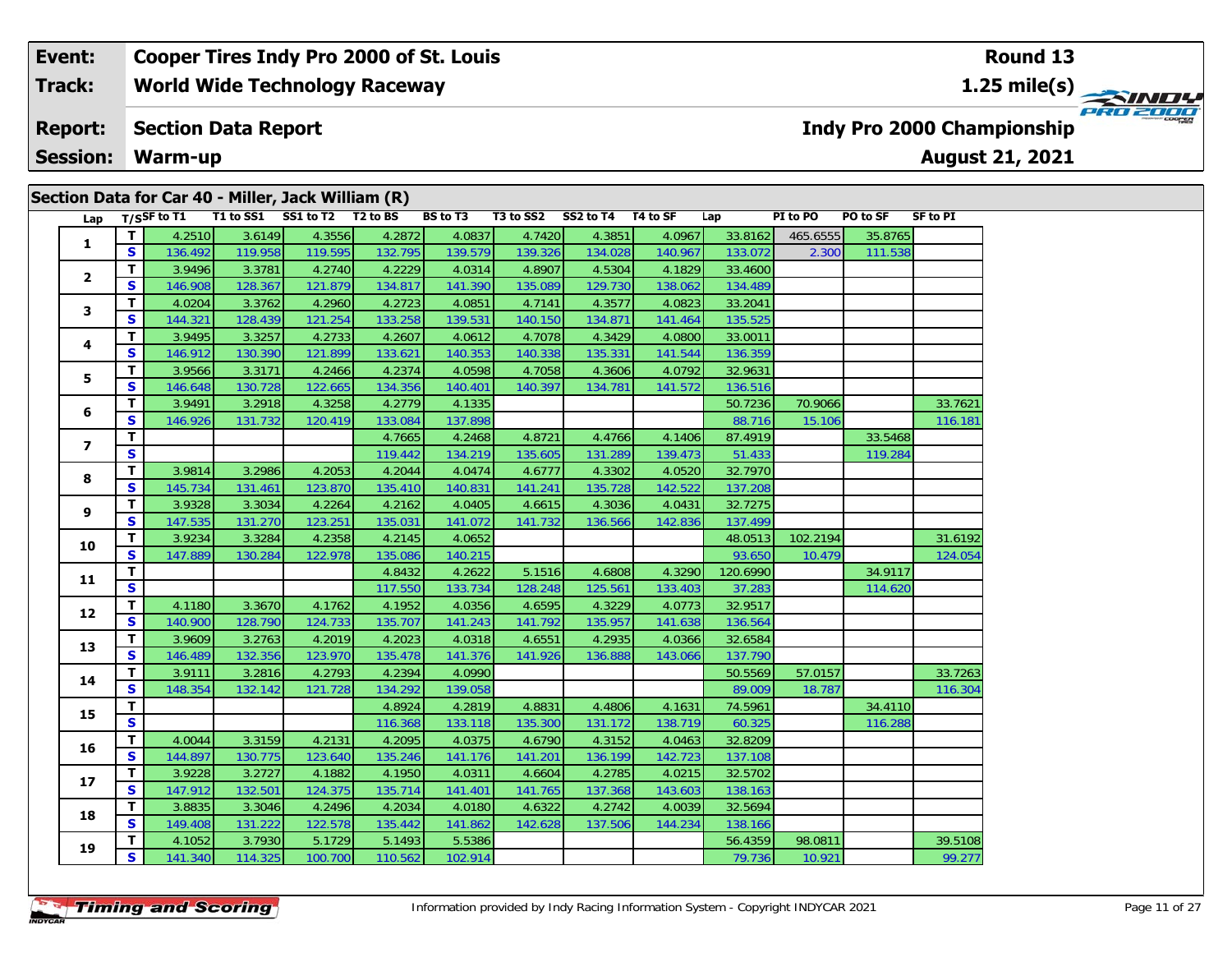| Section Data for Car 40 - Miller, Jack William (R)<br>T1 to SS1 SS1 to T2<br>$T2$ to BS<br><b>BS</b> to T3<br>$T/S$ SF to T1<br>T3 to SS2<br>SS2 to T4<br>T4 to SF<br>PI to PO<br>PO to SF<br><b>SF to PI</b><br>Lap<br>Lap<br>3.6149<br>4.3556<br>T<br>4.2510<br>4.2872<br>4.0837<br>4.7420<br>4.3851<br>33.8162<br>4.0967<br>465.6555<br>35.8765<br>$\mathbf{1}$<br>$\mathbf s$<br>119.958<br>119.595<br>136.492<br>132.795<br>139.579<br>139.326<br>134.028<br>140.967<br>133.072<br>111.538<br>2.300<br>3.3781<br>4.2740<br>4.5304<br>т<br>3.9496<br>4.2229<br>4.0314<br>4.8907<br>4.1829<br>33.4600<br>$\overline{\mathbf{2}}$<br>S<br>135.089<br>146.908<br>128.367<br>121.879<br>134.817<br>141.390<br>129.730<br>138.062<br>134.489<br>4.2960<br>4.3577<br>33.2041<br>T<br>4.0204<br>3.3762<br>4.2723<br>4.0851<br>4.7141<br>4.0823<br>3<br>$\mathbf{s}$<br>133.258<br>144.321<br>128.439<br>121.254<br>139.531<br>140.150<br>134.871<br>141.464<br>135.525<br>3.9495<br>3.3257<br>4.2733<br>4.3429<br>33.0011<br>т<br>4.2607<br>4.0612<br>4.7078<br>4.0800<br>4<br>$\mathbf{s}$<br>146.912<br>130.390<br>121.899<br>133.621<br>140.353<br>140.338<br>135.331<br>141.544<br>136.359<br>3.9566<br>T<br>3.3171<br>4.2466<br>4.2374<br>4.0598<br>4.7058<br>4.3606<br>4.0792<br>32.9631<br>5<br>S<br>122.665<br>130.728<br>134.356<br>140.401<br>140.397<br>134.781<br>141.572<br>136.516<br>146.648<br>T<br>3.9491<br>4.3258<br>4.2779<br>70.9066<br>3.2918<br>4.1335<br>50.7236<br>6<br>$\mathbf{s}$<br>146.926<br>120.419<br>133.084<br>137.898<br>131.732<br>88.716<br>15.106<br>T<br>4.7665<br>4.2468<br>4.8721<br>4.4766<br>4.1406<br>87.4919<br>33.5468<br>7<br>$\mathbf{s}$<br>119.442<br>134.219<br>135.605<br>131.289<br>139.473<br>51.433<br>119.284<br>T<br>3.2986<br>4.2053<br>3.9814<br>4.2044<br>4.0474<br>4.6777<br>4.3302<br>4.0520<br>32.7970<br>8<br>$\mathbf{s}$<br>135.728<br>145.734<br>131.461<br>123.870<br>135.410<br>140.831<br>141.241<br>142.522<br>137.208<br>т<br>3.9328<br>3.3034<br>4.2264<br>4.2162<br>4.0405<br>4.6615<br>4.3036<br>4.0431<br>32.7275<br>9<br>$\mathbf{s}$<br>123.251<br>147.535<br>131.270<br>135.031<br>136.566<br>142.836<br>137.499<br>141.072<br>141.732<br>4.2358<br>102.2194<br>T<br>3.9234<br>3.3284<br>4.2145<br>4.0652<br>48.0513<br>10<br>$\mathbf{s}$<br>122.978<br>135.086<br>140.215<br>93.650<br>147.889<br>130.284<br>10.479<br>T<br>5.1516<br>4.6808<br>4.3290<br>120.6990<br>4.8432<br>4.2622<br>34.9117<br>11<br>$\mathbf{s}$<br>128.248<br>133.403<br>114.620<br>117.550<br>133.734<br>125.561<br>37.283<br>32.9517<br>T<br>3.3670<br>4.1762<br>4.1952<br>4.0356<br>4.6595<br>4.3229<br>4.0773<br>4.1180<br>12<br>$\mathbf{s}$<br>140.900<br>128.790<br>124.733<br>135.707<br>141.792<br>135.957<br>141.638<br>141.243<br>136.564<br>4.2935<br>т<br>3.9609<br>3.2763<br>4.2019<br>4.2023<br>4.0318<br>4.6551<br>4.0366<br>32.6584<br>13<br>$\mathbf s$<br>123.970<br>146.489<br>132.356<br>135.478<br>141.376<br>141.926<br>136.888<br>143.066<br>137.790<br>T<br>3.9111<br>3.2816<br>4.2793<br>4.2394<br>4.0990<br>50.5569<br>57.0157<br>14<br>$\mathbf{s}$<br>132.142<br>121.728<br>134.292<br>139.058<br>89.009<br>18.787<br>148.354<br>T<br>4.8924<br>4.2819<br>4.8831<br>4.4806<br>4.1631<br>74.5961<br>34.4110<br>15<br>$\mathbf{s}$<br>138.719<br>60.325<br>116.368<br>133.118<br>135.300<br>131.172<br>116.288<br>T<br>4.0044<br>3.3159<br>4.2131<br>4.2095<br>4.0375<br>4.6790<br>4.3152<br>4.0463<br>32.8209<br>16<br>S<br>144.897<br>130.775<br>123.640<br>135.246<br>141.176<br>141.201<br>136.199<br>142.723<br>137.108<br>T<br>4.2785<br>4.0215<br>32.5702<br>3.9228<br>3.2727<br>4.1882<br>4.1950<br>4.0311<br>4.6604<br>17<br>$\mathbf{s}$<br>147.912<br>132.501<br>124.375<br>135.714<br>141.765<br>137.368<br>143.603<br>138.163<br>141.401<br>4.2496<br>3.8835<br>3.3046<br>4.2034<br>4.6322<br>4.2742<br>4.0039<br>32.5694<br>T<br>4.0180<br>18<br>$\mathbf{s}$<br>131.222<br>122.578<br>135.442<br>142.628<br>137.506<br>144.234<br>149.408<br>141.862<br>138.166<br>3.7930<br>5.1729<br>98.0811<br>т<br>4.1052<br>5.1493<br>5.5386<br>56.4359<br>19<br>S<br>141.340<br>114.325<br>100.700<br>110.562<br>102.914<br>79.736<br>10.921 |  | ----- |  |  |  |  |  |         |
|-------------------------------------------------------------------------------------------------------------------------------------------------------------------------------------------------------------------------------------------------------------------------------------------------------------------------------------------------------------------------------------------------------------------------------------------------------------------------------------------------------------------------------------------------------------------------------------------------------------------------------------------------------------------------------------------------------------------------------------------------------------------------------------------------------------------------------------------------------------------------------------------------------------------------------------------------------------------------------------------------------------------------------------------------------------------------------------------------------------------------------------------------------------------------------------------------------------------------------------------------------------------------------------------------------------------------------------------------------------------------------------------------------------------------------------------------------------------------------------------------------------------------------------------------------------------------------------------------------------------------------------------------------------------------------------------------------------------------------------------------------------------------------------------------------------------------------------------------------------------------------------------------------------------------------------------------------------------------------------------------------------------------------------------------------------------------------------------------------------------------------------------------------------------------------------------------------------------------------------------------------------------------------------------------------------------------------------------------------------------------------------------------------------------------------------------------------------------------------------------------------------------------------------------------------------------------------------------------------------------------------------------------------------------------------------------------------------------------------------------------------------------------------------------------------------------------------------------------------------------------------------------------------------------------------------------------------------------------------------------------------------------------------------------------------------------------------------------------------------------------------------------------------------------------------------------------------------------------------------------------------------------------------------------------------------------------------------------------------------------------------------------------------------------------------------------------------------------------------------------------------------------------------------------------------------------------------------------------------------------------------------------------------------------------------------------------------------------------------------------------------------------------------------------------------------------------------------------------------------------------------------------------------------------------------------------------------------------------------------------------------------------------------------------------------------------------------------------------------------------------------------------------------------------------------------------------------------------------------------|--|-------|--|--|--|--|--|---------|
|                                                                                                                                                                                                                                                                                                                                                                                                                                                                                                                                                                                                                                                                                                                                                                                                                                                                                                                                                                                                                                                                                                                                                                                                                                                                                                                                                                                                                                                                                                                                                                                                                                                                                                                                                                                                                                                                                                                                                                                                                                                                                                                                                                                                                                                                                                                                                                                                                                                                                                                                                                                                                                                                                                                                                                                                                                                                                                                                                                                                                                                                                                                                                                                                                                                                                                                                                                                                                                                                                                                                                                                                                                                                                                                                                                                                                                                                                                                                                                                                                                                                                                                                                                                                                                     |  |       |  |  |  |  |  |         |
|                                                                                                                                                                                                                                                                                                                                                                                                                                                                                                                                                                                                                                                                                                                                                                                                                                                                                                                                                                                                                                                                                                                                                                                                                                                                                                                                                                                                                                                                                                                                                                                                                                                                                                                                                                                                                                                                                                                                                                                                                                                                                                                                                                                                                                                                                                                                                                                                                                                                                                                                                                                                                                                                                                                                                                                                                                                                                                                                                                                                                                                                                                                                                                                                                                                                                                                                                                                                                                                                                                                                                                                                                                                                                                                                                                                                                                                                                                                                                                                                                                                                                                                                                                                                                                     |  |       |  |  |  |  |  |         |
|                                                                                                                                                                                                                                                                                                                                                                                                                                                                                                                                                                                                                                                                                                                                                                                                                                                                                                                                                                                                                                                                                                                                                                                                                                                                                                                                                                                                                                                                                                                                                                                                                                                                                                                                                                                                                                                                                                                                                                                                                                                                                                                                                                                                                                                                                                                                                                                                                                                                                                                                                                                                                                                                                                                                                                                                                                                                                                                                                                                                                                                                                                                                                                                                                                                                                                                                                                                                                                                                                                                                                                                                                                                                                                                                                                                                                                                                                                                                                                                                                                                                                                                                                                                                                                     |  |       |  |  |  |  |  |         |
|                                                                                                                                                                                                                                                                                                                                                                                                                                                                                                                                                                                                                                                                                                                                                                                                                                                                                                                                                                                                                                                                                                                                                                                                                                                                                                                                                                                                                                                                                                                                                                                                                                                                                                                                                                                                                                                                                                                                                                                                                                                                                                                                                                                                                                                                                                                                                                                                                                                                                                                                                                                                                                                                                                                                                                                                                                                                                                                                                                                                                                                                                                                                                                                                                                                                                                                                                                                                                                                                                                                                                                                                                                                                                                                                                                                                                                                                                                                                                                                                                                                                                                                                                                                                                                     |  |       |  |  |  |  |  |         |
|                                                                                                                                                                                                                                                                                                                                                                                                                                                                                                                                                                                                                                                                                                                                                                                                                                                                                                                                                                                                                                                                                                                                                                                                                                                                                                                                                                                                                                                                                                                                                                                                                                                                                                                                                                                                                                                                                                                                                                                                                                                                                                                                                                                                                                                                                                                                                                                                                                                                                                                                                                                                                                                                                                                                                                                                                                                                                                                                                                                                                                                                                                                                                                                                                                                                                                                                                                                                                                                                                                                                                                                                                                                                                                                                                                                                                                                                                                                                                                                                                                                                                                                                                                                                                                     |  |       |  |  |  |  |  |         |
|                                                                                                                                                                                                                                                                                                                                                                                                                                                                                                                                                                                                                                                                                                                                                                                                                                                                                                                                                                                                                                                                                                                                                                                                                                                                                                                                                                                                                                                                                                                                                                                                                                                                                                                                                                                                                                                                                                                                                                                                                                                                                                                                                                                                                                                                                                                                                                                                                                                                                                                                                                                                                                                                                                                                                                                                                                                                                                                                                                                                                                                                                                                                                                                                                                                                                                                                                                                                                                                                                                                                                                                                                                                                                                                                                                                                                                                                                                                                                                                                                                                                                                                                                                                                                                     |  |       |  |  |  |  |  |         |
|                                                                                                                                                                                                                                                                                                                                                                                                                                                                                                                                                                                                                                                                                                                                                                                                                                                                                                                                                                                                                                                                                                                                                                                                                                                                                                                                                                                                                                                                                                                                                                                                                                                                                                                                                                                                                                                                                                                                                                                                                                                                                                                                                                                                                                                                                                                                                                                                                                                                                                                                                                                                                                                                                                                                                                                                                                                                                                                                                                                                                                                                                                                                                                                                                                                                                                                                                                                                                                                                                                                                                                                                                                                                                                                                                                                                                                                                                                                                                                                                                                                                                                                                                                                                                                     |  |       |  |  |  |  |  |         |
|                                                                                                                                                                                                                                                                                                                                                                                                                                                                                                                                                                                                                                                                                                                                                                                                                                                                                                                                                                                                                                                                                                                                                                                                                                                                                                                                                                                                                                                                                                                                                                                                                                                                                                                                                                                                                                                                                                                                                                                                                                                                                                                                                                                                                                                                                                                                                                                                                                                                                                                                                                                                                                                                                                                                                                                                                                                                                                                                                                                                                                                                                                                                                                                                                                                                                                                                                                                                                                                                                                                                                                                                                                                                                                                                                                                                                                                                                                                                                                                                                                                                                                                                                                                                                                     |  |       |  |  |  |  |  |         |
|                                                                                                                                                                                                                                                                                                                                                                                                                                                                                                                                                                                                                                                                                                                                                                                                                                                                                                                                                                                                                                                                                                                                                                                                                                                                                                                                                                                                                                                                                                                                                                                                                                                                                                                                                                                                                                                                                                                                                                                                                                                                                                                                                                                                                                                                                                                                                                                                                                                                                                                                                                                                                                                                                                                                                                                                                                                                                                                                                                                                                                                                                                                                                                                                                                                                                                                                                                                                                                                                                                                                                                                                                                                                                                                                                                                                                                                                                                                                                                                                                                                                                                                                                                                                                                     |  |       |  |  |  |  |  |         |
|                                                                                                                                                                                                                                                                                                                                                                                                                                                                                                                                                                                                                                                                                                                                                                                                                                                                                                                                                                                                                                                                                                                                                                                                                                                                                                                                                                                                                                                                                                                                                                                                                                                                                                                                                                                                                                                                                                                                                                                                                                                                                                                                                                                                                                                                                                                                                                                                                                                                                                                                                                                                                                                                                                                                                                                                                                                                                                                                                                                                                                                                                                                                                                                                                                                                                                                                                                                                                                                                                                                                                                                                                                                                                                                                                                                                                                                                                                                                                                                                                                                                                                                                                                                                                                     |  |       |  |  |  |  |  |         |
|                                                                                                                                                                                                                                                                                                                                                                                                                                                                                                                                                                                                                                                                                                                                                                                                                                                                                                                                                                                                                                                                                                                                                                                                                                                                                                                                                                                                                                                                                                                                                                                                                                                                                                                                                                                                                                                                                                                                                                                                                                                                                                                                                                                                                                                                                                                                                                                                                                                                                                                                                                                                                                                                                                                                                                                                                                                                                                                                                                                                                                                                                                                                                                                                                                                                                                                                                                                                                                                                                                                                                                                                                                                                                                                                                                                                                                                                                                                                                                                                                                                                                                                                                                                                                                     |  |       |  |  |  |  |  |         |
|                                                                                                                                                                                                                                                                                                                                                                                                                                                                                                                                                                                                                                                                                                                                                                                                                                                                                                                                                                                                                                                                                                                                                                                                                                                                                                                                                                                                                                                                                                                                                                                                                                                                                                                                                                                                                                                                                                                                                                                                                                                                                                                                                                                                                                                                                                                                                                                                                                                                                                                                                                                                                                                                                                                                                                                                                                                                                                                                                                                                                                                                                                                                                                                                                                                                                                                                                                                                                                                                                                                                                                                                                                                                                                                                                                                                                                                                                                                                                                                                                                                                                                                                                                                                                                     |  |       |  |  |  |  |  |         |
|                                                                                                                                                                                                                                                                                                                                                                                                                                                                                                                                                                                                                                                                                                                                                                                                                                                                                                                                                                                                                                                                                                                                                                                                                                                                                                                                                                                                                                                                                                                                                                                                                                                                                                                                                                                                                                                                                                                                                                                                                                                                                                                                                                                                                                                                                                                                                                                                                                                                                                                                                                                                                                                                                                                                                                                                                                                                                                                                                                                                                                                                                                                                                                                                                                                                                                                                                                                                                                                                                                                                                                                                                                                                                                                                                                                                                                                                                                                                                                                                                                                                                                                                                                                                                                     |  |       |  |  |  |  |  |         |
|                                                                                                                                                                                                                                                                                                                                                                                                                                                                                                                                                                                                                                                                                                                                                                                                                                                                                                                                                                                                                                                                                                                                                                                                                                                                                                                                                                                                                                                                                                                                                                                                                                                                                                                                                                                                                                                                                                                                                                                                                                                                                                                                                                                                                                                                                                                                                                                                                                                                                                                                                                                                                                                                                                                                                                                                                                                                                                                                                                                                                                                                                                                                                                                                                                                                                                                                                                                                                                                                                                                                                                                                                                                                                                                                                                                                                                                                                                                                                                                                                                                                                                                                                                                                                                     |  |       |  |  |  |  |  | 33.7621 |
|                                                                                                                                                                                                                                                                                                                                                                                                                                                                                                                                                                                                                                                                                                                                                                                                                                                                                                                                                                                                                                                                                                                                                                                                                                                                                                                                                                                                                                                                                                                                                                                                                                                                                                                                                                                                                                                                                                                                                                                                                                                                                                                                                                                                                                                                                                                                                                                                                                                                                                                                                                                                                                                                                                                                                                                                                                                                                                                                                                                                                                                                                                                                                                                                                                                                                                                                                                                                                                                                                                                                                                                                                                                                                                                                                                                                                                                                                                                                                                                                                                                                                                                                                                                                                                     |  |       |  |  |  |  |  | 116.181 |
|                                                                                                                                                                                                                                                                                                                                                                                                                                                                                                                                                                                                                                                                                                                                                                                                                                                                                                                                                                                                                                                                                                                                                                                                                                                                                                                                                                                                                                                                                                                                                                                                                                                                                                                                                                                                                                                                                                                                                                                                                                                                                                                                                                                                                                                                                                                                                                                                                                                                                                                                                                                                                                                                                                                                                                                                                                                                                                                                                                                                                                                                                                                                                                                                                                                                                                                                                                                                                                                                                                                                                                                                                                                                                                                                                                                                                                                                                                                                                                                                                                                                                                                                                                                                                                     |  |       |  |  |  |  |  |         |
|                                                                                                                                                                                                                                                                                                                                                                                                                                                                                                                                                                                                                                                                                                                                                                                                                                                                                                                                                                                                                                                                                                                                                                                                                                                                                                                                                                                                                                                                                                                                                                                                                                                                                                                                                                                                                                                                                                                                                                                                                                                                                                                                                                                                                                                                                                                                                                                                                                                                                                                                                                                                                                                                                                                                                                                                                                                                                                                                                                                                                                                                                                                                                                                                                                                                                                                                                                                                                                                                                                                                                                                                                                                                                                                                                                                                                                                                                                                                                                                                                                                                                                                                                                                                                                     |  |       |  |  |  |  |  |         |
|                                                                                                                                                                                                                                                                                                                                                                                                                                                                                                                                                                                                                                                                                                                                                                                                                                                                                                                                                                                                                                                                                                                                                                                                                                                                                                                                                                                                                                                                                                                                                                                                                                                                                                                                                                                                                                                                                                                                                                                                                                                                                                                                                                                                                                                                                                                                                                                                                                                                                                                                                                                                                                                                                                                                                                                                                                                                                                                                                                                                                                                                                                                                                                                                                                                                                                                                                                                                                                                                                                                                                                                                                                                                                                                                                                                                                                                                                                                                                                                                                                                                                                                                                                                                                                     |  |       |  |  |  |  |  |         |
|                                                                                                                                                                                                                                                                                                                                                                                                                                                                                                                                                                                                                                                                                                                                                                                                                                                                                                                                                                                                                                                                                                                                                                                                                                                                                                                                                                                                                                                                                                                                                                                                                                                                                                                                                                                                                                                                                                                                                                                                                                                                                                                                                                                                                                                                                                                                                                                                                                                                                                                                                                                                                                                                                                                                                                                                                                                                                                                                                                                                                                                                                                                                                                                                                                                                                                                                                                                                                                                                                                                                                                                                                                                                                                                                                                                                                                                                                                                                                                                                                                                                                                                                                                                                                                     |  |       |  |  |  |  |  |         |
|                                                                                                                                                                                                                                                                                                                                                                                                                                                                                                                                                                                                                                                                                                                                                                                                                                                                                                                                                                                                                                                                                                                                                                                                                                                                                                                                                                                                                                                                                                                                                                                                                                                                                                                                                                                                                                                                                                                                                                                                                                                                                                                                                                                                                                                                                                                                                                                                                                                                                                                                                                                                                                                                                                                                                                                                                                                                                                                                                                                                                                                                                                                                                                                                                                                                                                                                                                                                                                                                                                                                                                                                                                                                                                                                                                                                                                                                                                                                                                                                                                                                                                                                                                                                                                     |  |       |  |  |  |  |  |         |
|                                                                                                                                                                                                                                                                                                                                                                                                                                                                                                                                                                                                                                                                                                                                                                                                                                                                                                                                                                                                                                                                                                                                                                                                                                                                                                                                                                                                                                                                                                                                                                                                                                                                                                                                                                                                                                                                                                                                                                                                                                                                                                                                                                                                                                                                                                                                                                                                                                                                                                                                                                                                                                                                                                                                                                                                                                                                                                                                                                                                                                                                                                                                                                                                                                                                                                                                                                                                                                                                                                                                                                                                                                                                                                                                                                                                                                                                                                                                                                                                                                                                                                                                                                                                                                     |  |       |  |  |  |  |  |         |
|                                                                                                                                                                                                                                                                                                                                                                                                                                                                                                                                                                                                                                                                                                                                                                                                                                                                                                                                                                                                                                                                                                                                                                                                                                                                                                                                                                                                                                                                                                                                                                                                                                                                                                                                                                                                                                                                                                                                                                                                                                                                                                                                                                                                                                                                                                                                                                                                                                                                                                                                                                                                                                                                                                                                                                                                                                                                                                                                                                                                                                                                                                                                                                                                                                                                                                                                                                                                                                                                                                                                                                                                                                                                                                                                                                                                                                                                                                                                                                                                                                                                                                                                                                                                                                     |  |       |  |  |  |  |  | 31.6192 |
|                                                                                                                                                                                                                                                                                                                                                                                                                                                                                                                                                                                                                                                                                                                                                                                                                                                                                                                                                                                                                                                                                                                                                                                                                                                                                                                                                                                                                                                                                                                                                                                                                                                                                                                                                                                                                                                                                                                                                                                                                                                                                                                                                                                                                                                                                                                                                                                                                                                                                                                                                                                                                                                                                                                                                                                                                                                                                                                                                                                                                                                                                                                                                                                                                                                                                                                                                                                                                                                                                                                                                                                                                                                                                                                                                                                                                                                                                                                                                                                                                                                                                                                                                                                                                                     |  |       |  |  |  |  |  | 124.054 |
|                                                                                                                                                                                                                                                                                                                                                                                                                                                                                                                                                                                                                                                                                                                                                                                                                                                                                                                                                                                                                                                                                                                                                                                                                                                                                                                                                                                                                                                                                                                                                                                                                                                                                                                                                                                                                                                                                                                                                                                                                                                                                                                                                                                                                                                                                                                                                                                                                                                                                                                                                                                                                                                                                                                                                                                                                                                                                                                                                                                                                                                                                                                                                                                                                                                                                                                                                                                                                                                                                                                                                                                                                                                                                                                                                                                                                                                                                                                                                                                                                                                                                                                                                                                                                                     |  |       |  |  |  |  |  |         |
|                                                                                                                                                                                                                                                                                                                                                                                                                                                                                                                                                                                                                                                                                                                                                                                                                                                                                                                                                                                                                                                                                                                                                                                                                                                                                                                                                                                                                                                                                                                                                                                                                                                                                                                                                                                                                                                                                                                                                                                                                                                                                                                                                                                                                                                                                                                                                                                                                                                                                                                                                                                                                                                                                                                                                                                                                                                                                                                                                                                                                                                                                                                                                                                                                                                                                                                                                                                                                                                                                                                                                                                                                                                                                                                                                                                                                                                                                                                                                                                                                                                                                                                                                                                                                                     |  |       |  |  |  |  |  |         |
|                                                                                                                                                                                                                                                                                                                                                                                                                                                                                                                                                                                                                                                                                                                                                                                                                                                                                                                                                                                                                                                                                                                                                                                                                                                                                                                                                                                                                                                                                                                                                                                                                                                                                                                                                                                                                                                                                                                                                                                                                                                                                                                                                                                                                                                                                                                                                                                                                                                                                                                                                                                                                                                                                                                                                                                                                                                                                                                                                                                                                                                                                                                                                                                                                                                                                                                                                                                                                                                                                                                                                                                                                                                                                                                                                                                                                                                                                                                                                                                                                                                                                                                                                                                                                                     |  |       |  |  |  |  |  |         |
|                                                                                                                                                                                                                                                                                                                                                                                                                                                                                                                                                                                                                                                                                                                                                                                                                                                                                                                                                                                                                                                                                                                                                                                                                                                                                                                                                                                                                                                                                                                                                                                                                                                                                                                                                                                                                                                                                                                                                                                                                                                                                                                                                                                                                                                                                                                                                                                                                                                                                                                                                                                                                                                                                                                                                                                                                                                                                                                                                                                                                                                                                                                                                                                                                                                                                                                                                                                                                                                                                                                                                                                                                                                                                                                                                                                                                                                                                                                                                                                                                                                                                                                                                                                                                                     |  |       |  |  |  |  |  |         |
|                                                                                                                                                                                                                                                                                                                                                                                                                                                                                                                                                                                                                                                                                                                                                                                                                                                                                                                                                                                                                                                                                                                                                                                                                                                                                                                                                                                                                                                                                                                                                                                                                                                                                                                                                                                                                                                                                                                                                                                                                                                                                                                                                                                                                                                                                                                                                                                                                                                                                                                                                                                                                                                                                                                                                                                                                                                                                                                                                                                                                                                                                                                                                                                                                                                                                                                                                                                                                                                                                                                                                                                                                                                                                                                                                                                                                                                                                                                                                                                                                                                                                                                                                                                                                                     |  |       |  |  |  |  |  |         |
|                                                                                                                                                                                                                                                                                                                                                                                                                                                                                                                                                                                                                                                                                                                                                                                                                                                                                                                                                                                                                                                                                                                                                                                                                                                                                                                                                                                                                                                                                                                                                                                                                                                                                                                                                                                                                                                                                                                                                                                                                                                                                                                                                                                                                                                                                                                                                                                                                                                                                                                                                                                                                                                                                                                                                                                                                                                                                                                                                                                                                                                                                                                                                                                                                                                                                                                                                                                                                                                                                                                                                                                                                                                                                                                                                                                                                                                                                                                                                                                                                                                                                                                                                                                                                                     |  |       |  |  |  |  |  |         |
|                                                                                                                                                                                                                                                                                                                                                                                                                                                                                                                                                                                                                                                                                                                                                                                                                                                                                                                                                                                                                                                                                                                                                                                                                                                                                                                                                                                                                                                                                                                                                                                                                                                                                                                                                                                                                                                                                                                                                                                                                                                                                                                                                                                                                                                                                                                                                                                                                                                                                                                                                                                                                                                                                                                                                                                                                                                                                                                                                                                                                                                                                                                                                                                                                                                                                                                                                                                                                                                                                                                                                                                                                                                                                                                                                                                                                                                                                                                                                                                                                                                                                                                                                                                                                                     |  |       |  |  |  |  |  | 33.7263 |
|                                                                                                                                                                                                                                                                                                                                                                                                                                                                                                                                                                                                                                                                                                                                                                                                                                                                                                                                                                                                                                                                                                                                                                                                                                                                                                                                                                                                                                                                                                                                                                                                                                                                                                                                                                                                                                                                                                                                                                                                                                                                                                                                                                                                                                                                                                                                                                                                                                                                                                                                                                                                                                                                                                                                                                                                                                                                                                                                                                                                                                                                                                                                                                                                                                                                                                                                                                                                                                                                                                                                                                                                                                                                                                                                                                                                                                                                                                                                                                                                                                                                                                                                                                                                                                     |  |       |  |  |  |  |  | 116.304 |
|                                                                                                                                                                                                                                                                                                                                                                                                                                                                                                                                                                                                                                                                                                                                                                                                                                                                                                                                                                                                                                                                                                                                                                                                                                                                                                                                                                                                                                                                                                                                                                                                                                                                                                                                                                                                                                                                                                                                                                                                                                                                                                                                                                                                                                                                                                                                                                                                                                                                                                                                                                                                                                                                                                                                                                                                                                                                                                                                                                                                                                                                                                                                                                                                                                                                                                                                                                                                                                                                                                                                                                                                                                                                                                                                                                                                                                                                                                                                                                                                                                                                                                                                                                                                                                     |  |       |  |  |  |  |  |         |
|                                                                                                                                                                                                                                                                                                                                                                                                                                                                                                                                                                                                                                                                                                                                                                                                                                                                                                                                                                                                                                                                                                                                                                                                                                                                                                                                                                                                                                                                                                                                                                                                                                                                                                                                                                                                                                                                                                                                                                                                                                                                                                                                                                                                                                                                                                                                                                                                                                                                                                                                                                                                                                                                                                                                                                                                                                                                                                                                                                                                                                                                                                                                                                                                                                                                                                                                                                                                                                                                                                                                                                                                                                                                                                                                                                                                                                                                                                                                                                                                                                                                                                                                                                                                                                     |  |       |  |  |  |  |  |         |
|                                                                                                                                                                                                                                                                                                                                                                                                                                                                                                                                                                                                                                                                                                                                                                                                                                                                                                                                                                                                                                                                                                                                                                                                                                                                                                                                                                                                                                                                                                                                                                                                                                                                                                                                                                                                                                                                                                                                                                                                                                                                                                                                                                                                                                                                                                                                                                                                                                                                                                                                                                                                                                                                                                                                                                                                                                                                                                                                                                                                                                                                                                                                                                                                                                                                                                                                                                                                                                                                                                                                                                                                                                                                                                                                                                                                                                                                                                                                                                                                                                                                                                                                                                                                                                     |  |       |  |  |  |  |  |         |
|                                                                                                                                                                                                                                                                                                                                                                                                                                                                                                                                                                                                                                                                                                                                                                                                                                                                                                                                                                                                                                                                                                                                                                                                                                                                                                                                                                                                                                                                                                                                                                                                                                                                                                                                                                                                                                                                                                                                                                                                                                                                                                                                                                                                                                                                                                                                                                                                                                                                                                                                                                                                                                                                                                                                                                                                                                                                                                                                                                                                                                                                                                                                                                                                                                                                                                                                                                                                                                                                                                                                                                                                                                                                                                                                                                                                                                                                                                                                                                                                                                                                                                                                                                                                                                     |  |       |  |  |  |  |  |         |
|                                                                                                                                                                                                                                                                                                                                                                                                                                                                                                                                                                                                                                                                                                                                                                                                                                                                                                                                                                                                                                                                                                                                                                                                                                                                                                                                                                                                                                                                                                                                                                                                                                                                                                                                                                                                                                                                                                                                                                                                                                                                                                                                                                                                                                                                                                                                                                                                                                                                                                                                                                                                                                                                                                                                                                                                                                                                                                                                                                                                                                                                                                                                                                                                                                                                                                                                                                                                                                                                                                                                                                                                                                                                                                                                                                                                                                                                                                                                                                                                                                                                                                                                                                                                                                     |  |       |  |  |  |  |  |         |
|                                                                                                                                                                                                                                                                                                                                                                                                                                                                                                                                                                                                                                                                                                                                                                                                                                                                                                                                                                                                                                                                                                                                                                                                                                                                                                                                                                                                                                                                                                                                                                                                                                                                                                                                                                                                                                                                                                                                                                                                                                                                                                                                                                                                                                                                                                                                                                                                                                                                                                                                                                                                                                                                                                                                                                                                                                                                                                                                                                                                                                                                                                                                                                                                                                                                                                                                                                                                                                                                                                                                                                                                                                                                                                                                                                                                                                                                                                                                                                                                                                                                                                                                                                                                                                     |  |       |  |  |  |  |  |         |
|                                                                                                                                                                                                                                                                                                                                                                                                                                                                                                                                                                                                                                                                                                                                                                                                                                                                                                                                                                                                                                                                                                                                                                                                                                                                                                                                                                                                                                                                                                                                                                                                                                                                                                                                                                                                                                                                                                                                                                                                                                                                                                                                                                                                                                                                                                                                                                                                                                                                                                                                                                                                                                                                                                                                                                                                                                                                                                                                                                                                                                                                                                                                                                                                                                                                                                                                                                                                                                                                                                                                                                                                                                                                                                                                                                                                                                                                                                                                                                                                                                                                                                                                                                                                                                     |  |       |  |  |  |  |  |         |
|                                                                                                                                                                                                                                                                                                                                                                                                                                                                                                                                                                                                                                                                                                                                                                                                                                                                                                                                                                                                                                                                                                                                                                                                                                                                                                                                                                                                                                                                                                                                                                                                                                                                                                                                                                                                                                                                                                                                                                                                                                                                                                                                                                                                                                                                                                                                                                                                                                                                                                                                                                                                                                                                                                                                                                                                                                                                                                                                                                                                                                                                                                                                                                                                                                                                                                                                                                                                                                                                                                                                                                                                                                                                                                                                                                                                                                                                                                                                                                                                                                                                                                                                                                                                                                     |  |       |  |  |  |  |  |         |
|                                                                                                                                                                                                                                                                                                                                                                                                                                                                                                                                                                                                                                                                                                                                                                                                                                                                                                                                                                                                                                                                                                                                                                                                                                                                                                                                                                                                                                                                                                                                                                                                                                                                                                                                                                                                                                                                                                                                                                                                                                                                                                                                                                                                                                                                                                                                                                                                                                                                                                                                                                                                                                                                                                                                                                                                                                                                                                                                                                                                                                                                                                                                                                                                                                                                                                                                                                                                                                                                                                                                                                                                                                                                                                                                                                                                                                                                                                                                                                                                                                                                                                                                                                                                                                     |  |       |  |  |  |  |  | 39.5108 |
|                                                                                                                                                                                                                                                                                                                                                                                                                                                                                                                                                                                                                                                                                                                                                                                                                                                                                                                                                                                                                                                                                                                                                                                                                                                                                                                                                                                                                                                                                                                                                                                                                                                                                                                                                                                                                                                                                                                                                                                                                                                                                                                                                                                                                                                                                                                                                                                                                                                                                                                                                                                                                                                                                                                                                                                                                                                                                                                                                                                                                                                                                                                                                                                                                                                                                                                                                                                                                                                                                                                                                                                                                                                                                                                                                                                                                                                                                                                                                                                                                                                                                                                                                                                                                                     |  |       |  |  |  |  |  | 99.277  |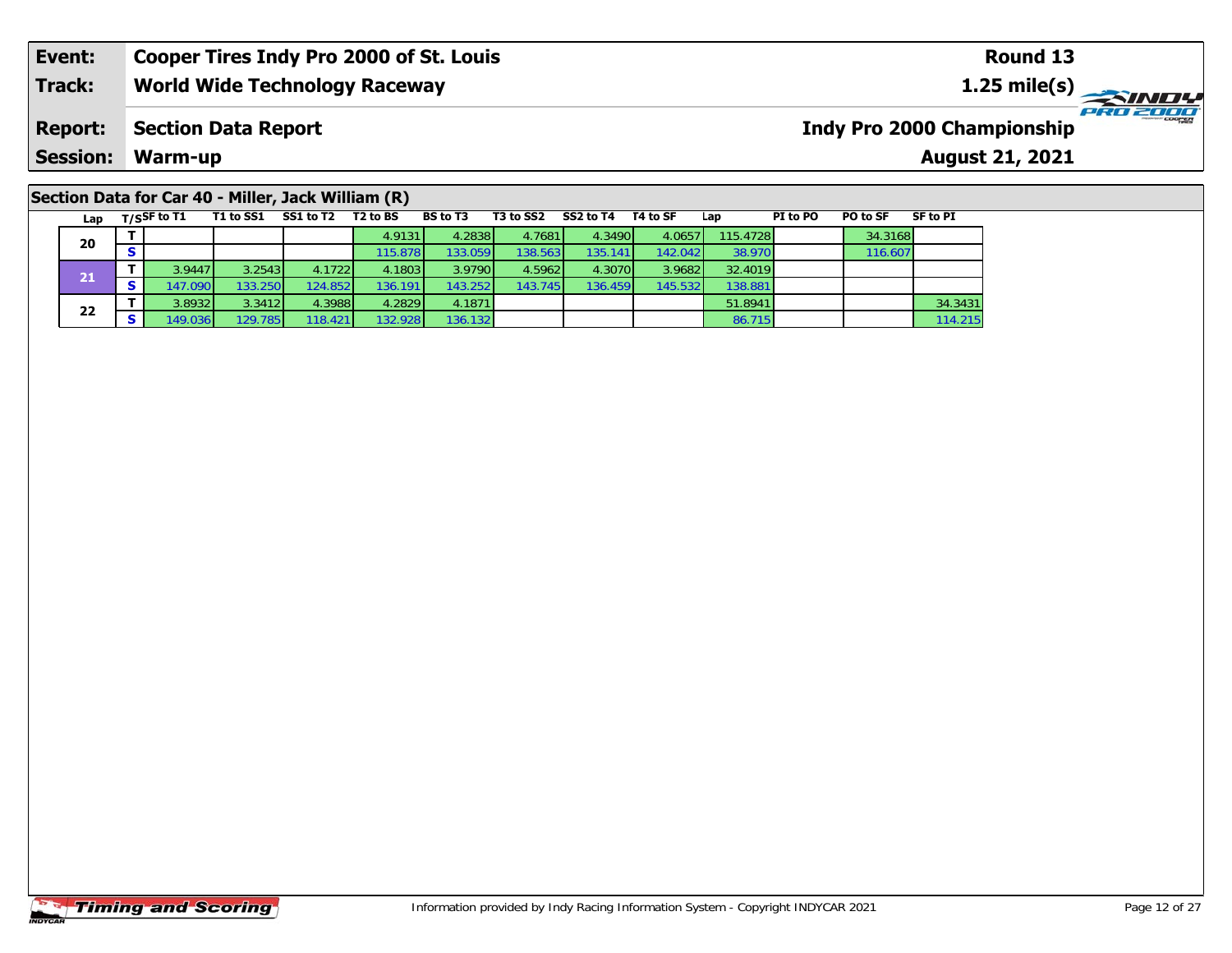## **Section Data for Car 40 - Miller, Jack William (R)**

|    | Lap | $T/S$ SF to T1 | T1 to SS1 | SS1 to T2 | T <sub>2</sub> to BS | <b>BS</b> to T3 | T3 to SS2 | SS2 to T4 | T4 to SF | Lap      | PI to PO | PO to SF | <b>SF to PI</b> |
|----|-----|----------------|-----------|-----------|----------------------|-----------------|-----------|-----------|----------|----------|----------|----------|-----------------|
|    | 20  |                |           |           | 4.9131               | 4.2838          | 4.7681    | 4.3490    | 4.0657   | 115.4728 |          | 34.3168  |                 |
|    |     |                |           |           | 115.878              | 133.0591        | 138.563   | 135.141   | 142.042  | 38.970   |          | 116.607  |                 |
|    | 21  | 3.94471        | 3.2543    | 4.1722    | 4.1803               | 3.9790          | 4.5962    | 4.3070    | 3.9682   | 32.4019  |          |          |                 |
|    |     | 147.090        | 133.250   | 124.852   | 136.191              | 143.252         | 143.745   | 136.459   | 145.532  | 138.881  |          |          |                 |
|    |     | 3.8932         | 3.3412    | 4.3988    | 4.2829               | 4.1871          |           |           |          | 51.8941  |          |          | 34.3431         |
| 22 |     | 149.036        | 129.785   | 118.421   | 132.928 <b>l</b>     | 136.132         |           |           |          | 86.715   |          |          | 114.215         |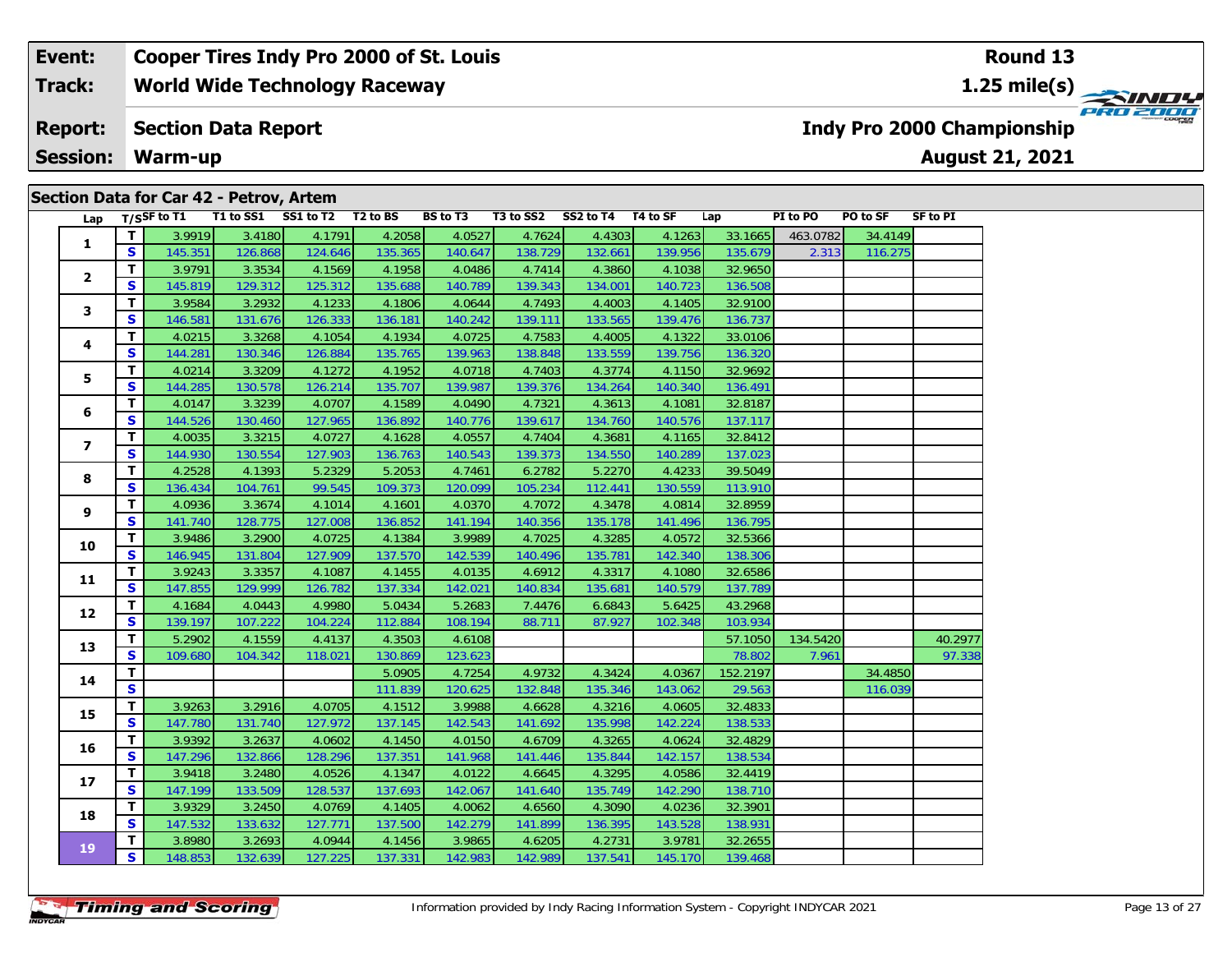|     |  |                | Section Data for Car 42 - Petrov, Artem |                    |          |                                           |           |           |          |          |          |          |          |
|-----|--|----------------|-----------------------------------------|--------------------|----------|-------------------------------------------|-----------|-----------|----------|----------|----------|----------|----------|
| Lap |  | $T/S$ SF to T1 | T1 to SS1                               | SS1 to T2 T2 to BS |          | <b>BS to T3</b>                           | T3 to SS2 | SS2 to T4 | T4 to SF | Lap      | PI to PO | PO to SF | SF to PI |
|     |  | 3.9919         | 3.4180                                  | 4.1791             | 4.2058   | 4.0527                                    | 4.7624    | 4.4303    | 4.1263   | 33.1665  | 463.0782 | 34.4149  |          |
|     |  | 145.351        | 126.868                                 | 124.646            | 135.365  | 140.647                                   | 138.729   | 132.661   | 139.956  | 135.679  | 2.313    | 116.275  |          |
|     |  | 3.9791         | 3.3534                                  | 4.1569             | 4.1958   | 4.0486                                    | 4.7414    | 4.3860    | 4.1038   | 32.9650  |          |          |          |
|     |  | .              | $\cdots$                                | $\cdots$           | $\cdots$ | $\sim$ $\sim$ $\sim$ $\sim$ $\sim$ $\sim$ | $\cdots$  | . 1       | $\cdots$ | $\cdots$ |          |          |          |

| 1                        | $\mathbf{T}$ | 3.9919  | 3.4180  | 4.1791  | 4.2058  | 4.0527  | 4.7624  | 4.4303  | 4.1263  | 33.1665  | 463.0782 | 34.4149 |         |
|--------------------------|--------------|---------|---------|---------|---------|---------|---------|---------|---------|----------|----------|---------|---------|
|                          | $\mathbf{s}$ | 145.351 | 126.868 | 124.646 | 135.365 | 140.647 | 138.729 | 132.661 | 139.956 | 135.679  | 2.313    | 116.275 |         |
| 2                        | T.           | 3.9791  | 3.3534  | 4.1569  | 4.1958  | 4.0486  | 4.7414  | 4.3860  | 4.1038  | 32.9650  |          |         |         |
|                          | $\mathbf{s}$ | 145.819 | 129.312 | 125.312 | 135.688 | 140.789 | 139.343 | 134.001 | 140.723 | 136.508  |          |         |         |
| 3                        | т            | 3.9584  | 3.2932  | 4.1233  | 4.1806  | 4.0644  | 4.7493  | 4.4003  | 4.1405  | 32.9100  |          |         |         |
|                          | $\mathbf{s}$ | 146.581 | 131.676 | 126.333 | 136.181 | 140.242 | 139.111 | 133.565 | 139.476 | 136.737  |          |         |         |
| 4                        | T.           | 4.0215  | 3.3268  | 4.1054  | 4.1934  | 4.0725  | 4.7583  | 4.4005  | 4.1322  | 33.0106  |          |         |         |
|                          | S            | 144.281 | 130.346 | 126.884 | 135.765 | 139.963 | 138.848 | 133.559 | 139.756 | 136.320  |          |         |         |
| 5                        | T            | 4.0214  | 3.3209  | 4.1272  | 4.1952  | 4.0718  | 4.7403  | 4.3774  | 4.1150  | 32.9692  |          |         |         |
|                          | $\mathbf{s}$ | 144.285 | 130.578 | 126.214 | 135.707 | 139.987 | 139.376 | 134.264 | 140.340 | 136.491  |          |         |         |
| 6                        | т            | 4.0147  | 3.3239  | 4.0707  | 4.1589  | 4.0490  | 4.7321  | 4.3613  | 4.1081  | 32.8187  |          |         |         |
|                          | $\mathbf{s}$ | 144.526 | 130.460 | 127.965 | 136.892 | 140.776 | 139.617 | 134.760 | 140.576 | 137.117  |          |         |         |
| $\overline{\phantom{a}}$ | T.           | 4.0035  | 3.3215  | 4.0727  | 4.1628  | 4.0557  | 4.7404  | 4.3681  | 4.1165  | 32.8412  |          |         |         |
|                          | S            | 144.930 | 130.554 | 127.903 | 136.763 | 140.543 | 139.373 | 134.550 | 140.289 | 137.023  |          |         |         |
| 8                        | T.           | 4.2528  | 4.1393  | 5.2329  | 5.2053  | 4.7461  | 6.2782  | 5.2270  | 4.4233  | 39.5049  |          |         |         |
|                          | $\mathbf{s}$ | 136.434 | 104.761 | 99.545  | 109.373 | 120.099 | 105.234 | 112.441 | 130.559 | 113.910  |          |         |         |
| 9                        | T.           | 4.0936  | 3.3674  | 4.1014  | 4.1601  | 4.0370  | 4.7072  | 4.3478  | 4.0814  | 32.8959  |          |         |         |
|                          | $\mathbf{s}$ | 141.740 | 128.775 | 127.008 | 136.852 | 141.194 | 140.356 | 135.178 | 141.496 | 136.795  |          |         |         |
| 10                       | T.           | 3.9486  | 3.2900  | 4.0725  | 4.1384  | 3.9989  | 4.7025  | 4.3285  | 4.0572  | 32.5366  |          |         |         |
|                          | $\mathbf{s}$ | 146.945 | 131.804 | 127.909 | 137.570 | 142.539 | 140.496 | 135.781 | 142.340 | 138.306  |          |         |         |
| 11                       | T.           | 3.9243  | 3.3357  | 4.1087  | 4.1455  | 4.0135  | 4.6912  | 4.3317  | 4.1080  | 32.6586  |          |         |         |
|                          | $\mathbf{s}$ | 147.855 | 129.999 | 126.782 | 137.334 | 142.021 | 140.834 | 135.681 | 140.579 | 137.789  |          |         |         |
| 12                       | T.           | 4.1684  | 4.0443  | 4.9980  | 5.0434  | 5.2683  | 7.4476  | 6.6843  | 5.6425  | 43.2968  |          |         |         |
|                          | $\mathbf{s}$ | 139.197 | 107.222 | 104.224 | 112.884 | 108.194 | 88.711  | 87.927  | 102.348 | 103.934  |          |         |         |
| 13                       | T            | 5.2902  | 4.1559  | 4.4137  | 4.3503  | 4.6108  |         |         |         | 57.1050  | 134.5420 |         | 40.2977 |
|                          | $\mathbf{s}$ | 109.680 | 104.342 | 118.021 | 130.869 | 123.623 |         |         |         | 78.802   | 7.961    |         | 97.338  |
| 14                       | $\mathbf{T}$ |         |         |         | 5.0905  | 4.7254  | 4.9732  | 4.3424  | 4.0367  | 152.2197 |          | 34.4850 |         |
|                          | S            |         |         |         | 111.839 | 120.625 | 132.848 | 135.346 | 143.062 | 29.563   |          | 116.039 |         |
| 15                       | $\mathbf{T}$ | 3.9263  | 3.2916  | 4.0705  | 4.1512  | 3.9988  | 4.6628  | 4.3216  | 4.0605  | 32.4833  |          |         |         |
|                          | S            | 147.780 | 131.740 | 127.972 | 137.145 | 142.543 | 141.692 | 135.998 | 142.224 | 138.533  |          |         |         |
| 16                       | $\mathbf{T}$ | 3.9392  | 3.2637  | 4.0602  | 4.1450  | 4.0150  | 4.6709  | 4.3265  | 4.0624  | 32.4829  |          |         |         |
|                          | $\mathbf{s}$ | 147.296 | 132.866 | 128.296 | 137.351 | 141.968 | 141.446 | 135.844 | 142.157 | 138.534  |          |         |         |
| 17                       | T.           | 3.9418  | 3.2480  | 4.0526  | 4.1347  | 4.0122  | 4.6645  | 4.3295  | 4.0586  | 32.4419  |          |         |         |
|                          | S            | 147.199 | 133.509 | 128.537 | 137.693 | 142.067 | 141.640 | 135.749 | 142.290 | 138.710  |          |         |         |
| 18                       | $\mathbf{T}$ | 3.9329  | 3.2450  | 4.0769  | 4.1405  | 4.0062  | 4.6560  | 4.3090  | 4.0236  | 32.3901  |          |         |         |
|                          | S            | 147.532 | 133.632 | 127.771 | 137.500 | 142.279 | 141.899 | 136.395 | 143.528 | 138.931  |          |         |         |
| 19                       | T.           | 3.8980  | 3.2693  | 4.0944  | 4.1456  | 3.9865  | 4.6205  | 4.2731  | 3.9781  | 32.2655  |          |         |         |
|                          | $\mathbf{s}$ | 148.853 | 132.639 | 127.225 | 137.331 | 142.983 | 142.989 | 137.541 | 145.170 | 139.468  |          |         |         |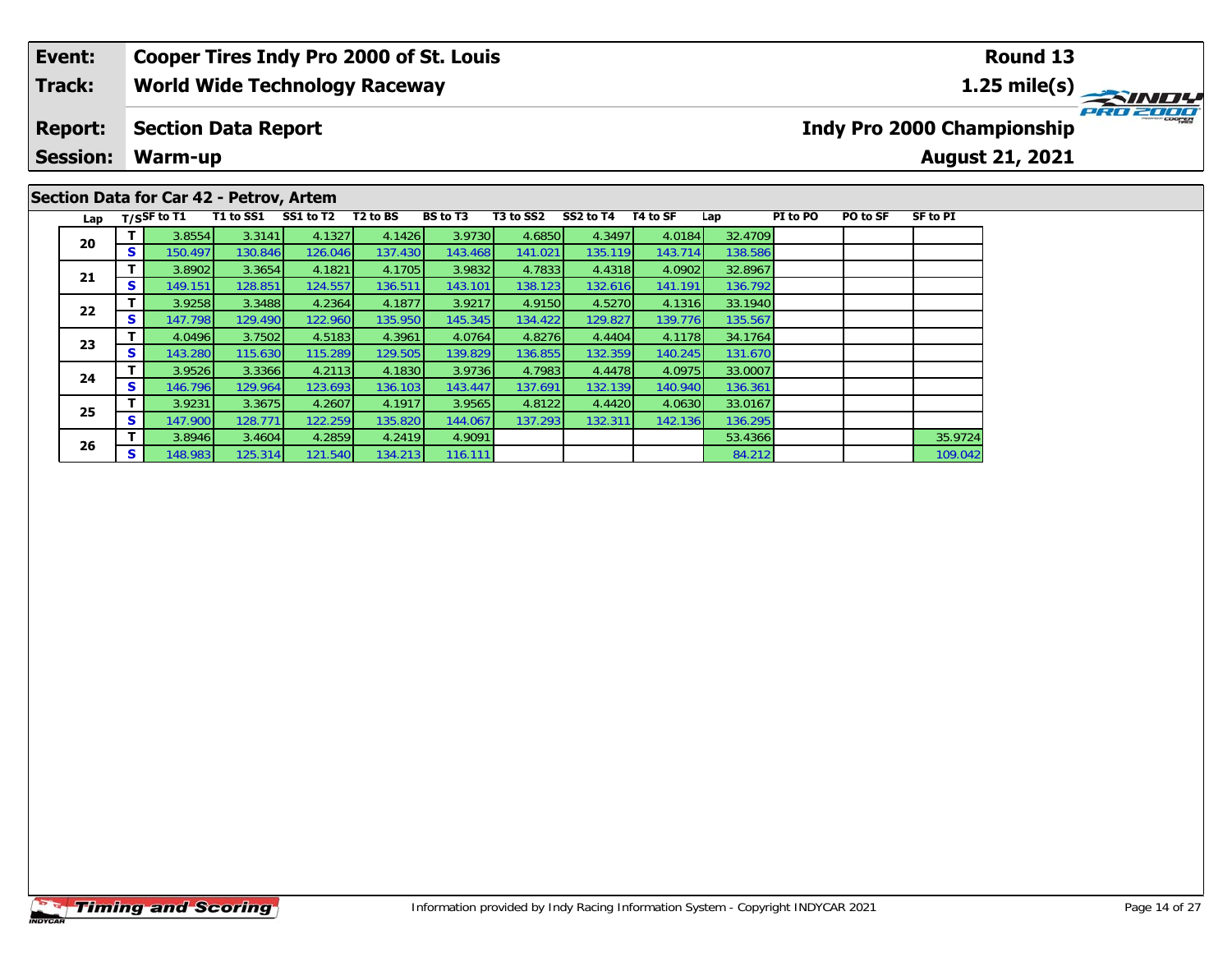### **Event: Cooper Tires Indy Pro 2000 of St. Louis Round 13Track:World Wide Technology Raceway 1.25 mile(s)** PRO 2000 **Report: Section Data Report Indy Pro 2000 Championship Session:August 21, 2021 Warm-up Section Data for Car 42 - Petrov, Artem**

136.792

131.670

Lap T/S<sup>SF</sup> to T1 T1 to SS1 SS1 to T2 T2 to BS BS to T3 T3 to SS2 SS2 to T4 T4 to SF Lap PI to PO PO to SF SF to PI

**<sup>T</sup>** 3.8946 3.4604 4.2859 4.2419 4.9091 53.4366 35.9724 **<sup>S</sup>** 148.983 125.314 121.540 134.213 116.111 84.212 109.042

**<sup>T</sup>** 3.8554 3.3141 4.1327 4.1426 3.9730 4.6850 4.3497 4.0184 32.4709 **<sup>S</sup>** 150.497 130.846 126.046 137.430 143.468 141.021 135.119 143.714 138.586

**<sup>T</sup>** 3.8902 3.3654 4.1821 4.1705 3.9832 4.7833 4.4318 4.0902 32.8967 **<sup>S</sup>** 149.151 128.851 124.557 136.511 143.101 138.123 132.616 141.191 136.792

**<sup>T</sup>** 3.9258 3.3488 4.2364 4.1877 3.9217 4.9150 4.5270 4.1316 33.1940 **<sup>S</sup>** 147.798 129.490 122.960 135.950 145.345 134.422 129.827 139.776 135.567

**<sup>T</sup>** 4.0496 3.7502 4.5183 4.3961 4.0764 4.8276 4.4404 4.1178 34.1764 **<sup>S</sup>** 143.280 115.630 115.289 129.505 139.829 136.855 132.359 140.245 131.670

**<sup>T</sup>** 3.9526 3.3366 4.2113 4.1830 3.9736 4.7983 4.4478 4.0975 33.0007 **<sup>S</sup>** 146.796 129.964 123.693 136.103 143.447 137.691 132.139 140.940 136.361

**<sup>T</sup>** 3.9231 3.3675 4.2607 4.1917 3.9565 4.8122 4.4420 4.0630 33.0167 **<sup>S</sup>** 147.900 128.771 122.259 135.820 144.067 137.293 132.311 142.136 136.295

**20**

**21**

**22**

**23**

**24**

**25**

**26**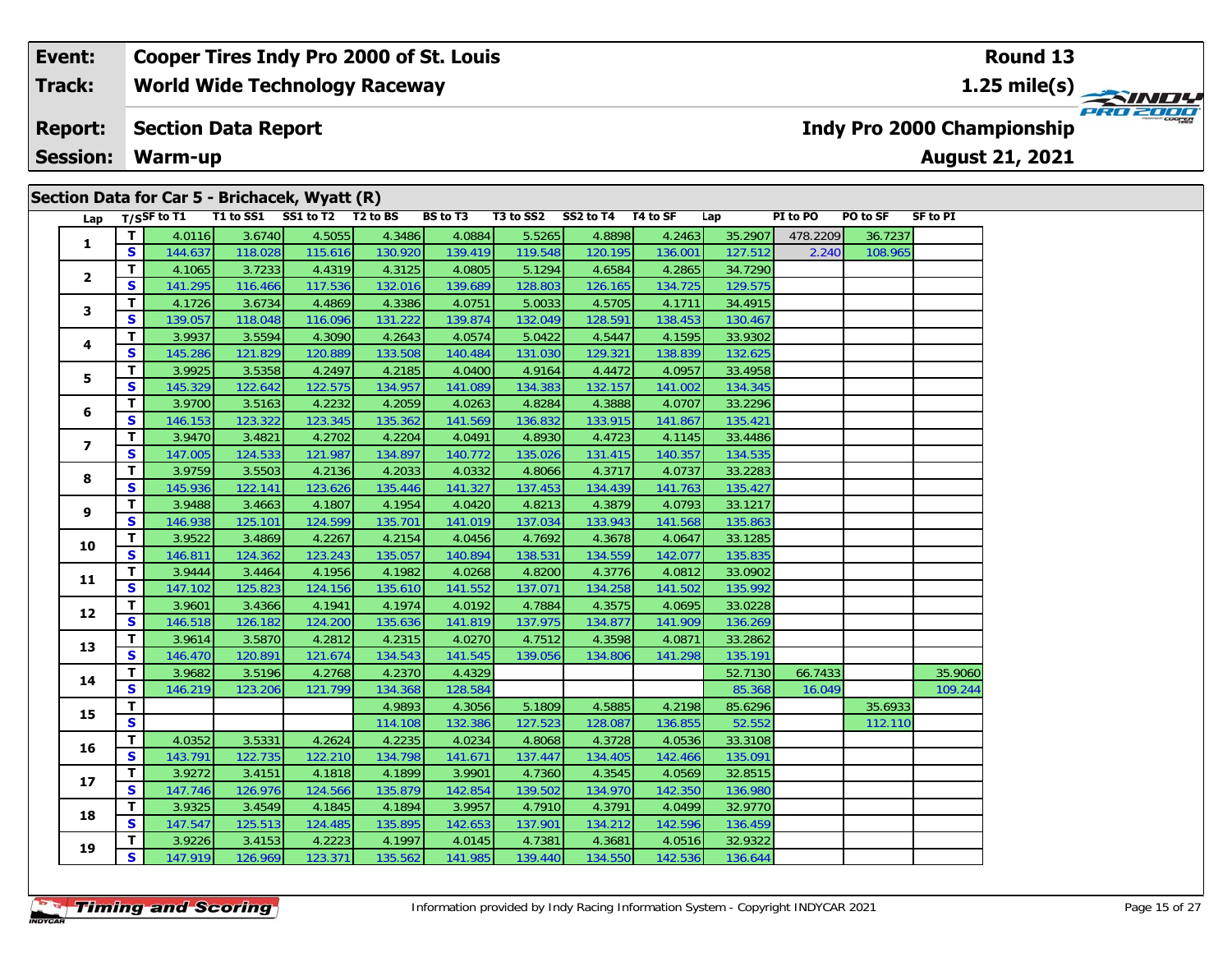| Section Data for Car 5 - Brichacek, Wyatt (R) |  |  |  |
|-----------------------------------------------|--|--|--|
|-----------------------------------------------|--|--|--|

|                   |                         | Lap $\overline{T/S}$ F to T1 |         | $\mathbf{r}$ $\mathbf{r}$ $\mathbf{r}$ $\mathbf{r}$ $\mathbf{r}$ $\mathbf{r}$ $\mathbf{r}$ $\mathbf{r}$ $\mathbf{r}$ $\mathbf{r}$ $\mathbf{r}$ $\mathbf{r}$ $\mathbf{r}$ $\mathbf{r}$ $\mathbf{r}$ $\mathbf{r}$ $\mathbf{r}$ $\mathbf{r}$ $\mathbf{r}$ $\mathbf{r}$ $\mathbf{r}$ $\mathbf{r}$ $\mathbf{r}$ $\mathbf{r}$ $\mathbf{$<br>T1 to SS1 SS1 to T2 T2 to BS |         | BS to T3 |         | T3 to SS2 SS2 to T4 T4 to SF |         | Lap     | PI to PO | <b>PO to SF</b> | SF to PI |
|-------------------|-------------------------|------------------------------|---------|--------------------------------------------------------------------------------------------------------------------------------------------------------------------------------------------------------------------------------------------------------------------------------------------------------------------------------------------------------------------|---------|----------|---------|------------------------------|---------|---------|----------|-----------------|----------|
|                   | T.                      | 4.0116                       | 3.6740  | 4.5055                                                                                                                                                                                                                                                                                                                                                             | 4.3486  | 4.0884   | 5.5265  | 4.8898                       | 4.2463  | 35.2907 | 478.2209 | 36.7237         |          |
| 1                 | S.                      | 144.637                      | 118.028 | 115.616                                                                                                                                                                                                                                                                                                                                                            | 130.920 | 139.419  | 119.548 | 120.195                      | 136.001 | 127.512 | 2.240    | 108.965         |          |
|                   | T.                      | 4.1065                       | 3.7233  | 4.4319                                                                                                                                                                                                                                                                                                                                                             | 4.3125  | 4.0805   | 5.1294  | 4.6584                       | 4.2865  | 34.7290 |          |                 |          |
| $\mathbf{2}$      | S.                      | 141.295                      | 116.466 | 117.536                                                                                                                                                                                                                                                                                                                                                            | 132.016 | 139.689  | 128.803 | 126.165                      | 134.725 | 129.575 |          |                 |          |
|                   | T.                      | 4.1726                       | 3.6734  | 4.4869                                                                                                                                                                                                                                                                                                                                                             | 4.3386  | 4.0751   | 5.0033  | 4.5705                       | 4.1711  | 34.4915 |          |                 |          |
| 3                 | S.                      | 139.057                      | 118.048 | 116.096                                                                                                                                                                                                                                                                                                                                                            | 131.222 | 139.874  | 132.049 | 128.591                      | 138.453 | 130.467 |          |                 |          |
|                   | T.                      | 3.9937                       | 3.5594  | 4.3090                                                                                                                                                                                                                                                                                                                                                             | 4.2643  | 4.0574   | 5.0422  | 4.5447                       | 4.1595  | 33.9302 |          |                 |          |
| 4                 | S                       | 145.286                      | 121.829 | 120.889                                                                                                                                                                                                                                                                                                                                                            | 133.508 | 140.484  | 131.030 | 129.321                      | 138.839 | 132.625 |          |                 |          |
|                   | T.                      | 3.9925                       | 3.5358  | 4.2497                                                                                                                                                                                                                                                                                                                                                             | 4.2185  | 4.0400   | 4.9164  | 4.4472                       | 4.0957  | 33.4958 |          |                 |          |
| 5                 | S                       | 145.329                      | 122.642 | 122.575                                                                                                                                                                                                                                                                                                                                                            | 134.957 | 141.089  | 134.383 | 132.157                      | 141.002 | 134.345 |          |                 |          |
|                   | T.                      | 3.9700                       | 3.5163  | 4.2232                                                                                                                                                                                                                                                                                                                                                             | 4.2059  | 4.0263   | 4.8284  | 4.3888                       | 4.0707  | 33.2296 |          |                 |          |
| 6                 | S                       | 146.153                      | 123.322 | 123.345                                                                                                                                                                                                                                                                                                                                                            | 135.362 | 141.569  | 136.832 | 133.915                      | 141.867 | 135.421 |          |                 |          |
|                   | T.                      | 3.9470                       | 3.4821  | 4.2702                                                                                                                                                                                                                                                                                                                                                             | 4.2204  | 4.0491   | 4.8930  | 4.4723                       | 4.1145  | 33.4486 |          |                 |          |
| 7                 | S                       | 147.005                      | 124.533 | 121.987                                                                                                                                                                                                                                                                                                                                                            | 134.897 | 140.772  | 135.026 | 131.415                      | 140.357 | 134.535 |          |                 |          |
|                   | T.                      | 3.9759                       | 3.5503  | 4.2136                                                                                                                                                                                                                                                                                                                                                             | 4.2033  | 4.0332   | 4.8066  | 4.3717                       | 4.0737  | 33.2283 |          |                 |          |
| 8                 | S                       | 145.936                      | 122.141 | 123.626                                                                                                                                                                                                                                                                                                                                                            | 135.446 | 141.327  | 137.453 | 134.439                      | 141.763 | 135.427 |          |                 |          |
|                   | T.                      | 3.9488                       | 3.4663  | 4.1807                                                                                                                                                                                                                                                                                                                                                             | 4.1954  | 4.0420   | 4.8213  | 4.3879                       | 4.0793  | 33.1217 |          |                 |          |
| 9                 | S                       | 146.938                      | 125.101 | 124.599                                                                                                                                                                                                                                                                                                                                                            | 135.701 | 141.019  | 137.034 | 133.943                      | 141.568 | 135.863 |          |                 |          |
|                   | T.                      | 3.9522                       | 3.4869  | 4.2267                                                                                                                                                                                                                                                                                                                                                             | 4.2154  | 4.0456   | 4.7692  | 4.3678                       | 4.0647  | 33.1285 |          |                 |          |
| 10                | S                       | 146.811                      | 124.362 | 123.243                                                                                                                                                                                                                                                                                                                                                            | 135.057 | 140.894  | 138.531 | 134.559                      | 142.077 | 135.835 |          |                 |          |
| 11                | T.                      | 3.9444                       | 3.4464  | 4.1956                                                                                                                                                                                                                                                                                                                                                             | 4.1982  | 4.0268   | 4.8200  | 4.3776                       | 4.0812  | 33.0902 |          |                 |          |
|                   | S.                      | 147.102                      | 125.823 | 124.156                                                                                                                                                                                                                                                                                                                                                            | 135.610 | 141.552  | 137.071 | 134.258                      | 141.502 | 135.992 |          |                 |          |
| $12 \overline{ }$ | T.                      | 3.9601                       | 3.4366  | 4.1941                                                                                                                                                                                                                                                                                                                                                             | 4.1974  | 4.0192   | 4.7884  | 4.3575                       | 4.0695  | 33.0228 |          |                 |          |
|                   | S                       | 146.518                      | 126.182 | 124.200                                                                                                                                                                                                                                                                                                                                                            | 135.636 | 141.819  | 137.975 | 134.877                      | 141.909 | 136.269 |          |                 |          |
| 13                | T.                      | 3.9614                       | 3.5870  | 4.2812                                                                                                                                                                                                                                                                                                                                                             | 4.2315  | 4.0270   | 4.7512  | 4.3598                       | 4.0871  | 33.2862 |          |                 |          |
|                   | S.                      | 146.470                      | 120.891 | 121.674                                                                                                                                                                                                                                                                                                                                                            | 134.543 | 141.545  | 139.056 | 134.806                      | 141.298 | 135.191 |          |                 |          |
| 14                | T.                      | 3.9682                       | 3.5196  | 4.2768                                                                                                                                                                                                                                                                                                                                                             | 4.2370  | 4.4329   |         |                              |         | 52.7130 | 66.7433  |                 | 35.9060  |
|                   | S                       | 146.219                      | 123.206 | 121.799                                                                                                                                                                                                                                                                                                                                                            | 134.368 | 128.584  |         |                              |         | 85.368  | 16.049   |                 | 109.244  |
| 15                | T.                      |                              |         |                                                                                                                                                                                                                                                                                                                                                                    | 4.9893  | 4.3056   | 5.1809  | 4.5885                       | 4.2198  | 85.6296 |          | 35.6933         |          |
|                   | $\overline{\mathbf{s}}$ |                              |         |                                                                                                                                                                                                                                                                                                                                                                    | 114.108 | 132.386  | 127.523 | 128.087                      | 136.855 | 52.552  |          | 112.110         |          |
| 16                | T.                      | 4.0352                       | 3.5331  | 4.2624                                                                                                                                                                                                                                                                                                                                                             | 4.2235  | 4.0234   | 4.8068  | 4.3728                       | 4.0536  | 33.3108 |          |                 |          |
|                   | S                       | 143.791                      | 122.735 | 122.210                                                                                                                                                                                                                                                                                                                                                            | 134.798 | 141.671  | 137.447 | 134.405                      | 142.466 | 135.091 |          |                 |          |
| 17                | T.                      | 3.9272                       | 3.4151  | 4.1818                                                                                                                                                                                                                                                                                                                                                             | 4.1899  | 3.9901   | 4.7360  | 4.3545                       | 4.0569  | 32.8515 |          |                 |          |
|                   | S.                      | 147.746                      | 126.976 | 124.566                                                                                                                                                                                                                                                                                                                                                            | 135.879 | 142.854  | 139.502 | 134.970                      | 142.350 | 136.980 |          |                 |          |
| 18                | T.                      | 3.9325                       | 3.4549  | 4.1845                                                                                                                                                                                                                                                                                                                                                             | 4.1894  | 3.9957   | 4.7910  | 4.3791                       | 4.0499  | 32.9770 |          |                 |          |
|                   | S                       | 147.547                      | 125.513 | 124.485                                                                                                                                                                                                                                                                                                                                                            | 135.895 | 142.653  | 137.901 | 134.212                      | 142.596 | 136.459 |          |                 |          |
| 19                | Τ.                      | 3.9226                       | 3.4153  | 4.2223                                                                                                                                                                                                                                                                                                                                                             | 4.1997  | 4.0145   | 4.7381  | 4.3681                       | 4.0516  | 32.9322 |          |                 |          |
|                   | S.                      | 147.919                      | 126.969 | 123.371                                                                                                                                                                                                                                                                                                                                                            | 135.562 | 141.985  | 139.440 | 134.550                      | 142.536 | 136.644 |          |                 |          |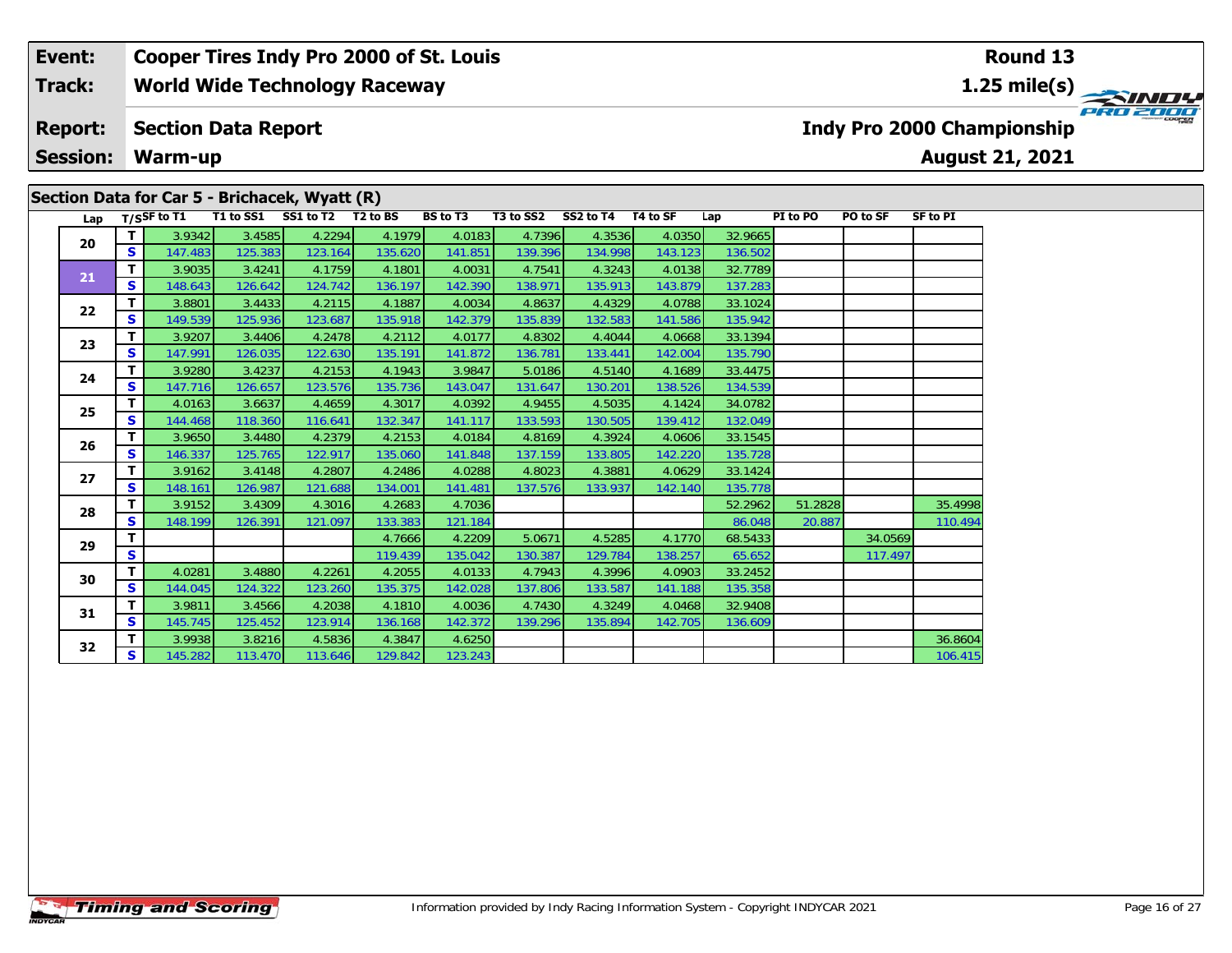# **Section Data for Car 5 - Brichacek, Wyatt (R)**

| Lap |    | T/SSF to T1 | T1 to SS1 | SS1 to T2 | T <sub>2</sub> to BS | BS to T3 | T3 to SS2 | SS2 to T4 | T4 to SF | Lap     | PI to PO | PO to SF | <b>SF to PI</b> |
|-----|----|-------------|-----------|-----------|----------------------|----------|-----------|-----------|----------|---------|----------|----------|-----------------|
| 20  | T. | 3.9342      | 3.4585    | 4.2294    | 4.1979               | 4.0183   | 4.7396    | 4.3536    | 4.0350   | 32.9665 |          |          |                 |
|     | S. | 147.483     | 125.383   | 123.164   | 135.620              | 141.851  | 139.396   | 134.998   | 143.123  | 136.502 |          |          |                 |
| 21  | T. | 3.9035      | 3.4241    | 4.1759    | 4.1801               | 4.0031   | 4.7541    | 4.3243    | 4.0138   | 32.7789 |          |          |                 |
|     | S  | 148.643     | 126.642   | 124.742   | 136.197              | 142.390  | 138.971   | 135.913   | 143.879  | 137.283 |          |          |                 |
| 22  | T. | 3.8801      | 3.4433    | 4.2115    | 4.1887               | 4.0034   | 4.8637    | 4.4329    | 4.0788   | 33.1024 |          |          |                 |
|     | S  | 149.539     | 125.936   | 123.687   | 135.918              | 142.379  | 135.839   | 132.583   | 141.586  | 135.942 |          |          |                 |
| 23  | т  | 3.9207      | 3.4406    | 4.2478    | 4.2112               | 4.0177   | 4.8302    | 4.4044    | 4.0668   | 33.1394 |          |          |                 |
|     | S  | 147.991     | 126.035   | 122.630   | 135.191              | 141.872  | 136.781   | 133.441   | 142.004  | 135.790 |          |          |                 |
| 24  | T. | 3.9280      | 3.4237    | 4.2153    | 4.1943               | 3.9847   | 5.0186    | 4.5140    | 4.1689   | 33.4475 |          |          |                 |
|     | S  | 147.716     | 126.657   | 123.576   | 135.736              | 143.047  | 131.647   | 130.201   | 138.526  | 134.539 |          |          |                 |
| 25  | т  | 4.0163      | 3.6637    | 4.4659    | 4.3017               | 4.0392   | 4.9455    | 4.5035    | 4.1424   | 34.0782 |          |          |                 |
|     | S. | 144.468     | 118.360   | 116.641   | 132.347              | 141.117  | 133.593   | 130.505   | 139.412  | 132.049 |          |          |                 |
| 26  | т  | 3.9650      | 3.4480    | 4.2379    | 4.2153               | 4.0184   | 4.8169    | 4.3924    | 4.0606   | 33.1545 |          |          |                 |
|     | S. | 146.337     | 125.765   | 122.917   | 135.060              | 141.848  | 137.159   | 133.805   | 142.220  | 135.728 |          |          |                 |
| 27  | т  | 3.9162      | 3.4148    | 4.2807    | 4.2486               | 4.0288   | 4.8023    | 4.3881    | 4.0629   | 33.1424 |          |          |                 |
|     | S  | 148.161     | 126.987   | 121.688   | 134.001              | 141.481  | 137.576   | 133.937   | 142.140  | 135.778 |          |          |                 |
| 28  | т  | 3.9152      | 3.4309    | 4.3016    | 4.2683               | 4.7036   |           |           |          | 52.2962 | 51.2828  |          | 35.4998         |
|     | S  | 148.199     | 126.391   | 121.097   | 133.383              | 121.184  |           |           |          | 86.048  | 20.887   |          | 110.494         |
| 29  | T. |             |           |           | 4.7666               | 4.2209   | 5.0671    | 4.5285    | 4.1770   | 68.5433 |          | 34.0569  |                 |
|     | S. |             |           |           | 119.439              | 135.042  | 130.387   | 129.784   | 138.257  | 65.652  |          | 117.497  |                 |
| 30  | т  | 4.0281      | 3.4880    | 4.2261    | 4.2055               | 4.0133   | 4.7943    | 4.3996    | 4.0903   | 33.2452 |          |          |                 |
|     | S  | 144.045     | 124.322   | 123.260   | 135.375              | 142.028  | 137.806   | 133.587   | 141.188  | 135.358 |          |          |                 |
| 31  | T. | 3.9811      | 3.4566    | 4.2038    | 4.1810               | 4.0036   | 4.7430    | 4.3249    | 4.0468   | 32.9408 |          |          |                 |
|     | S. | 145.745     | 125.452   | 123.914   | 136.168              | 142.372  | 139.296   | 135.894   | 142.705  | 136.609 |          |          |                 |
| 32  | т  | 3.9938      | 3.8216    | 4.5836    | 4.3847               | 4.6250   |           |           |          |         |          |          | 36.8604         |
|     | S. | 145.282     | 113.470   | 113.646   | 129.842              | 123.243  |           |           |          |         |          |          | 106.415         |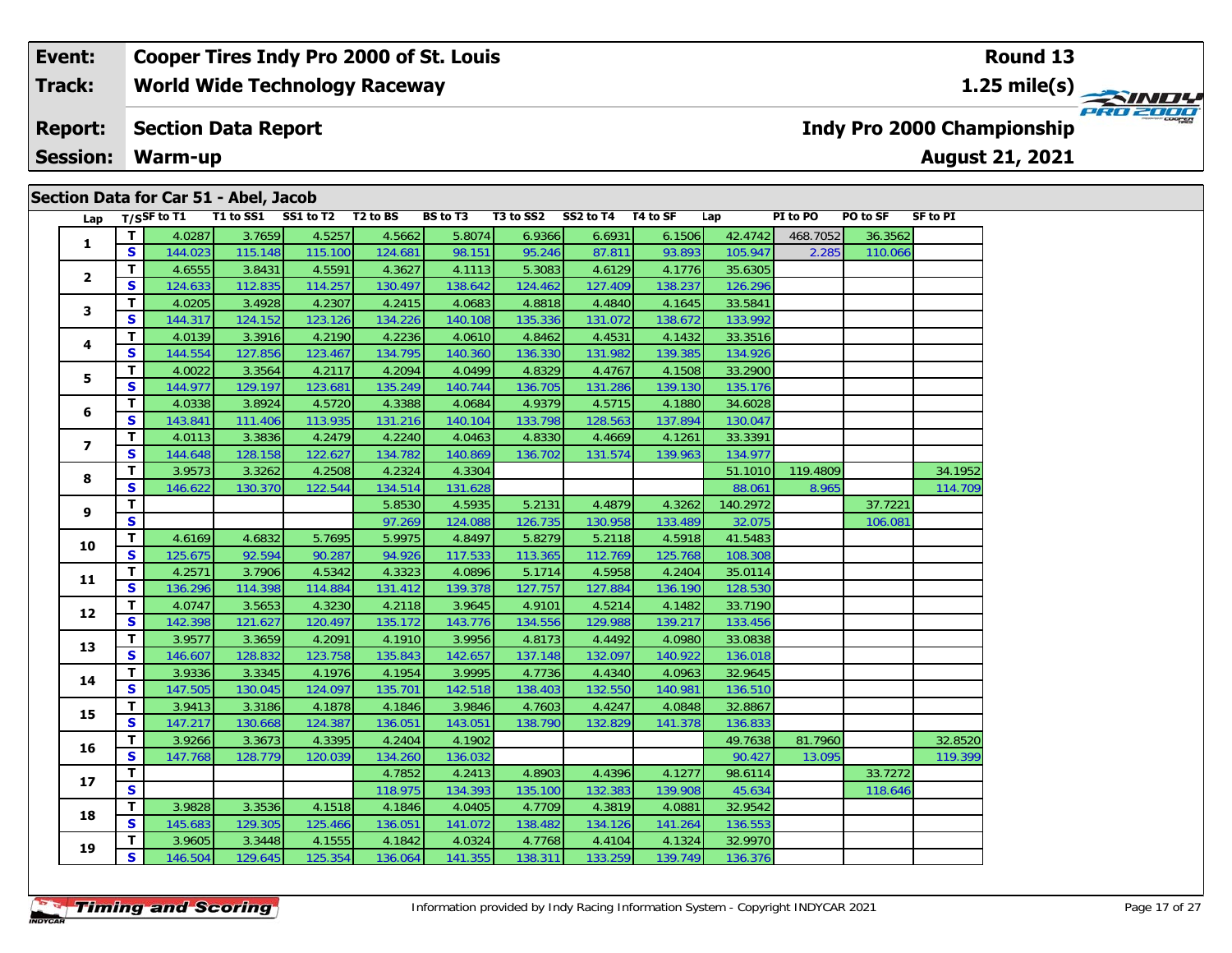| Section Data for Car 51 - Abel, Jacob |  |  |  |  |
|---------------------------------------|--|--|--|--|
|                                       |  |  |  |  |

| Lap            |                         | T/SSF to T1 |         | T1 to SS1 SS1 to T2 T2 to BS |         | BS to T3 |         | T3 to SS2 SS2 to T4 T4 to SF |         | Lap      | PI to PO | PO to SF | <b>SF to PI</b> |
|----------------|-------------------------|-------------|---------|------------------------------|---------|----------|---------|------------------------------|---------|----------|----------|----------|-----------------|
|                | $\mathbf{T}$            | 4.0287      | 3.7659  | 4.5257                       | 4.5662  | 5.8074   | 6.9366  | 6.6931                       | 6.1506  | 42.4742  | 468.7052 | 36.3562  |                 |
| 1              | S                       | 144.023     | 115.148 | 115.100                      | 124.681 | 98.151   | 95.246  | 87.811                       | 93.893  | 105.947  | 2.285    | 110.066  |                 |
|                | T                       | 4.6555      | 3.8431  | 4.5591                       | 4.3627  | 4.1113   | 5.3083  | 4.6129                       | 4.1776  | 35.6305  |          |          |                 |
| $\mathbf{2}$   | $\mathbf{s}$            | 124.633     | 112.835 | 114.257                      | 130.497 | 138.642  | 124.462 | 127.409                      | 138.237 | 126.296  |          |          |                 |
|                | T                       | 4.0205      | 3.4928  | 4.2307                       | 4.2415  | 4.0683   | 4.8818  | 4.4840                       | 4.1645  | 33.5841  |          |          |                 |
| 3              | $\mathbf{s}$            | 144.317     | 124.152 | 123.126                      | 134.226 | 140.108  | 135.336 | 131.072                      | 138.672 | 133.992  |          |          |                 |
|                | T                       | 4.0139      | 3.3916  | 4.2190                       | 4.2236  | 4.0610   | 4.8462  | 4.4531                       | 4.1432  | 33.3516  |          |          |                 |
| 4              | S                       | 144.554     | 127.856 | 123.467                      | 134.795 | 140.360  | 136.330 | 131.982                      | 139.385 | 134.926  |          |          |                 |
|                | T                       | 4.0022      | 3.3564  | 4.2117                       | 4.2094  | 4.0499   | 4.8329  | 4.4767                       | 4.1508  | 33.2900  |          |          |                 |
| 5              | $\mathbf{s}$            | 144.977     | 129.197 | 123.681                      | 135.249 | 140.744  | 136.705 | 131.286                      | 139.130 | 135.176  |          |          |                 |
|                | T                       | 4.0338      | 3.8924  | 4.5720                       | 4.3388  | 4.0684   | 4.9379  | 4.5715                       | 4.1880  | 34.6028  |          |          |                 |
| 6              | $\mathbf{s}$            | 143.841     | 111.406 | 113.935                      | 131.216 | 140.104  | 133.798 | 128.563                      | 137.894 | 130.047  |          |          |                 |
|                | T                       | 4.0113      | 3.3836  | 4.2479                       | 4.2240  | 4.0463   | 4.8330  | 4.4669                       | 4.1261  | 33.3391  |          |          |                 |
| $\overline{ }$ | $\mathbf{s}$            | 144.648     | 128.158 | 122.627                      | 134.782 | 140.869  | 136.702 | 131.574                      | 139.963 | 134.977  |          |          |                 |
|                | T                       | 3.9573      | 3.3262  | 4.2508                       | 4.2324  | 4.3304   |         |                              |         | 51.1010  | 119.4809 |          | 34.1952         |
| 8              | $\mathbf{s}$            | 146.622     | 130.370 | 122.544                      | 134.514 | 131.628  |         |                              |         | 88.061   | 8.965    |          | 114.709         |
|                | T                       |             |         |                              | 5.8530  | 4.5935   | 5.2131  | 4.4879                       | 4.3262  | 140.2972 |          | 37.7221  |                 |
| 9              | $\mathbf{s}$            |             |         |                              | 97.269  | 124.088  | 126.735 | 130.958                      | 133.489 | 32.075   |          | 106.081  |                 |
| 10             | $\mathbf{T}$            | 4.6169      | 4.6832  | 5.7695                       | 5.9975  | 4.8497   | 5.8279  | 5.2118                       | 4.5918  | 41.5483  |          |          |                 |
|                | $\mathbf{s}$            | 125.675     | 92.594  | 90.287                       | 94.926  | 117.533  | 113.365 | 112.769                      | 125.768 | 108.308  |          |          |                 |
| 11             | T                       | 4.2571      | 3.7906  | 4.5342                       | 4.3323  | 4.0896   | 5.1714  | 4.5958                       | 4.2404  | 35.0114  |          |          |                 |
|                | S                       | 136.296     | 114.398 | 114.884                      | 131.412 | 139.378  | 127.757 | 127.884                      | 136.190 | 128.530  |          |          |                 |
|                | T                       | 4.0747      | 3.5653  | 4.3230                       | 4.2118  | 3.9645   | 4.9101  | 4.5214                       | 4.1482  | 33.7190  |          |          |                 |
| 12             | $\mathbf{s}$            | 142.398     | 121.627 | 120.497                      | 135.172 | 143.776  | 134.556 | 129.988                      | 139.217 | 133.456  |          |          |                 |
| 13             | T                       | 3.9577      | 3.3659  | 4.2091                       | 4.1910  | 3.9956   | 4.8173  | 4.4492                       | 4.0980  | 33.0838  |          |          |                 |
|                | $\mathbf{s}$            | 146.607     | 128.832 | 123.758                      | 135.843 | 142.657  | 137.148 | 132.097                      | 140.922 | 136.018  |          |          |                 |
| 14             | T                       | 3.9336      | 3.3345  | 4.1976                       | 4.1954  | 3.9995   | 4.7736  | 4.4340                       | 4.0963  | 32.9645  |          |          |                 |
|                | $\mathbf{s}$            | 147.505     | 130.045 | 124.097                      | 135.701 | 142.518  | 138.403 | 132.550                      | 140.981 | 136.510  |          |          |                 |
| 15             | T                       | 3.9413      | 3.3186  | 4.1878                       | 4.1846  | 3.9846   | 4.7603  | 4.4247                       | 4.0848  | 32.8867  |          |          |                 |
|                | $\mathbf{s}$            | 147.217     | 130.668 | 124.387                      | 136.051 | 143.051  | 138.790 | 132.829                      | 141.378 | 136.833  |          |          |                 |
| 16             | T                       | 3.9266      | 3.3673  | 4.3395                       | 4.2404  | 4.1902   |         |                              |         | 49.7638  | 81.7960  |          | 32.8520         |
|                | $\mathbf{s}$            | 147.768     | 128.779 | 120.039                      | 134.260 | 136.032  |         |                              |         | 90.427   | 13.095   |          | 119.399         |
| 17             | T                       |             |         |                              | 4.7852  | 4.2413   | 4.8903  | 4.4396                       | 4.1277  | 98.6114  |          | 33.7272  |                 |
|                | $\overline{\mathbf{s}}$ |             |         |                              | 118.975 | 134.393  | 135.100 | 132.383                      | 139.908 | 45.634   |          | 118.646  |                 |
| 18             | T                       | 3.9828      | 3.3536  | 4.1518                       | 4.1846  | 4.0405   | 4.7709  | 4.3819                       | 4.0881  | 32.9542  |          |          |                 |
|                | $\mathbf{s}$            | 145.683     | 129.305 | 125.466                      | 136.051 | 141.072  | 138.482 | 134.126                      | 141.264 | 136.553  |          |          |                 |
| 19             | T.                      | 3.9605      | 3.3448  | 4.1555                       | 4.1842  | 4.0324   | 4.7768  | 4.4104                       | 4.1324  | 32.9970  |          |          |                 |
|                | <b>S</b>                | 146.504     | 129.645 | 125.354                      | 136.064 | 141.355  | 138.311 | 133.259                      | 139.749 | 136.376  |          |          |                 |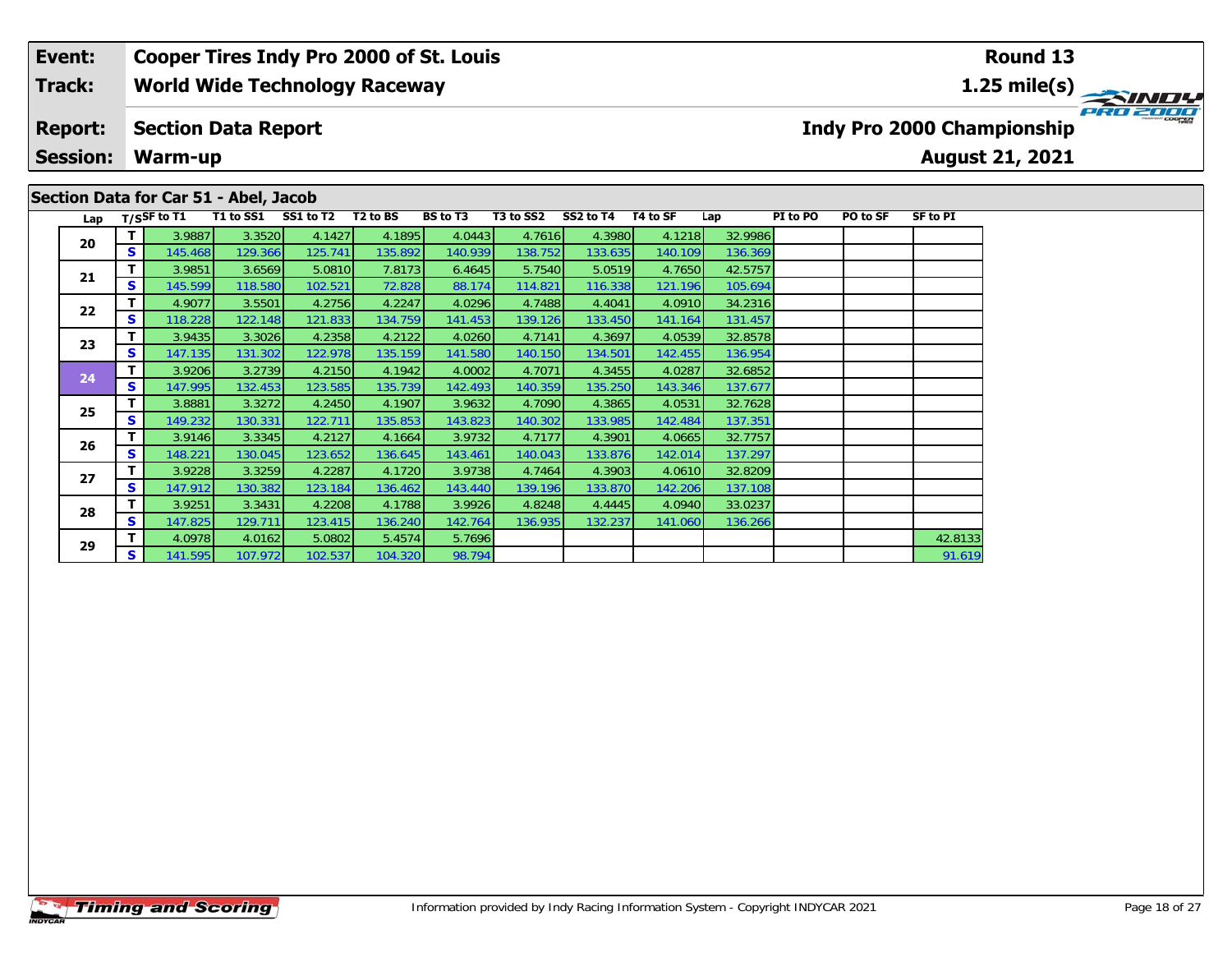### **Event: Cooper Tires Indy Pro 2000 of St. Louis Round 13World Wide Technology Raceway 1.25 mile(s) Track: PRO 2000 Section Data Report Report: Indy Pro 2000 Championship Session: Warm-up August 21, 2021 Section Data for Car 51 - Abel, Jacob**

| <b>Timing and Scoring</b> |
|---------------------------|
|---------------------------|

| 20 |    | 3.9887  | 3.3520   | 4.1427  | 4.1895  | 4.0443  | 4.7616  | 4.3980  | 4.1218  | 32.9986 |  |         |
|----|----|---------|----------|---------|---------|---------|---------|---------|---------|---------|--|---------|
|    | S  | 145.468 | 129.366  | 125.741 | 135.892 | 140.939 | 138.752 | 133.635 | 140.109 | 136.369 |  |         |
| 21 |    | 3.9851  | 3.6569   | 5.0810  | 7.8173  | 6.4645  | 5.7540  | 5.0519  | 4.7650  | 42.5757 |  |         |
|    | S. | 145.599 | 118.580  | 102.521 | 72.828  | 88.174  | 114.821 | 116.338 | 121.196 | 105.694 |  |         |
| 22 | Τ. | 4.9077  | 3.5501   | 4.2756  | 4.2247  | 4.0296  | 4.7488  | 4.4041  | 4.0910  | 34.2316 |  |         |
|    | S. | 118.228 | 122.148  | 121.833 | 134.759 | 141.453 | 139.126 | 133.450 | 141.164 | 131.457 |  |         |
| 23 | т. | 3.9435  | 3.3026   | 4.2358  | 4.2122  | 4.0260  | 4.7141  | 4.3697  | 4.0539  | 32.8578 |  |         |
|    | S. | 147.135 | 131.302  | 122.978 | 135.159 | 141.580 | 140.150 | 134.501 | 142.455 | 136.954 |  |         |
| 24 |    | 3.9206  | 3.2739   | 4.2150  | 4.1942  | 4.0002  | 4.7071  | 4.3455  | 4.0287  | 32.6852 |  |         |
|    | S. | 147.995 | 132.453  | 123.585 | 135.739 | 142.493 | 140.359 | 135.250 | 143.346 | 137.677 |  |         |
| 25 | Τ  | 3.8881  | 3.3272   | 4.2450  | 4.1907  | 3.9632  | 4.7090  | 4.3865  | 4.0531  | 32.7628 |  |         |
|    | S. | 149.232 | 130.331  | 122.711 | 135.853 | 143.823 | 140.302 | 133.985 | 142.484 | 137.351 |  |         |
| 26 |    | 3.9146  | 3.3345   | 4.2127  | 4.1664  | 3.9732  | 4.7177  | 4.3901  | 4.0665  | 32.7757 |  |         |
|    | S. | 148.221 | 130.045  | 123.652 | 136.645 | 143.461 | 140.043 | 133.876 | 142.014 | 137.297 |  |         |
| 27 |    | 3.9228  | 3.3259   | 4.2287  | 4.1720  | 3.9738  | 4.7464  | 4.3903  | 4.0610  | 32.8209 |  |         |
|    | S  | 147.912 | 130.382  | 123.184 | 136.462 | 143.440 | 139.196 | 133.870 | 142.206 | 137.108 |  |         |
| 28 | т  | 3.9251  | 3.3431   | 4.2208  | 4.1788  | 3.9926  | 4.8248  | 4.4445  | 4.0940  | 33.0237 |  |         |
|    | S. | 147.825 | 129.711  | 123.415 | 136.240 | 142.764 | 136.935 | 132.237 | 141.060 | 136.266 |  |         |
| 29 | т  | 4.0978  | 4.0162   | 5.0802  | 5.4574  | 5.7696  |         |         |         |         |  | 42.8133 |
|    | S. | 141.595 | 107.9721 | 102.537 | 104.320 | 98.794  |         |         |         |         |  | 91.619  |

Lap T/SSF to T1 T1 to SS1 SS1 to T2 T2 to BS BS to T3 T3 to SS2 SS2 to T4 T4 to SF Lap PI to PO PO to SF SF to PI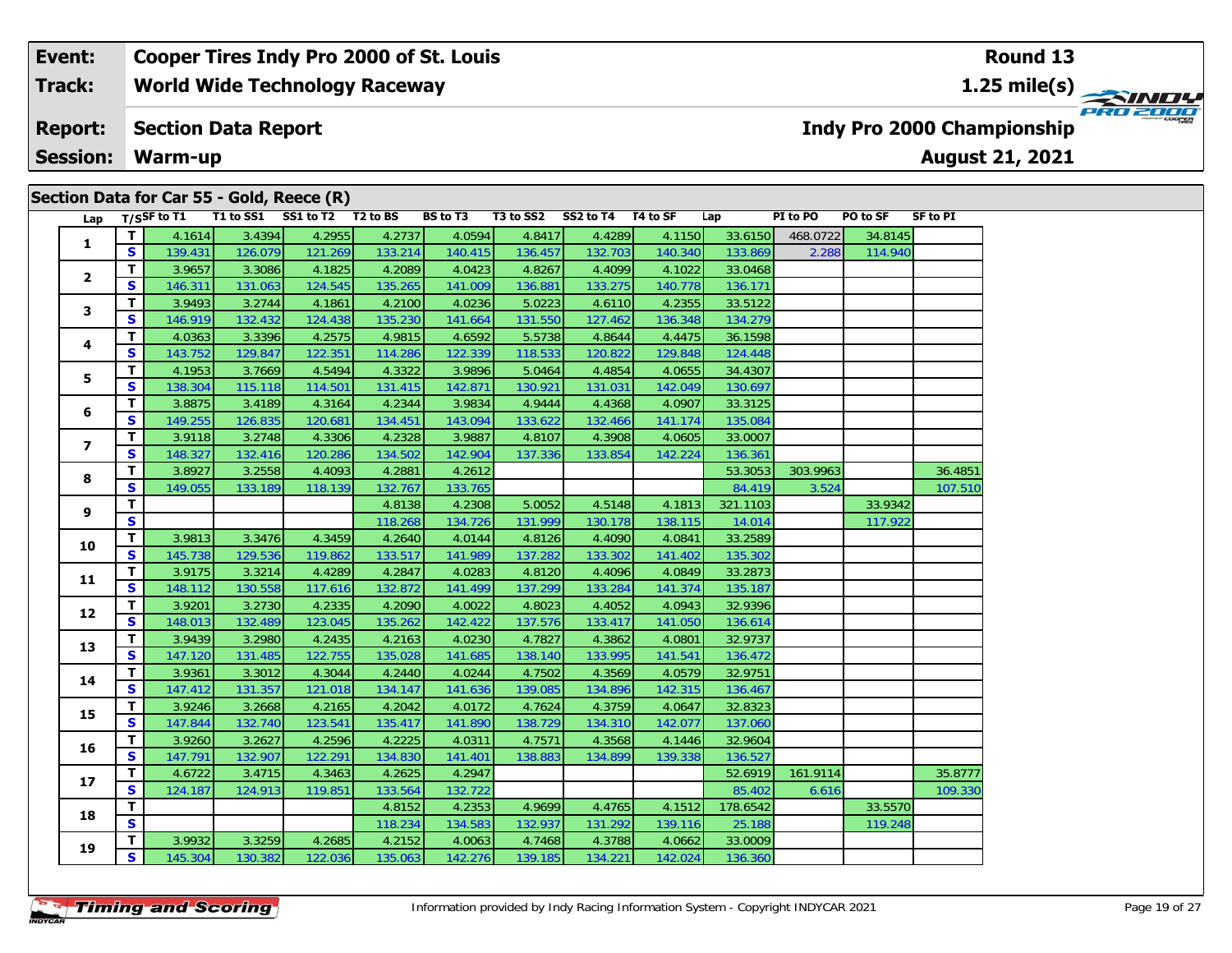# **Section Data for Car 55 - Gold, Reece (R)**

| Lap             |                         | $T/S$ SF to T1 |         | T1 to SS1 SS1 to T2 T2 to BS |         | BS to T3 | T3 to SS2 SS2 to T4 T4 to SF |         |         | Lap      | PI to PO | PO to SF | SF to PI |
|-----------------|-------------------------|----------------|---------|------------------------------|---------|----------|------------------------------|---------|---------|----------|----------|----------|----------|
| $\mathbf{1}$    | T                       | 4.1614         | 3.4394  | 4.2955                       | 4.2737  | 4.0594   | 4.8417                       | 4.4289  | 4.1150  | 33.6150  | 468.0722 | 34.8145  |          |
|                 | $\mathbf{s}$            | 139.431        | 126.079 | 121.269                      | 133.214 | 140.415  | 136.457                      | 132.703 | 140.340 | 133.869  | 2.288    | 114.940  |          |
|                 | T.                      | 3.9657         | 3.3086  | 4.1825                       | 4.2089  | 4.0423   | 4.8267                       | 4.4099  | 4.1022  | 33.0468  |          |          |          |
| $\mathbf{2}$    | $\mathbf{s}$            | 146.311        | 131.063 | 124.545                      | 135.265 | 141.009  | 136.881                      | 133.275 | 140.778 | 136.171  |          |          |          |
|                 | $\mathbf{T}$            | 3.9493         | 3.2744  | 4.1861                       | 4.2100  | 4.0236   | 5.0223                       | 4.6110  | 4.2355  | 33.5122  |          |          |          |
| 3               | S                       | 146.919        | 132.432 | 124.438                      | 135.230 | 141.664  | 131.550                      | 127.462 | 136.348 | 134.279  |          |          |          |
|                 | T                       | 4.0363         | 3.3396  | 4.2575                       | 4.9815  | 4.6592   | 5.5738                       | 4.8644  | 4.4475  | 36.1598  |          |          |          |
| 4               | <b>S</b>                | 143.752        | 129.847 | 122.351                      | 114.286 | 122.339  | 118.533                      | 120.822 | 129.848 | 124.448  |          |          |          |
|                 | T.                      | 4.1953         | 3.7669  | 4.5494                       | 4.3322  | 3.9896   | 5.0464                       | 4.4854  | 4.0655  | 34.4307  |          |          |          |
| 5               | $\overline{\mathbf{s}}$ | 138.304        | 115.118 | 114.501                      | 131.415 | 142.871  | 130.921                      | 131.031 | 142.049 | 130.697  |          |          |          |
|                 | $\mathbf{T}$            | 3.8875         | 3.4189  | 4.3164                       | 4.2344  | 3.9834   | 4.9444                       | 4.4368  | 4.0907  | 33.3125  |          |          |          |
| 6               | S                       | 149.255        | 126.835 | 120.681                      | 134.451 | 143.094  | 133.622                      | 132.466 | 141.174 | 135.084  |          |          |          |
|                 | $\mathbf{T}$            | 3.9118         | 3.2748  | 4.3306                       | 4.2328  | 3.9887   | 4.8107                       | 4.3908  | 4.0605  | 33.0007  |          |          |          |
| $\overline{7}$  | S                       | 148.327        | 132.416 | 120.286                      | 134.502 | 142.904  | 137.336                      | 133.854 | 142.224 | 136.361  |          |          |          |
|                 | $\mathbf{T}$            | 3.8927         | 3.2558  | 4.4093                       | 4.2881  | 4.2612   |                              |         |         | 53.3053  | 303.9963 |          | 36.4851  |
| 8               | <b>S</b>                | 149.055        | 133.189 | 118.139                      | 132.767 | 133.765  |                              |         |         | 84.419   | 3.524    |          | 107.510  |
| 9               | T                       |                |         |                              | 4.8138  | 4.2308   | 5.0052                       | 4.5148  | 4.1813  | 321.1103 |          | 33.9342  |          |
|                 | $\mathbf{s}$            |                |         |                              | 118.268 | 134.726  | 131.999                      | 130.178 | 138.115 | 14.014   |          | 117.922  |          |
| 10              | $\mathbf{T}$            | 3.9813         | 3.3476  | 4.3459                       | 4.2640  | 4.0144   | 4.8126                       | 4.4090  | 4.0841  | 33.2589  |          |          |          |
|                 | <b>S</b>                | 145.738        | 129.536 | 119.862                      | 133.517 | 141.989  | 137.282                      | 133.302 | 141.402 | 135.302  |          |          |          |
| 11              | $\mathbf{T}$            | 3.9175         | 3.3214  | 4.4289                       | 4.2847  | 4.0283   | 4.8120                       | 4.4096  | 4.0849  | 33.2873  |          |          |          |
|                 | S                       | 148.112        | 130.558 | 117.616                      | 132.872 | 141.499  | 137.299                      | 133.284 | 141.374 | 135.187  |          |          |          |
| 12              | T                       | 3.9201         | 3.2730  | 4.2335                       | 4.2090  | 4.0022   | 4.8023                       | 4.4052  | 4.0943  | 32.9396  |          |          |          |
|                 | <b>S</b>                | 148.013        | 132.489 | 123.045                      | 135.262 | 142.422  | 137.576                      | 133.417 | 141.050 | 136.614  |          |          |          |
| 13              | T                       | 3.9439         | 3.2980  | 4.2435                       | 4.2163  | 4.0230   | 4.7827                       | 4.3862  | 4.0801  | 32.9737  |          |          |          |
|                 | <b>S</b>                | 147.120        | 131.485 | 122.755                      | 135.028 | 141.685  | 138.140                      | 133.995 | 141.541 | 136.472  |          |          |          |
| 14              | $\mathbf{T}$            | 3.9361         | 3.3012  | 4.3044                       | 4.2440  | 4.0244   | 4.7502                       | 4.3569  | 4.0579  | 32.9751  |          |          |          |
|                 | S                       | 147.412        | 131.357 | 121.018                      | 134.147 | 141.636  | 139.085                      | 134.896 | 142.315 | 136.467  |          |          |          |
| 15              | T.                      | 3.9246         | 3.2668  | 4.2165                       | 4.2042  | 4.0172   | 4.7624                       | 4.3759  | 4.0647  | 32.8323  |          |          |          |
|                 | $\mathbf{s}$            | 147.844        | 132.740 | 123.541                      | 135.417 | 141.890  | 138.729                      | 134.310 | 142.077 | 137.060  |          |          |          |
| 16              | T.                      | 3.9260         | 3.2627  | 4.2596                       | 4.2225  | 4.0311   | 4.7571                       | 4.3568  | 4.1446  | 32.9604  |          |          |          |
|                 | <b>S</b>                | 147.791        | 132.907 | 122.291                      | 134.830 | 141.401  | 138.883                      | 134.899 | 139.338 | 136.527  |          |          |          |
| 17 <sub>2</sub> | T.                      | 4.6722         | 3.4715  | 4.3463                       | 4.2625  | 4.2947   |                              |         |         | 52.6919  | 161.9114 |          | 35.8777  |
|                 | <b>S</b>                | 124.187        | 124.913 | 119.851                      | 133.564 | 132.722  |                              |         |         | 85.402   | 6.616    |          | 109.330  |
| 18              | $\mathbf{T}$            |                |         |                              | 4.8152  | 4.2353   | 4.9699                       | 4.4765  | 4.1512  | 178.6542 |          | 33.5570  |          |
|                 | $\overline{\mathbf{s}}$ |                |         |                              | 118.234 | 134.583  | 132.937                      | 131.292 | 139.116 | 25.188   |          | 119.248  |          |
| 19              | $\mathbf{T}$            | 3.9932         | 3.3259  | 4.2685                       | 4.2152  | 4.0063   | 4.7468                       | 4.3788  | 4.0662  | 33.0009  |          |          |          |
|                 | s l                     | 145.304        | 130.382 | 122.036                      | 135.063 | 142.276  | 139.185                      | 134.221 | 142.024 | 136.360  |          |          |          |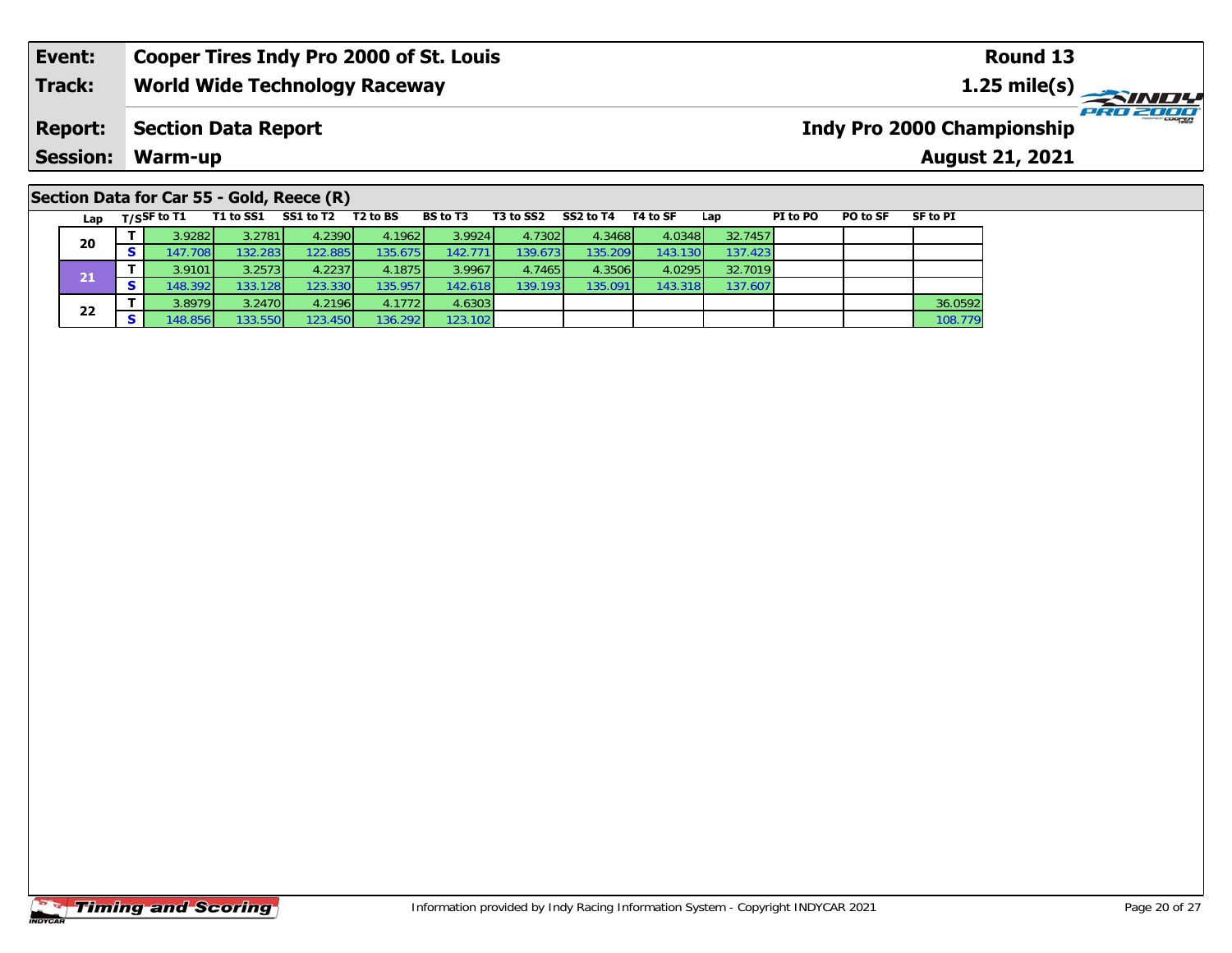#### **Event: Cooper Tires Indy Pro 2000 of St. Louis Round 131.25 mile(s) World Wide Technology Raceway Track: PRO 2000 Report: Indy Pro 2000 Championship Section Data Report Session: Warm-up August 21, 2021**

## **Section Data for Car 55 - Gold, Reece (R)**

| Lap | $T/S$ SF to T1 | T1 to SS1 | SS1 to T2 | T2 to BS | <b>BS to T3</b> | T3 to SS2 | SS2 to T4 | T4 to SF | Lap     | PI to PO | PO to SF | SF to PI |
|-----|----------------|-----------|-----------|----------|-----------------|-----------|-----------|----------|---------|----------|----------|----------|
| 20  | 3.9282         | 3.2781    | 4.2390    | 4.1962   | 3.9924          | 4.73021   | 4.3468    | 4.0348   | 32.7457 |          |          |          |
|     | 147.7081       | 132.2831  | 122.885   | 135.675  | 142.771         | 139.673   | 135.209   | 143.130  | 137.423 |          |          |          |
| 21  | 3.9101         | 3.2573    | 4.2237    | 4.1875   | 3.9967          | 4.7465    | 4.3506    | 4.0295   | 32.7019 |          |          |          |
|     | 148.392        | 133.128   | 123.330   | 135.957  | 142.618         | 139.193   | 135.091   | 143.318  | 137.607 |          |          |          |
| 22  | 3.8979         | 3.2470    | 4.2196    | 4.1772   | 4.6303          |           |           |          |         |          |          | 36.0592  |
|     | 148.856        | 133.550   | 123.450   | 136.292  | 123.102         |           |           |          |         |          |          | 108.779  |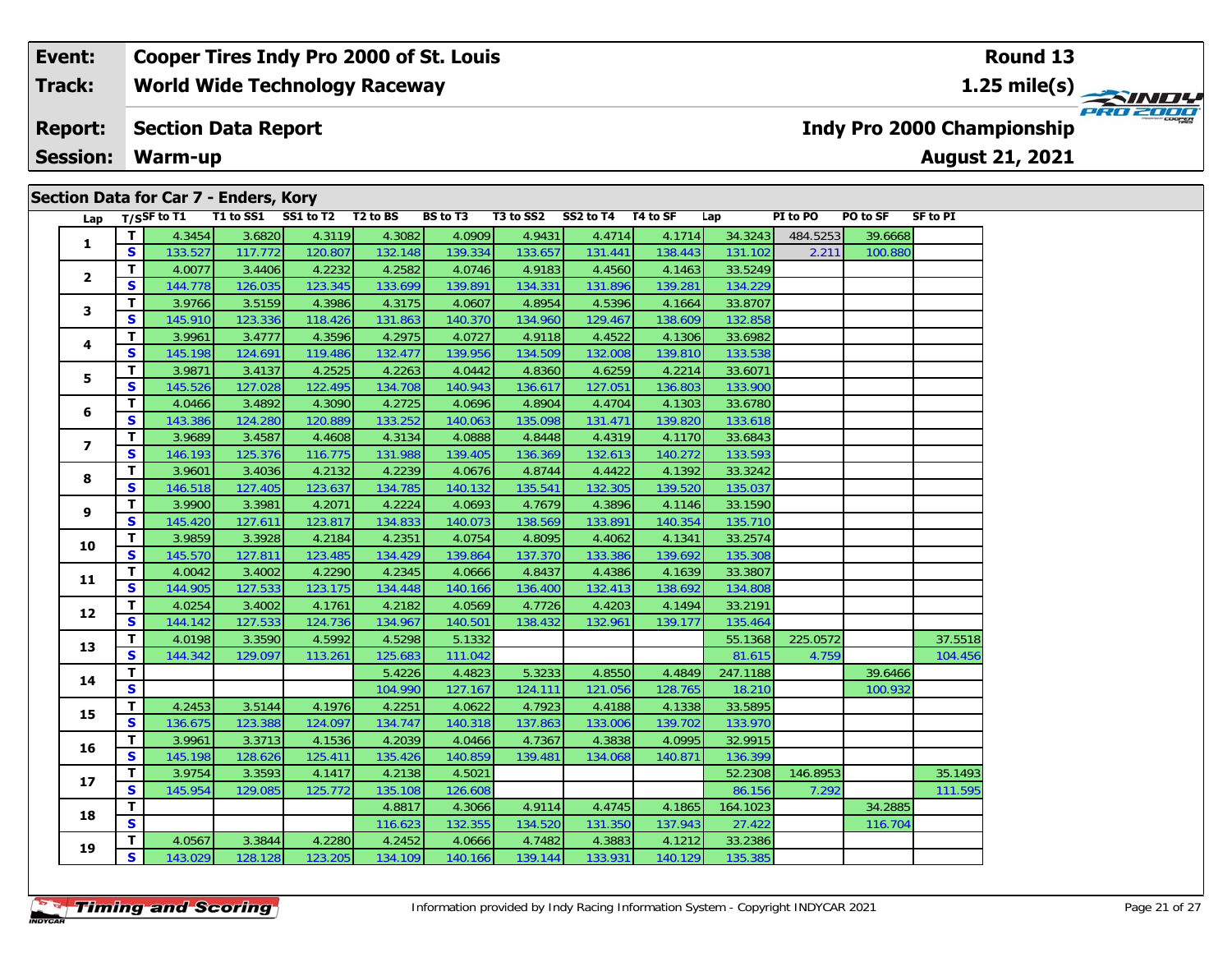#### **Event: Cooper Tires Indy Pro 2000 of St. Louis Round 131.25 mile(s) World Wide Technology Raceway Track:** PRO 2000 **Report: Section Data Report Indy Pro 2000 Championship Session: Warm-up August 21, 2021 Section Data for Car 7 - Enders, Kory**

| Lap            |              | T/SSF to T1 |         | Secuoli Data Ioi Cal 7 - Eliueis, Roi y<br>T1 to SS1 SS1 to T2 T2 to BS |         | <b>BS</b> to T3 |         | T3 to SS2 SS2 to T4 T4 to SF |         | Lap      | PI to PO | PO to SF | SF to PI |
|----------------|--------------|-------------|---------|-------------------------------------------------------------------------|---------|-----------------|---------|------------------------------|---------|----------|----------|----------|----------|
|                | T.           | 4.3454      | 3.6820  | 4.3119                                                                  | 4.3082  | 4.0909          | 4.9431  | 4.4714                       | 4.1714  | 34.3243  | 484.5253 | 39.6668  |          |
| $\mathbf{1}$   | S            | 133.527     | 117.772 | 120.807                                                                 | 132.148 | 139.334         | 133.657 | 131.441                      | 138.443 | 131.102  | 2.211    | 100.880  |          |
|                | T.           | 4.0077      | 3.4406  | 4.2232                                                                  | 4.2582  | 4.0746          | 4.9183  | 4.4560                       | 4.1463  | 33.5249  |          |          |          |
| $\mathbf{2}$   | S            | 144.778     | 126.035 | 123.345                                                                 | 133.699 | 139.891         | 134.331 | 131.896                      | 139.281 | 134.229  |          |          |          |
|                | T.           | 3.9766      | 3.5159  | 4.3986                                                                  | 4.3175  | 4.0607          | 4.8954  | 4.5396                       | 4.1664  | 33.8707  |          |          |          |
| 3              | S            | 145.910     | 123.336 | 118.426                                                                 | 131.863 | 140.370         | 134.960 | 129.467                      | 138.609 | 132.858  |          |          |          |
|                | T.           | 3.9961      | 3.4777  | 4.3596                                                                  | 4.2975  | 4.0727          | 4.9118  | 4.4522                       | 4.1306  | 33.6982  |          |          |          |
| 4              | S            | 145.198     | 124.691 | 119.486                                                                 | 132.477 | 139.956         | 134.509 | 132.008                      | 139.810 | 133.538  |          |          |          |
|                | T.           | 3.9871      | 3.4137  | 4.2525                                                                  | 4.2263  | 4.0442          | 4.8360  | 4.6259                       | 4.2214  | 33.6071  |          |          |          |
| 5              | S            | 145.526     | 127.028 | 122.495                                                                 | 134.708 | 140.943         | 136.617 | 127.051                      | 136.803 | 133.900  |          |          |          |
|                | T.           | 4.0466      | 3.4892  | 4.3090                                                                  | 4.2725  | 4.0696          | 4.8904  | 4.4704                       | 4.1303  | 33.6780  |          |          |          |
| 6              | S            | 143.386     | 124.280 | 120.889                                                                 | 133.252 | 140.063         | 135.098 | 131.471                      | 139.820 | 133.618  |          |          |          |
|                | T            | 3.9689      | 3.4587  | 4.4608                                                                  | 4.3134  | 4.0888          | 4.8448  | 4.4319                       | 4.1170  | 33.6843  |          |          |          |
| $\overline{ }$ | S            | 146.193     | 125.376 | 116.775                                                                 | 131.988 | 139.405         | 136.369 | 132.613                      | 140.272 | 133.593  |          |          |          |
|                | T.           | 3.9601      | 3.4036  | 4.2132                                                                  | 4.2239  | 4.0676          | 4.8744  | 4.4422                       | 4.1392  | 33.3242  |          |          |          |
| 8              | S            | 146.518     | 127.405 | 123.637                                                                 | 134.785 | 140.132         | 135.541 | 132.305                      | 139.520 | 135.037  |          |          |          |
|                | T.           | 3.9900      | 3.3981  | 4.2071                                                                  | 4.2224  | 4.0693          | 4.7679  | 4.3896                       | 4.1146  | 33.1590  |          |          |          |
| 9              | S            | 145.420     | 127.611 | 123.817                                                                 | 134.833 | 140.073         | 138.569 | 133.891                      | 140.354 | 135.710  |          |          |          |
|                | T.           | 3.9859      | 3.3928  | 4.2184                                                                  | 4.2351  | 4.0754          | 4.8095  | 4.4062                       | 4.1341  | 33.2574  |          |          |          |
| 10             | S            | 145.570     | 127.811 | 123.485                                                                 | 134.429 | 139.864         | 137.370 | 133.386                      | 139.692 | 135.308  |          |          |          |
|                | T.           | 4.0042      | 3.4002  | 4.2290                                                                  | 4.2345  | 4.0666          | 4.8437  | 4.4386                       | 4.1639  | 33.3807  |          |          |          |
| 11             | S            | 144.905     | 127.533 | 123.175                                                                 | 134.448 | 140.166         | 136.400 | 132.413                      | 138.692 | 134.808  |          |          |          |
|                | T.           | 4.0254      | 3.4002  | 4.1761                                                                  | 4.2182  | 4.0569          | 4.7726  | 4.4203                       | 4.1494  | 33.2191  |          |          |          |
| 12             | S            | 144.142     | 127.533 | 124.736                                                                 | 134.967 | 140.501         | 138.432 | 132.961                      | 139.177 | 135.464  |          |          |          |
| 13             | T.           | 4.0198      | 3.3590  | 4.5992                                                                  | 4.5298  | 5.1332          |         |                              |         | 55.1368  | 225.0572 |          | 37.5518  |
|                | S            | 144.342     | 129.097 | 113.261                                                                 | 125.683 | 111.042         |         |                              |         | 81.615   | 4.759    |          | 104.456  |
| 14             | T.           |             |         |                                                                         | 5.4226  | 4.4823          | 5.3233  | 4.8550                       | 4.4849  | 247.1188 |          | 39.6466  |          |
|                | S            |             |         |                                                                         | 104.990 | 127.167         | 124.111 | 121.056                      | 128.765 | 18.210   |          | 100.932  |          |
| 15             | $\mathbf{T}$ | 4.2453      | 3.5144  | 4.1976                                                                  | 4.2251  | 4.0622          | 4.7923  | 4.4188                       | 4.1338  | 33.5895  |          |          |          |
|                | S.           | 136.675     | 123.388 | 124.097                                                                 | 134.747 | 140.318         | 137.863 | 133.006                      | 139.702 | 133.970  |          |          |          |
| 16             | T.           | 3.9961      | 3.3713  | 4.1536                                                                  | 4.2039  | 4.0466          | 4.7367  | 4.3838                       | 4.0995  | 32.9915  |          |          |          |
|                | S            | 145.198     | 128.626 | 125.411                                                                 | 135.426 | 140.859         | 139.481 | 134.068                      | 140.871 | 136.399  |          |          |          |
| 17             | T.           | 3.9754      | 3.3593  | 4.1417                                                                  | 4.2138  | 4.5021          |         |                              |         | 52.2308  | 146.8953 |          | 35.1493  |
|                | S            | 145.954     | 129.085 | 125.772                                                                 | 135.108 | 126.608         |         |                              |         | 86.156   | 7.292    |          | 111.595  |
| 18             | T.           |             |         |                                                                         | 4.8817  | 4.3066          | 4.9114  | 4.4745                       | 4.1865  | 164.1023 |          | 34.2885  |          |
|                | S            |             |         |                                                                         | 116.623 | 132.355         | 134.520 | 131.350                      | 137.943 | 27.422   |          | 116.704  |          |
| 19             | T.           | 4.0567      | 3.3844  | 4.2280                                                                  | 4.2452  | 4.0666          | 4.7482  | 4.3883                       | 4.1212  | 33.2386  |          |          |          |
|                | S            | 143.029     | 128.128 | 123.205                                                                 | 134.109 | 140.166         | 139.144 | 133.931                      | 140.129 | 135.385  |          |          |          |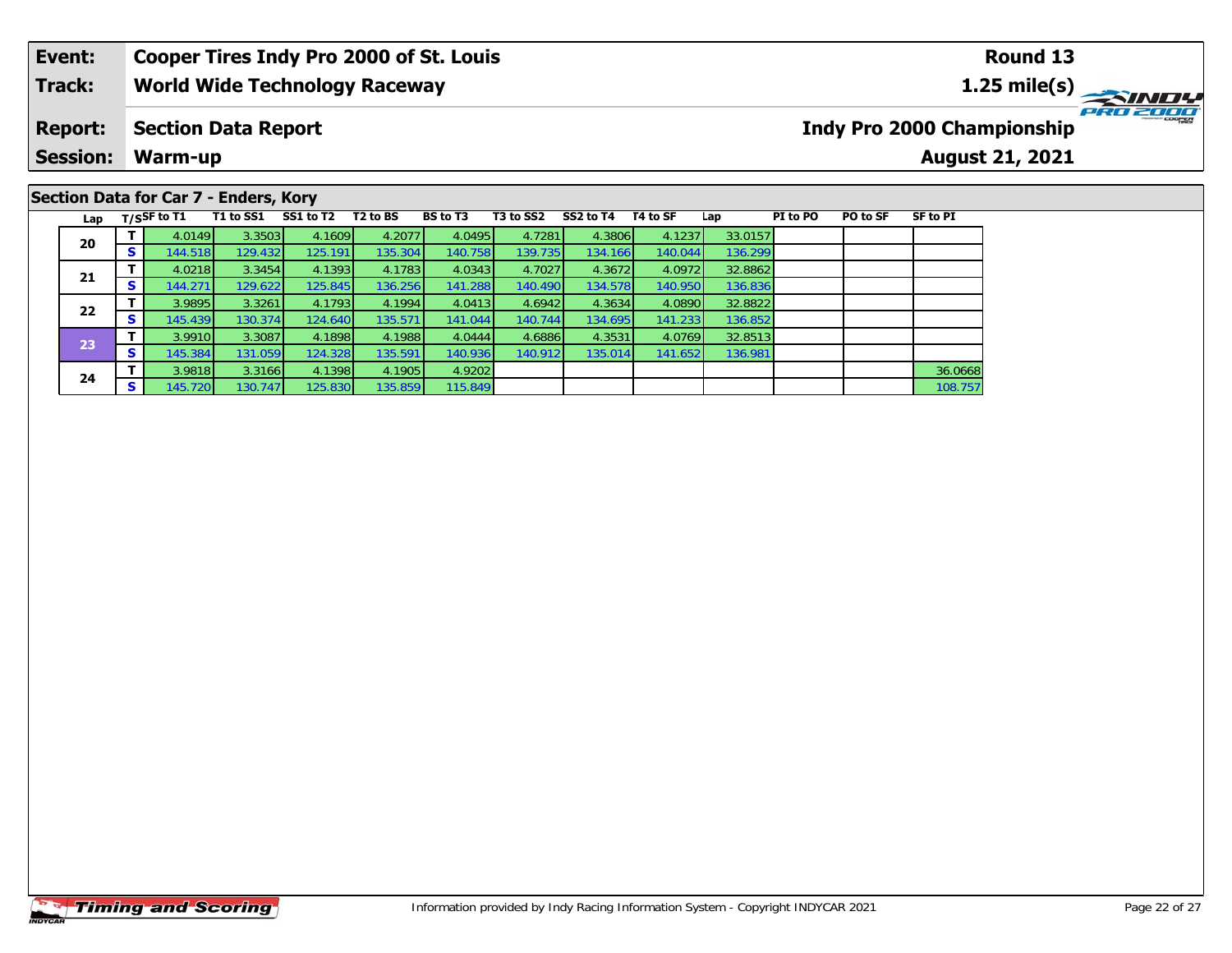### **Event: Cooper Tires Indy Pro 2000 of St. Louis Round 131.25 mile(s) World Wide Technology Raceway Track: PRO 2000 Report: Section Data Report Indy Pro 2000 Championship Session: Warm-up August 21, 2021 Section Data for Car 7 - Enders, Kory**

| Lap |                 | $T/S$ SF to T1 | T1 to SS1 | SS1 to T2 | T <sub>2</sub> to BS | BS to T3 | T3 to SS2 | SS2 to T4 | T4 to SF | Lap     | PI to PO | PO to SF | <b>SF to PI</b> |
|-----|-----------------|----------------|-----------|-----------|----------------------|----------|-----------|-----------|----------|---------|----------|----------|-----------------|
|     |                 | 4.0149         | 3.3503    | 4.1609    | 4.2077               | 4.0495   | 4.7281    | 4.3806    | 4.1237   | 33.0157 |          |          |                 |
| 20  | c<br>э          | 144.518        | 129.432   | 125.191   | 135.304              | 140.758  | 139.735   | 134.166   | 140.044  | 136.299 |          |          |                 |
| 21  |                 | 4.0218         | 3.3454    | 4.1393    | 4.1783               | 4.0343   | 4.7027    | 4.3672    | 4.0972   | 32.8862 |          |          |                 |
|     | S               | 144.271        | 129.622   | 125.845   | 136.256              | 141.288  | 140.490   | 134.578   | 140.950  | 136.836 |          |          |                 |
| 22  |                 | 3.9895         | 3.3261    | 4.1793    | 4.1994               | 4.0413   | 4.6942    | 4.3634    | 4.0890   | 32.8822 |          |          |                 |
|     | S               | 145.439        | 130.374   | 124.640   | 135.571              | 141.044  | 140.744   | 134.695   | 141.233  | 136.852 |          |          |                 |
| 23  |                 | 3.9910         | 3.3087    | 4.1898    | 4.1988               | 4.0444   | 4.6886    | 4.3531    | 4.0769   | 32.8513 |          |          |                 |
|     | S               | 145.384        | 131.059   | 124.328   | 135.591              | 140.936  | 140.912   | 135.014   | 141.652  | 136.981 |          |          |                 |
| 24  |                 | 3.9818         | 3.3166    | 4.1398    | 4.1905               | 4.9202   |           |           |          |         |          |          | 36.0668         |
|     | $\epsilon$<br>э | 145.720        | 130.747   | 125.830   | 135.859              | 115.849  |           |           |          |         |          |          | 108.757         |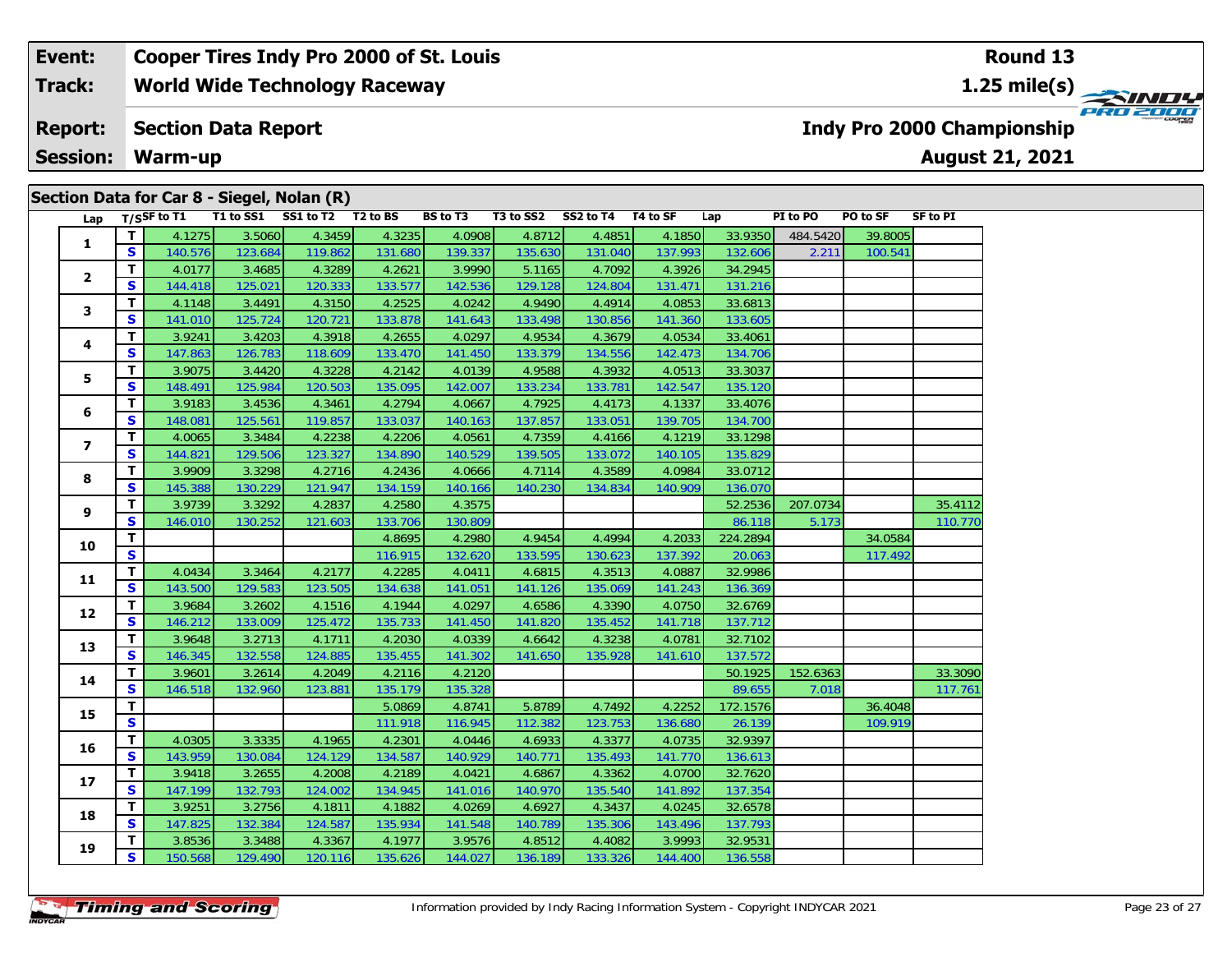# **Section Data for Car 8 - Siegel, Nolan (R)**

| Lap            |                         | T/SSF to T1 | $\rightarrow$ $\rightarrow$ $\rightarrow$ | $\sqrt{ }$<br>T1 to SS1 SS1 to T2 T2 to BS |         | BS to T3 |         | T3 to SS2 SS2 to T4 T4 to SF |         | Lap      | PI to PO | PO to SF | <b>SF to PI</b> |
|----------------|-------------------------|-------------|-------------------------------------------|--------------------------------------------|---------|----------|---------|------------------------------|---------|----------|----------|----------|-----------------|
|                | $\overline{\mathbf{I}}$ | 4.1275      | 3.5060                                    | 4.3459                                     | 4.3235  | 4.0908   | 4.8712  | 4.4851                       | 4.1850  | 33.9350  | 484.5420 | 39.8005  |                 |
| 1              | <b>S</b>                | 140.576     | 123.684                                   | 119.862                                    | 131.680 | 139.337  | 135.630 | 131.040                      | 137.993 | 132.606  | 2.211    | 100.541  |                 |
|                | T.                      | 4.0177      | 3.4685                                    | 4.3289                                     | 4.2621  | 3.9990   | 5.1165  | 4.7092                       | 4.3926  | 34.2945  |          |          |                 |
| $\mathbf{2}$   | S                       | 144.418     | 125.021                                   | 120.333                                    | 133.577 | 142.536  | 129.128 | 124.804                      | 131.471 | 131.216  |          |          |                 |
|                | T                       | 4.1148      | 3.4491                                    | 4.3150                                     | 4.2525  | 4.0242   | 4.9490  | 4.4914                       | 4.0853  | 33.6813  |          |          |                 |
| 3              | $\mathbf{s}$            | 141.010     | 125.724                                   | 120.721                                    | 133.878 | 141.643  | 133.498 | 130.856                      | 141.360 | 133.605  |          |          |                 |
|                | T                       | 3.9241      | 3.4203                                    | 4.3918                                     | 4.2655  | 4.0297   | 4.9534  | 4.3679                       | 4.0534  | 33.4061  |          |          |                 |
| 4              | $\mathbf{s}$            | 147.863     | 126.783                                   | 118.609                                    | 133.470 | 141.450  | 133.379 | 134.556                      | 142.473 | 134.706  |          |          |                 |
|                | T                       | 3.9075      | 3.4420                                    | 4.3228                                     | 4.2142  | 4.0139   | 4.9588  | 4.3932                       | 4.0513  | 33.3037  |          |          |                 |
| 5              | $\mathbf{s}$            | 148.491     | 125.984                                   | 120.503                                    | 135.095 | 142.007  | 133.234 | 133.781                      | 142.547 | 135.120  |          |          |                 |
|                | T                       | 3.9183      | 3.4536                                    | 4.3461                                     | 4.2794  | 4.0667   | 4.7925  | 4.4173                       | 4.1337  | 33.4076  |          |          |                 |
| 6              | S                       | 148.081     | 125.561                                   | 119.857                                    | 133.037 | 140.163  | 137.857 | 133.051                      | 139.705 | 134.700  |          |          |                 |
| $\overline{ }$ | T                       | 4.0065      | 3.3484                                    | 4.2238                                     | 4.2206  | 4.0561   | 4.7359  | 4.4166                       | 4.1219  | 33.1298  |          |          |                 |
|                | S                       | 144.821     | 129.506                                   | 123.327                                    | 134.890 | 140.529  | 139.505 | 133.072                      | 140.105 | 135.829  |          |          |                 |
| 8              | T                       | 3.9909      | 3.3298                                    | 4.2716                                     | 4.2436  | 4.0666   | 4.7114  | 4.3589                       | 4.0984  | 33.0712  |          |          |                 |
|                | $\mathbf{s}$            | 145.388     | 130.229                                   | 121.947                                    | 134.159 | 140.166  | 140.230 | 134.834                      | 140.909 | 136.070  |          |          |                 |
| 9              | $\mathbf{T}$            | 3.9739      | 3.3292                                    | 4.2837                                     | 4.2580  | 4.3575   |         |                              |         | 52.2536  | 207.0734 |          | 35.4112         |
|                | S                       | 146.010     | 130.252                                   | 121.603                                    | 133.706 | 130.809  |         |                              |         | 86.118   | 5.173    |          | 110.770         |
| 10             | T                       |             |                                           |                                            | 4.8695  | 4.2980   | 4.9454  | 4.4994                       | 4.2033  | 224.2894 |          | 34.0584  |                 |
|                | S                       |             |                                           |                                            | 116.915 | 132.620  | 133.595 | 130.623                      | 137.392 | 20.063   |          | 117.492  |                 |
| 11             | T.                      | 4.0434      | 3.3464                                    | 4.2177                                     | 4.2285  | 4.0411   | 4.6815  | 4.3513                       | 4.0887  | 32.9986  |          |          |                 |
|                | S                       | 143.500     | 129.583                                   | 123.505                                    | 134.638 | 141.051  | 141.126 | 135.069                      | 141.243 | 136.369  |          |          |                 |
| 12             | T                       | 3.9684      | 3.2602                                    | 4.1516                                     | 4.1944  | 4.0297   | 4.6586  | 4.3390                       | 4.0750  | 32.6769  |          |          |                 |
|                | $\mathbf{s}$            | 146.212     | 133.009                                   | 125.472                                    | 135.733 | 141.450  | 141.820 | 135.452                      | 141.718 | 137.712  |          |          |                 |
| 13             | T                       | 3.9648      | 3.2713                                    | 4.1711                                     | 4.2030  | 4.0339   | 4.6642  | 4.3238                       | 4.0781  | 32.7102  |          |          |                 |
|                | $\mathbf{s}$            | 146.345     | 132.558                                   | 124.885                                    | 135.455 | 141.302  | 141.650 | 135.928                      | 141.610 | 137.572  |          |          |                 |
| 14             | $\mathbf T$             | 3.9601      | 3.2614                                    | 4.2049                                     | 4.2116  | 4.2120   |         |                              |         | 50.1925  | 152.6363 |          | 33.3090         |
|                | S                       | 146.518     | 132.960                                   | 123.881                                    | 135.179 | 135.328  |         |                              |         | 89.655   | 7.018    |          | 117.761         |
| 15             | T                       |             |                                           |                                            | 5.0869  | 4.8741   | 5.8789  | 4.7492                       | 4.2252  | 172.1576 |          | 36.4048  |                 |
|                | $\overline{\mathbf{s}}$ |             |                                           |                                            | 111.918 | 116.945  | 112.382 | 123.753                      | 136.680 | 26.139   |          | 109.919  |                 |
| 16             | T                       | 4.0305      | 3.3335                                    | 4.1965                                     | 4.2301  | 4.0446   | 4.6933  | 4.3377                       | 4.0735  | 32.9397  |          |          |                 |
|                | S                       | 143.959     | 130.084                                   | 124.129                                    | 134.587 | 140.929  | 140.771 | 135.493                      | 141.770 | 136.613  |          |          |                 |
| 17             | T                       | 3.9418      | 3.2655                                    | 4.2008                                     | 4.2189  | 4.0421   | 4.6867  | 4.3362                       | 4.0700  | 32.7620  |          |          |                 |
|                | $\mathbf{s}$            | 147.199     | 132.793                                   | 124.002                                    | 134.945 | 141.016  | 140.970 | 135.540                      | 141.892 | 137.354  |          |          |                 |
| 18             | $\mathbf{T}$            | 3.9251      | 3.2756                                    | 4.1811                                     | 4.1882  | 4.0269   | 4.6927  | 4.3437                       | 4.0245  | 32.6578  |          |          |                 |
|                | S                       | 147.825     | 132.384                                   | 124.587                                    | 135.934 | 141.548  | 140.789 | 135.306                      | 143.496 | 137.793  |          |          |                 |
| 19             | T.                      | 3.8536      | 3.3488                                    | 4.3367                                     | 4.1977  | 3.9576   | 4.8512  | 4.4082                       | 3.9993  | 32.9531  |          |          |                 |
|                | $\mathbf{s}$            | 150.568     | 129.490                                   | 120.116                                    | 135.626 | 144.027  | 136.189 | 133.326                      | 144.400 | 136.558  |          |          |                 |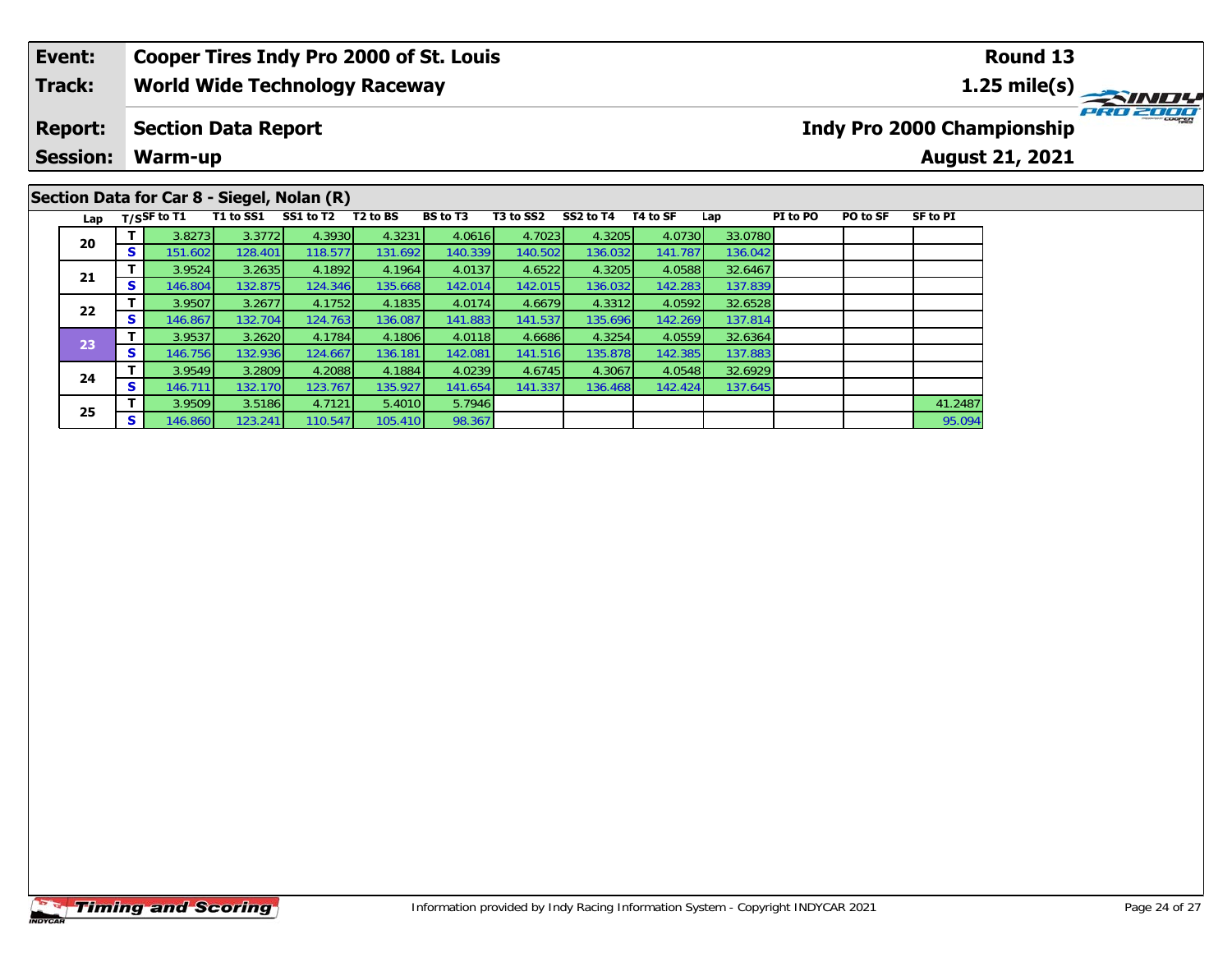### **Event: Cooper Tires Indy Pro 2000 of St. Louis Round 131.25 mile(s) World Wide Technology Raceway Track:** PRO 2000 **Report: Indy Pro 2000 Championship Section Data Report Session: Warm-up August 21, 2021**

# **Section Data for Car 8 - Siegel, Nolan (R)**

|  | Lap             |          | T/SSF to T1 | T1 to SS1 | SS1 to T2 | T <sub>2</sub> to BS | BS to T3 | T3 to SS2 | SS2 to T4 | T4 to SF | Lap     | PI to PO | PO to SF | <b>SF to PI</b> |
|--|-----------------|----------|-------------|-----------|-----------|----------------------|----------|-----------|-----------|----------|---------|----------|----------|-----------------|
|  | 20              |          | 3.8273      | 3.3772    | 4.3930    | 4.3231               | 4.0616   | 4.7023    | 4.3205    | 4.0730   | 33.0780 |          |          |                 |
|  |                 | S        | 151.602     | 128.401   | 118.577   | 131.692              | 140.339  | 140.502   | 136.032   | 141.787  | 136.042 |          |          |                 |
|  |                 |          | 3.9524      | 3.2635    | 4.1892    | 4.1964               | 4.0137   | 4.6522    | 4.3205    | 4.0588   | 32.6467 |          |          |                 |
|  | 21              | S        | 146.804     | 132.875   | 124.346   | 135.668              | 142.014  | 142.015   | 136.032   | 142.283  | 137.839 |          |          |                 |
|  | 22              |          | 3.9507      | 3.2677    | 4.1752    | 4.1835               | 4.0174   | 4.6679    | 4.3312    | 4.0592   | 32.6528 |          |          |                 |
|  |                 | s        | 146.867     | 132.704   | 124.763   | 136.087              | 141.883  | 141.537   | 135.696   | 142.269  | 137.814 |          |          |                 |
|  | $\overline{23}$ |          | 3.9537      | 3.2620    | 4.1784    | 4.1806               | 4.0118   | 4.6686    | 4.3254    | 4.0559   | 32.6364 |          |          |                 |
|  |                 | <b>S</b> | 146.756     | 132.936   | 124.667   | 136.181              | 142.081  | 141.516   | 135.878   | 142.385  | 137.883 |          |          |                 |
|  | 24              |          | 3.9549      | 3.2809    | 4.2088    | 4.1884               | 4.0239   | 4.6745    | 4.3067    | 4.0548   | 32.6929 |          |          |                 |
|  |                 | S        | 146.711     | 132.170   | 123.767   | 135.927              | 141.654  | 141.337   | 136.468   | 142.424  | 137.645 |          |          |                 |
|  | 25              |          | 3.9509      | 3.5186    | 4.7121    | 5.4010               | 5.7946   |           |           |          |         |          |          | 41.2487         |
|  |                 | S        | 146.860     | 123.241   | 110.547   | 105.410              | 98.367   |           |           |          |         |          |          | 95.094          |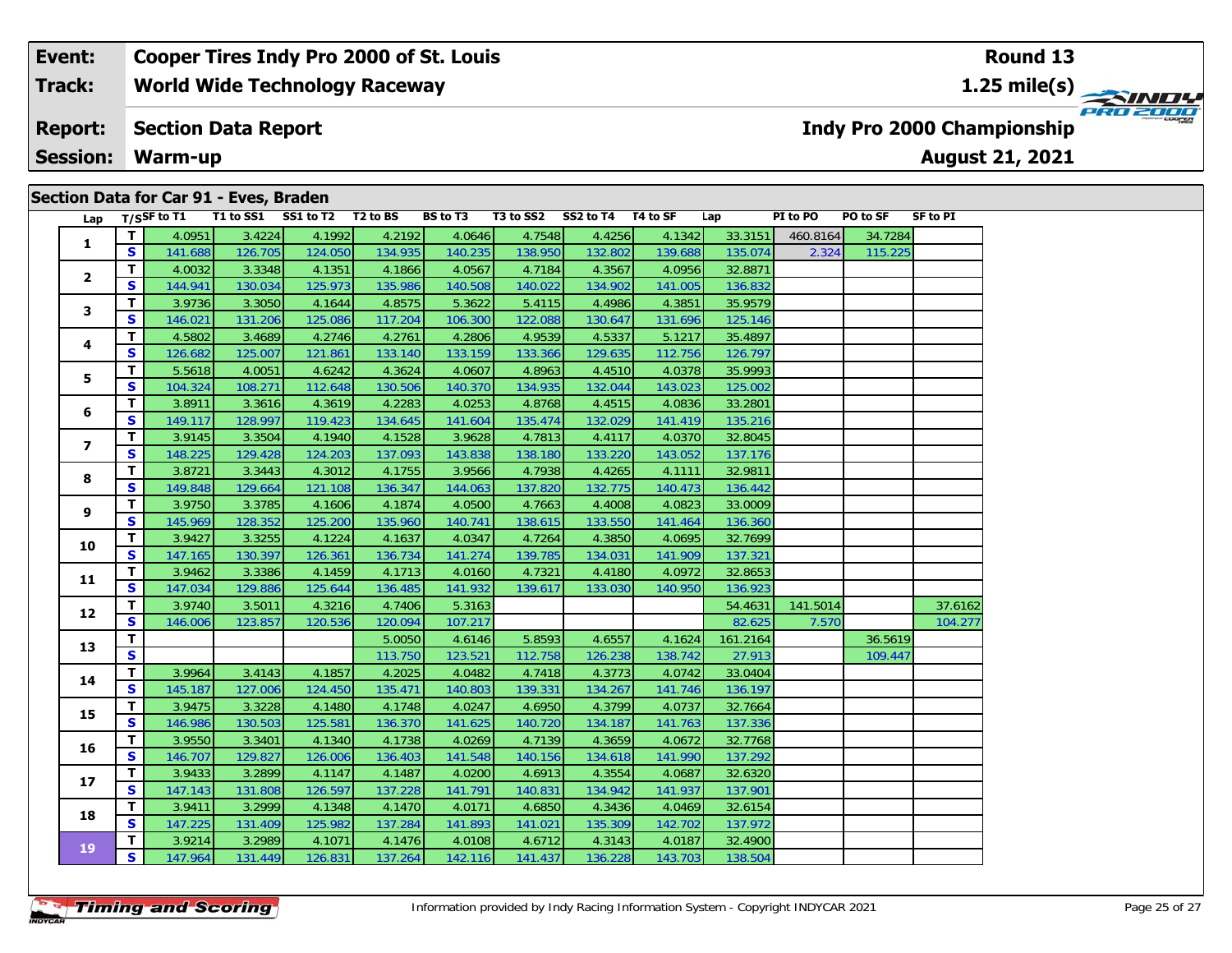#### **Event: Cooper Tires Indy Pro 2000 of St. Louis Round 131.25 mile(s) World Wide Technology Raceway Track:** PRO 2001 **Section Data Report Indy Pro 2000 Championship Report: August 21, 2021 Session: Warm-up**

| Section Data for Car 91 - Eves, Braden |  |  |  |  |
|----------------------------------------|--|--|--|--|
|                                        |  |  |  |  |

| Lap                     |              | T/SSF to T1 |         | T1 to SS1 SS1 to T2 T2 to BS |         | BS to T3 | T3 to SS2 SS2 to T4 T4 to SF |         |         | Lap                                                                                                                                                                                                                                                                                                                                                      | PI to PO | PO to SF | SF to PI |
|-------------------------|--------------|-------------|---------|------------------------------|---------|----------|------------------------------|---------|---------|----------------------------------------------------------------------------------------------------------------------------------------------------------------------------------------------------------------------------------------------------------------------------------------------------------------------------------------------------------|----------|----------|----------|
|                         | T            | 4.0951      | 3.4224  | 4.1992                       | 4.2192  | 4.0646   | 4.7548                       | 4.4256  | 4.1342  | 33.3151                                                                                                                                                                                                                                                                                                                                                  | 460.8164 |          |          |
| 1                       | S            | 141.688     | 126.705 | 124.050                      | 134.935 | 140.235  | 138.950                      | 132.802 | 139.688 | 135.074                                                                                                                                                                                                                                                                                                                                                  |          |          |          |
| $\mathbf{2}$            | T            | 4.0032      | 3.3348  | 4.1351                       | 4.1866  | 4.0567   | 4.7184                       | 4.3567  | 4.0956  | 32.8871                                                                                                                                                                                                                                                                                                                                                  |          |          |          |
|                         | $\mathbf{s}$ | 144.941     | 130.034 | 125.973                      | 135.986 | 140.508  | 140.022                      | 134.902 | 141.005 | 136.832                                                                                                                                                                                                                                                                                                                                                  |          |          |          |
|                         | T            | 3.9736      | 3.3050  | 4.1644                       | 4.8575  | 5.3622   | 5.4115                       | 4.4986  | 4.3851  | 35.9579                                                                                                                                                                                                                                                                                                                                                  |          |          |          |
| 3                       | $\mathbf{s}$ | 146.021     | 131.206 | 125.086                      | 117.204 | 106.300  | 122.088                      | 130.647 | 131.696 | 125.146                                                                                                                                                                                                                                                                                                                                                  |          |          |          |
|                         | T            | 4.5802      | 3.4689  | 4.2746                       | 4.2761  | 4.2806   | 4.9539                       | 4.5337  | 5.1217  | 35.4897                                                                                                                                                                                                                                                                                                                                                  |          |          |          |
| 4                       | $\mathbf{s}$ | 126.682     | 125.007 | 121.861                      | 133.140 | 133.159  | 133.366                      | 129.635 | 112.756 | 126.797                                                                                                                                                                                                                                                                                                                                                  |          |          |          |
|                         | T            | 5.5618      | 4.0051  | 4.6242                       | 4.3624  | 4.0607   | 4.8963                       | 4.4510  | 4.0378  | 35.9993                                                                                                                                                                                                                                                                                                                                                  |          |          |          |
| 5                       | S            | 104.324     | 108.271 | 112.648                      | 130.506 | 140.370  | 134.935                      | 132.044 | 143.023 | 125.002                                                                                                                                                                                                                                                                                                                                                  |          |          |          |
|                         | T            | 3.8911      | 3.3616  | 4.3619                       | 4.2283  | 4.0253   | 4.8768                       | 4.4515  | 4.0836  | 33.2801                                                                                                                                                                                                                                                                                                                                                  |          |          |          |
| 6                       | $\mathbf{s}$ | 149.117     | 128.997 | 119.423                      | 134.645 | 141.604  | 135.474                      | 132.029 | 141.419 |                                                                                                                                                                                                                                                                                                                                                          |          |          |          |
|                         | $\mathbf{T}$ | 3.9145      | 3.3504  | 4.1940                       | 4.1528  | 3.9628   | 4.7813                       | 4.4117  | 4.0370  |                                                                                                                                                                                                                                                                                                                                                          |          |          |          |
| $\overline{\mathbf{z}}$ | S            | 148.225     | 129.428 | 124.203                      | 137.093 | 143.838  | 138.180                      | 133.220 | 143.052 |                                                                                                                                                                                                                                                                                                                                                          |          |          |          |
|                         | $\mathbf{T}$ | 3.8721      | 3.3443  | 4.3012                       | 4.1755  | 3.9566   | 4.7938                       | 4.4265  | 4.1111  | 32.9811                                                                                                                                                                                                                                                                                                                                                  |          |          |          |
| 8                       | S            | 149.848     | 129.664 | 121.108                      | 136.347 | 144.063  | 137.820                      | 132.775 | 140.473 | 136.442                                                                                                                                                                                                                                                                                                                                                  |          |          |          |
|                         | T            | 3.9750      | 3.3785  | 4.1606                       | 4.1874  | 4.0500   | 4.7663                       | 4.4008  | 4.0823  | 33.0009                                                                                                                                                                                                                                                                                                                                                  |          |          |          |
| 9                       | S            | 145.969     | 128.352 | 125.200                      | 135.960 | 140.741  | 138.615                      | 133.550 | 141.464 | 136.360                                                                                                                                                                                                                                                                                                                                                  |          |          |          |
|                         | T            | 3.9427      | 3.3255  | 4.1224                       | 4.1637  | 4.0347   | 4.7264                       | 4.3850  | 4.0695  |                                                                                                                                                                                                                                                                                                                                                          |          |          |          |
| 10                      | S            | 147.165     | 130.397 | 126.361                      | 136.734 | 141.274  | 139.785                      | 134.031 | 141.909 | 34.7284<br>2.324<br>115.225<br>135.216<br>32.8045<br>137.176<br>32.7699<br>137.321<br>32.8653<br>136.923<br>54.4631<br>141.5014<br>37.6162<br>82.625<br>7.570<br>104.277<br>161.2164<br>36.5619<br>27.913<br>109.447<br>33.0404<br>136.197<br>32.7664<br>137.336<br>32.7768<br>137.292<br>32.6320<br>137.901<br>32.6154<br>137.972<br>32.4900<br>138.504 |          |          |          |
| 11                      | T            | 3.9462      | 3.3386  | 4.1459                       | 4.1713  | 4.0160   | 4.7321                       | 4.4180  | 4.0972  |                                                                                                                                                                                                                                                                                                                                                          |          |          |          |
|                         | $\mathbf{s}$ | 147.034     | 129.886 | 125.644                      | 136.485 | 141.932  | 139.617                      | 133.030 | 140.950 |                                                                                                                                                                                                                                                                                                                                                          |          |          |          |
| 12                      | T            | 3.9740      | 3.5011  | 4.3216                       | 4.7406  | 5.3163   |                              |         |         |                                                                                                                                                                                                                                                                                                                                                          |          |          |          |
|                         | $\mathbf{s}$ | 146.006     | 123.857 | 120.536                      | 120.094 | 107.217  |                              |         |         |                                                                                                                                                                                                                                                                                                                                                          |          |          |          |
| 13                      | T            |             |         |                              | 5.0050  | 4.6146   | 5.8593                       | 4.6557  | 4.1624  |                                                                                                                                                                                                                                                                                                                                                          |          |          |          |
|                         | S            |             |         |                              | 113.750 | 123.521  | 112.758                      | 126.238 | 138.742 |                                                                                                                                                                                                                                                                                                                                                          |          |          |          |
| 14                      | T            | 3.9964      | 3.4143  | 4.1857                       | 4.2025  | 4.0482   | 4.7418                       | 4.3773  | 4.0742  |                                                                                                                                                                                                                                                                                                                                                          |          |          |          |
|                         | S            | 145.187     | 127.006 | 124.450                      | 135.471 | 140.803  | 139.331                      | 134.267 | 141.746 |                                                                                                                                                                                                                                                                                                                                                          |          |          |          |
| 15                      | T.           | 3.9475      | 3.3228  | 4.1480                       | 4.1748  | 4.0247   | 4.6950                       | 4.3799  | 4.0737  |                                                                                                                                                                                                                                                                                                                                                          |          |          |          |
|                         | $\mathbf{s}$ | 146.986     | 130.503 | 125.581                      | 136.370 | 141.625  | 140.720                      | 134.187 | 141.763 |                                                                                                                                                                                                                                                                                                                                                          |          |          |          |
| 16                      | T            | 3.9550      | 3.3401  | 4.1340                       | 4.1738  | 4.0269   | 4.7139                       | 4.3659  | 4.0672  |                                                                                                                                                                                                                                                                                                                                                          |          |          |          |
|                         | $\mathbf{s}$ | 146.707     | 129.827 | 126.006                      | 136.403 | 141.548  | 140.156                      | 134.618 | 141.990 |                                                                                                                                                                                                                                                                                                                                                          |          |          |          |
| 17                      | T            | 3.9433      | 3.2899  | 4.1147                       | 4.1487  | 4.0200   | 4.6913                       | 4.3554  | 4.0687  |                                                                                                                                                                                                                                                                                                                                                          |          |          |          |
|                         | S            | 147.143     | 131.808 | 126.597                      | 137.228 | 141.791  | 140.831                      | 134.942 | 141.937 |                                                                                                                                                                                                                                                                                                                                                          |          |          |          |
| 18                      | T            | 3.9411      | 3.2999  | 4.1348                       | 4.1470  | 4.0171   | 4.6850                       | 4.3436  | 4.0469  |                                                                                                                                                                                                                                                                                                                                                          |          |          |          |
|                         | S            | 147.225     | 131.409 | 125.982                      | 137.284 | 141.893  | 141.021                      | 135.309 | 142.702 |                                                                                                                                                                                                                                                                                                                                                          |          |          |          |
| 19                      | T.           | 3.9214      | 3.2989  | 4.1071                       | 4.1476  | 4.0108   | 4.6712                       | 4.3143  | 4.0187  |                                                                                                                                                                                                                                                                                                                                                          |          |          |          |
|                         | $\mathbf{s}$ | 147.964     | 131.449 | 126.831                      | 137.264 | 142.116  | 141.437                      | 136.228 | 143.703 |                                                                                                                                                                                                                                                                                                                                                          |          |          |          |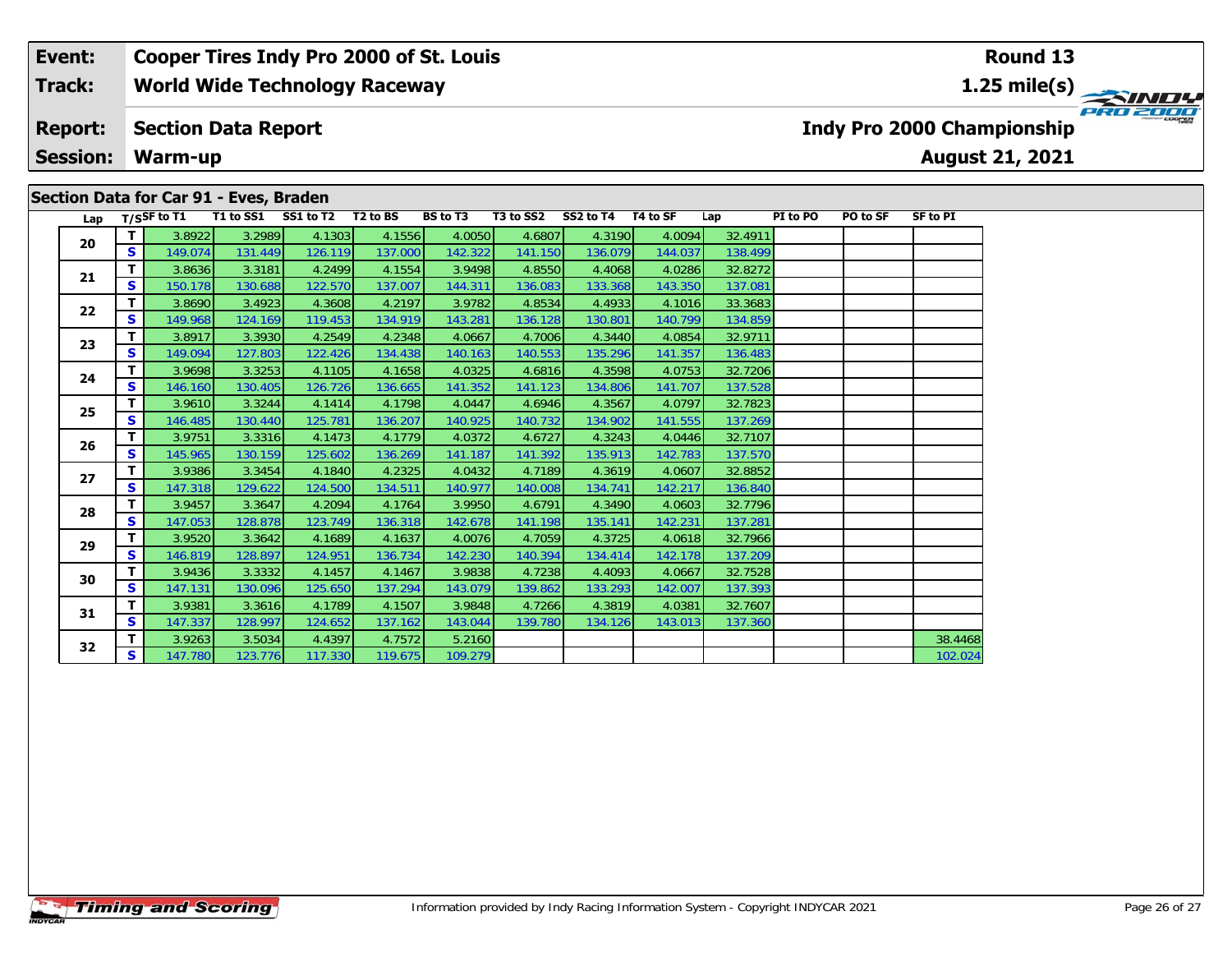# **Section Data for Car 91 - Eves, Braden**

| Lap |              | T/SSF to T1 | T1 to SS1 | SS1 to T2 | T <sub>2</sub> to BS | <b>BS</b> to T3 | T3 to SS2 | SS2 to T4 | T4 to SF | Lap     | PI to PO | PO to SF | <b>SF to PI</b> |
|-----|--------------|-------------|-----------|-----------|----------------------|-----------------|-----------|-----------|----------|---------|----------|----------|-----------------|
| 20  | T.           | 3.8922      | 3.2989    | 4.1303    | 4.1556               | 4.0050          | 4.6807    | 4.3190    | 4.0094   | 32.4911 |          |          |                 |
|     | S            | 149.074     | 131.449   | 126.119   | 137.000              | 142.322         | 141.150   | 136.079   | 144.037  | 138.499 |          |          |                 |
| 21  | T.           | 3.8636      | 3.3181    | 4.2499    | 4.1554               | 3.9498          | 4.8550    | 4.4068    | 4.0286   | 32.8272 |          |          |                 |
|     | S            | 150.178     | 130.688   | 122.570   | 137.007              | 144.311         | 136.083   | 133.368   | 143.350  | 137.081 |          |          |                 |
| 22  | T.           | 3.8690      | 3.4923    | 4.3608    | 4.2197               | 3.9782          | 4.8534    | 4.4933    | 4.1016   | 33.3683 |          |          |                 |
|     | S            | 149.968     | 124.169   | 119.453   | 134.919              | 143.281         | 136.128   | 130.801   | 140.799  | 134.859 |          |          |                 |
| 23  | T.           | 3.8917      | 3.3930    | 4.2549    | 4.2348               | 4.0667          | 4.7006    | 4.3440    | 4.0854   | 32.9711 |          |          |                 |
|     | S            | 149.094     | 127.803   | 122.426   | 134.438              | 140.163         | 140.553   | 135.296   | 141.357  | 136.483 |          |          |                 |
| 24  | T.           | 3.9698      | 3.3253    | 4.1105    | 4.1658               | 4.0325          | 4.6816    | 4.3598    | 4.0753   | 32.7206 |          |          |                 |
|     | S            | 146.160     | 130.405   | 126.726   | 136.665              | 141.352         | 141.123   | 134.806   | 141.707  | 137.528 |          |          |                 |
| 25  | T.           | 3.9610      | 3.3244    | 4.1414    | 4.1798               | 4.0447          | 4.6946    | 4.3567    | 4.0797   | 32.7823 |          |          |                 |
|     | $\mathbf{s}$ | 146.485     | 130.440   | 125.781   | 136.207              | 140.925         | 140.732   | 134.902   | 141.555  | 137.269 |          |          |                 |
| 26  | T.           | 3.9751      | 3.3316    | 4.1473    | 4.1779               | 4.0372          | 4.6727    | 4.3243    | 4.0446   | 32.7107 |          |          |                 |
|     | S            | 145.965     | 130.159   | 125.602   | 136.269              | 141.187         | 141.392   | 135.913   | 142.783  | 137.570 |          |          |                 |
| 27  | т            | 3.9386      | 3.3454    | 4.1840    | 4.2325               | 4.0432          | 4.7189    | 4.3619    | 4.0607   | 32.8852 |          |          |                 |
|     | S            | 147.318     | 129.622   | 124.500   | 134.511              | 140.977         | 140.008   | 134.741   | 142.217  | 136.840 |          |          |                 |
| 28  | T.           | 3.9457      | 3.3647    | 4.2094    | 4.1764               | 3.9950          | 4.6791    | 4.3490    | 4.0603   | 32.7796 |          |          |                 |
|     | S            | 147.053     | 128.878   | 123.749   | 136.318              | 142.678         | 141.198   | 135.141   | 142.231  | 137.281 |          |          |                 |
| 29  | T.           | 3.9520      | 3.3642    | 4.1689    | 4.1637               | 4.0076          | 4.7059    | 4.3725    | 4.0618   | 32.7966 |          |          |                 |
|     | S            | 146.819     | 128.897   | 124.951   | 136.734              | 142.230         | 140.394   | 134.414   | 142.178  | 137.209 |          |          |                 |
| 30  | T.           | 3.9436      | 3.3332    | 4.1457    | 4.1467               | 3.9838          | 4.7238    | 4.4093    | 4.0667   | 32.7528 |          |          |                 |
|     | S            | 147.131     | 130.096   | 125.650   | 137.294              | 143.079         | 139.862   | 133.293   | 142.007  | 137.393 |          |          |                 |
| 31  | T.           | 3.9381      | 3.3616    | 4.1789    | 4.1507               | 3.9848          | 4.7266    | 4.3819    | 4.0381   | 32.7607 |          |          |                 |
|     | S            | 147.337     | 128.997   | 124.652   | 137.162              | 143.044         | 139.780   | 134.126   | 143.013  | 137.360 |          |          |                 |
| 32  | Τ.           | 3.9263      | 3.5034    | 4.4397    | 4.7572               | 5.2160          |           |           |          |         |          |          | 38.4468         |
|     | S            | 147.780     | 123.776   | 117.330   | 119.675              | 109.279         |           |           |          |         |          |          | 102.024         |